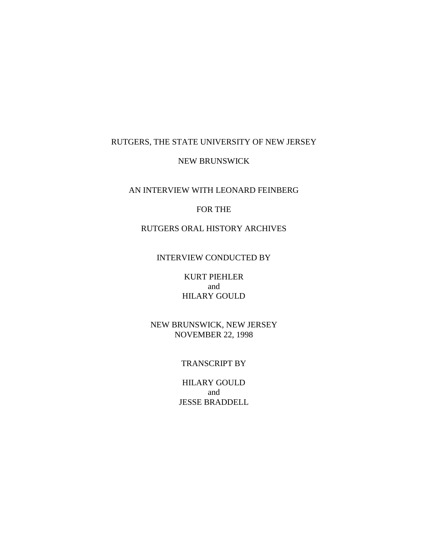### RUTGERS, THE STATE UNIVERSITY OF NEW JERSEY

### NEW BRUNSWICK

### AN INTERVIEW WITH LEONARD FEINBERG

### FOR THE

# RUTGERS ORAL HISTORY ARCHIVES

## INTERVIEW CONDUCTED BY

KURT PIEHLER and HILARY GOULD

NEW BRUNSWICK, NEW JERSEY NOVEMBER 22, 1998

#### TRANSCRIPT BY

HILARY GOULD and JESSE BRADDELL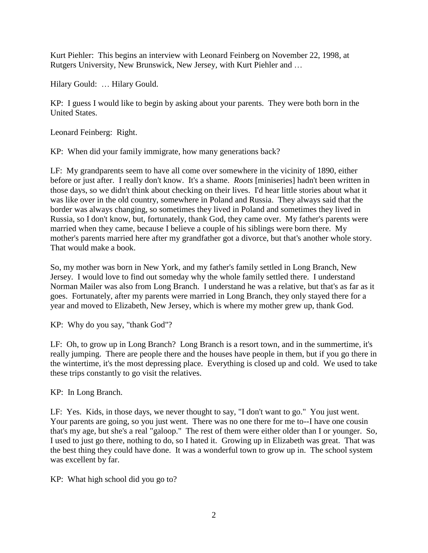Kurt Piehler: This begins an interview with Leonard Feinberg on November 22, 1998, at Rutgers University, New Brunswick, New Jersey, with Kurt Piehler and …

Hilary Gould: … Hilary Gould.

KP: I guess I would like to begin by asking about your parents. They were both born in the United States.

Leonard Feinberg: Right.

KP: When did your family immigrate, how many generations back?

LF: My grandparents seem to have all come over somewhere in the vicinity of 1890, either before or just after. I really don't know. It's a shame. *Roots* [miniseries] hadn't been written in those days, so we didn't think about checking on their lives. I'd hear little stories about what it was like over in the old country, somewhere in Poland and Russia. They always said that the border was always changing, so sometimes they lived in Poland and sometimes they lived in Russia, so I don't know, but, fortunately, thank God, they came over. My father's parents were married when they came, because I believe a couple of his siblings were born there. My mother's parents married here after my grandfather got a divorce, but that's another whole story. That would make a book.

So, my mother was born in New York, and my father's family settled in Long Branch, New Jersey. I would love to find out someday why the whole family settled there. I understand Norman Mailer was also from Long Branch. I understand he was a relative, but that's as far as it goes. Fortunately, after my parents were married in Long Branch, they only stayed there for a year and moved to Elizabeth, New Jersey, which is where my mother grew up, thank God.

KP: Why do you say, "thank God"?

LF: Oh, to grow up in Long Branch? Long Branch is a resort town, and in the summertime, it's really jumping. There are people there and the houses have people in them, but if you go there in the wintertime, it's the most depressing place. Everything is closed up and cold. We used to take these trips constantly to go visit the relatives.

KP: In Long Branch.

LF: Yes. Kids, in those days, we never thought to say, "I don't want to go." You just went. Your parents are going, so you just went. There was no one there for me to--I have one cousin that's my age, but she's a real "galoop." The rest of them were either older than I or younger. So, I used to just go there, nothing to do, so I hated it. Growing up in Elizabeth was great. That was the best thing they could have done. It was a wonderful town to grow up in. The school system was excellent by far.

KP: What high school did you go to?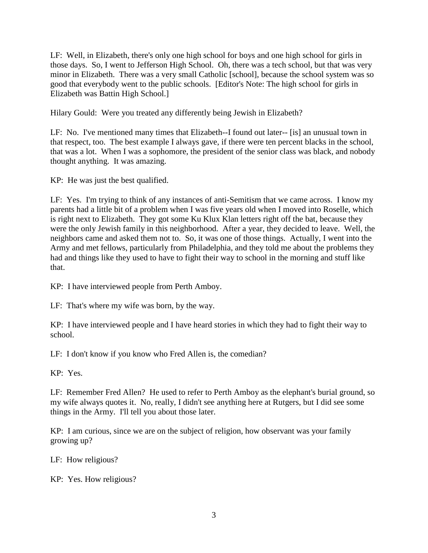LF: Well, in Elizabeth, there's only one high school for boys and one high school for girls in those days. So, I went to Jefferson High School. Oh, there was a tech school, but that was very minor in Elizabeth. There was a very small Catholic [school], because the school system was so good that everybody went to the public schools. [Editor's Note: The high school for girls in Elizabeth was Battin High School.]

Hilary Gould: Were you treated any differently being Jewish in Elizabeth?

LF: No. I've mentioned many times that Elizabeth--I found out later-- [is] an unusual town in that respect, too. The best example I always gave, if there were ten percent blacks in the school, that was a lot. When I was a sophomore, the president of the senior class was black, and nobody thought anything. It was amazing.

KP: He was just the best qualified.

LF: Yes. I'm trying to think of any instances of anti-Semitism that we came across. I know my parents had a little bit of a problem when I was five years old when I moved into Roselle, which is right next to Elizabeth. They got some Ku Klux Klan letters right off the bat, because they were the only Jewish family in this neighborhood. After a year, they decided to leave. Well, the neighbors came and asked them not to. So, it was one of those things. Actually, I went into the Army and met fellows, particularly from Philadelphia, and they told me about the problems they had and things like they used to have to fight their way to school in the morning and stuff like that.

KP: I have interviewed people from Perth Amboy.

LF: That's where my wife was born, by the way.

KP: I have interviewed people and I have heard stories in which they had to fight their way to school.

LF: I don't know if you know who Fred Allen is, the comedian?

KP: Yes.

LF: Remember Fred Allen? He used to refer to Perth Amboy as the elephant's burial ground, so my wife always quotes it. No, really, I didn't see anything here at Rutgers, but I did see some things in the Army. I'll tell you about those later.

KP: I am curious, since we are on the subject of religion, how observant was your family growing up?

LF: How religious?

KP: Yes. How religious?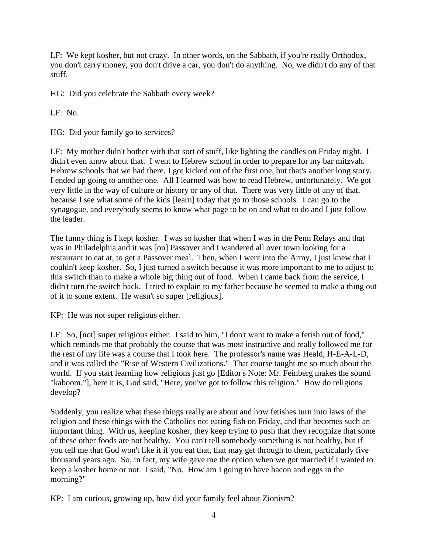LF: We kept kosher, but not crazy. In other words, on the Sabbath, if you're really Orthodox, you don't carry money, you don't drive a car, you don't do anything. No, we didn't do any of that stuff.

HG: Did you celebrate the Sabbath every week?

LF: No.

HG: Did your family go to services?

LF: My mother didn't bother with that sort of stuff, like lighting the candles on Friday night. I didn't even know about that. I went to Hebrew school in order to prepare for my bar mitzvah. Hebrew schools that we had there, I got kicked out of the first one, but that's another long story. I ended up going to another one. All I learned was how to read Hebrew, unfortunately. We got very little in the way of culture or history or any of that. There was very little of any of that, because I see what some of the kids [learn] today that go to those schools. I can go to the synagogue, and everybody seems to know what page to be on and what to do and I just follow the leader.

The funny thing is I kept kosher. I was so kosher that when I was in the Penn Relays and that was in Philadelphia and it was [on] Passover and I wandered all over town looking for a restaurant to eat at, to get a Passover meal. Then, when I went into the Army, I just knew that I couldn't keep kosher. So, I just turned a switch because it was more important to me to adjust to this switch than to make a whole big thing out of food. When I came back from the service, I didn't turn the switch back. I tried to explain to my father because he seemed to make a thing out of it to some extent. He wasn't so super [religious].

KP: He was not super religious either.

LF: So, [not] super religious either. I said to him, "I don't want to make a fetish out of food," which reminds me that probably the course that was most instructive and really followed me for the rest of my life was a course that I took here. The professor's name was Heald, H-E-A-L-D, and it was called the "Rise of Western Civilizations." That course taught me so much about the world. If you start learning how religions just go [Editor's Note: Mr. Feinberg makes the sound "kaboom."], here it is, God said, "Here, you've got to follow this religion." How do religions develop?

Suddenly, you realize what these things really are about and how fetishes turn into laws of the religion and these things with the Catholics not eating fish on Friday, and that becomes such an important thing. With us, keeping kosher, they keep trying to push that they recognize that some of these other foods are not healthy. You can't tell somebody something is not healthy, but if you tell me that God won't like it if you eat that, that may get through to them, particularly five thousand years ago. So, in fact, my wife gave me the option when we got married if I wanted to keep a kosher home or not. I said, "No. How am I going to have bacon and eggs in the morning?"

KP: I am curious, growing up, how did your family feel about Zionism?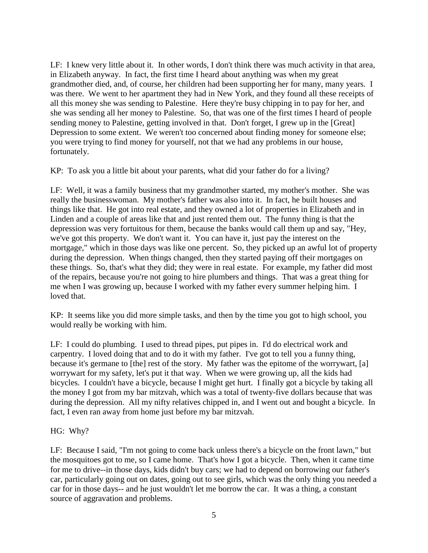LF: I knew very little about it. In other words, I don't think there was much activity in that area, in Elizabeth anyway. In fact, the first time I heard about anything was when my great grandmother died, and, of course, her children had been supporting her for many, many years. I was there. We went to her apartment they had in New York, and they found all these receipts of all this money she was sending to Palestine. Here they're busy chipping in to pay for her, and she was sending all her money to Palestine. So, that was one of the first times I heard of people sending money to Palestine, getting involved in that. Don't forget, I grew up in the [Great] Depression to some extent. We weren't too concerned about finding money for someone else; you were trying to find money for yourself, not that we had any problems in our house, fortunately.

KP: To ask you a little bit about your parents, what did your father do for a living?

LF: Well, it was a family business that my grandmother started, my mother's mother. She was really the businesswoman. My mother's father was also into it. In fact, he built houses and things like that. He got into real estate, and they owned a lot of properties in Elizabeth and in Linden and a couple of areas like that and just rented them out. The funny thing is that the depression was very fortuitous for them, because the banks would call them up and say, "Hey, we've got this property. We don't want it. You can have it, just pay the interest on the mortgage," which in those days was like one percent. So, they picked up an awful lot of property during the depression. When things changed, then they started paying off their mortgages on these things. So, that's what they did; they were in real estate. For example, my father did most of the repairs, because you're not going to hire plumbers and things. That was a great thing for me when I was growing up, because I worked with my father every summer helping him. I loved that.

KP: It seems like you did more simple tasks, and then by the time you got to high school, you would really be working with him.

LF: I could do plumbing. I used to thread pipes, put pipes in. I'd do electrical work and carpentry. I loved doing that and to do it with my father. I've got to tell you a funny thing, because it's germane to [the] rest of the story. My father was the epitome of the worrywart, [a] worrywart for my safety, let's put it that way. When we were growing up, all the kids had bicycles. I couldn't have a bicycle, because I might get hurt. I finally got a bicycle by taking all the money I got from my bar mitzvah, which was a total of twenty-five dollars because that was during the depression. All my nifty relatives chipped in, and I went out and bought a bicycle. In fact, I even ran away from home just before my bar mitzvah.

#### HG: Why?

LF: Because I said, "I'm not going to come back unless there's a bicycle on the front lawn," but the mosquitoes got to me, so I came home. That's how I got a bicycle. Then, when it came time for me to drive--in those days, kids didn't buy cars; we had to depend on borrowing our father's car, particularly going out on dates, going out to see girls, which was the only thing you needed a car for in those days-- and he just wouldn't let me borrow the car. It was a thing, a constant source of aggravation and problems.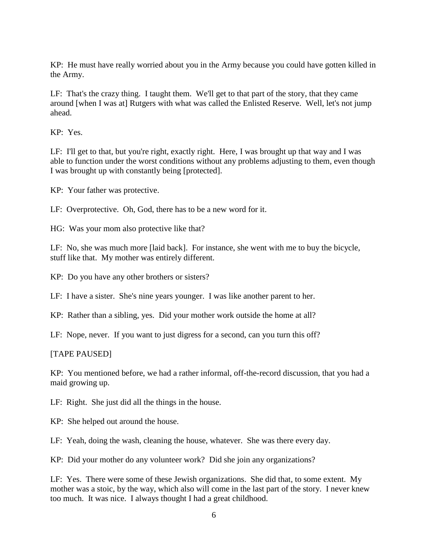KP: He must have really worried about you in the Army because you could have gotten killed in the Army.

LF: That's the crazy thing. I taught them. We'll get to that part of the story, that they came around [when I was at] Rutgers with what was called the Enlisted Reserve. Well, let's not jump ahead.

KP: Yes.

LF: I'll get to that, but you're right, exactly right. Here, I was brought up that way and I was able to function under the worst conditions without any problems adjusting to them, even though I was brought up with constantly being [protected].

KP: Your father was protective.

LF: Overprotective. Oh, God, there has to be a new word for it.

HG: Was your mom also protective like that?

LF: No, she was much more [laid back]. For instance, she went with me to buy the bicycle, stuff like that. My mother was entirely different.

KP: Do you have any other brothers or sisters?

LF: I have a sister. She's nine years younger. I was like another parent to her.

KP: Rather than a sibling, yes. Did your mother work outside the home at all?

LF: Nope, never. If you want to just digress for a second, can you turn this off?

#### [TAPE PAUSED]

KP: You mentioned before, we had a rather informal, off-the-record discussion, that you had a maid growing up.

LF: Right. She just did all the things in the house.

KP: She helped out around the house.

LF: Yeah, doing the wash, cleaning the house, whatever. She was there every day.

KP: Did your mother do any volunteer work? Did she join any organizations?

LF: Yes. There were some of these Jewish organizations. She did that, to some extent. My mother was a stoic, by the way, which also will come in the last part of the story. I never knew too much. It was nice. I always thought I had a great childhood.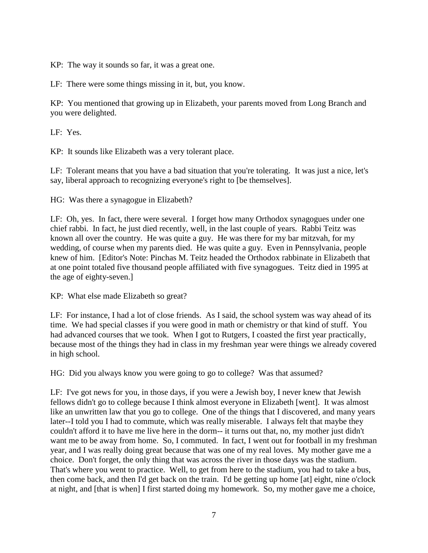KP: The way it sounds so far, it was a great one.

LF: There were some things missing in it, but, you know.

KP: You mentioned that growing up in Elizabeth, your parents moved from Long Branch and you were delighted.

LF: Yes.

KP: It sounds like Elizabeth was a very tolerant place.

LF: Tolerant means that you have a bad situation that you're tolerating. It was just a nice, let's say, liberal approach to recognizing everyone's right to [be themselves].

HG: Was there a synagogue in Elizabeth?

LF: Oh, yes. In fact, there were several. I forget how many Orthodox synagogues under one chief rabbi. In fact, he just died recently, well, in the last couple of years. Rabbi Teitz was known all over the country. He was quite a guy. He was there for my bar mitzvah, for my wedding, of course when my parents died. He was quite a guy. Even in Pennsylvania, people knew of him. [Editor's Note: Pinchas M. Teitz headed the Orthodox rabbinate in Elizabeth that at one point totaled five thousand people affiliated with five synagogues. Teitz died in 1995 at the age of eighty-seven.]

KP: What else made Elizabeth so great?

LF: For instance, I had a lot of close friends. As I said, the school system was way ahead of its time. We had special classes if you were good in math or chemistry or that kind of stuff. You had advanced courses that we took. When I got to Rutgers, I coasted the first year practically, because most of the things they had in class in my freshman year were things we already covered in high school.

HG: Did you always know you were going to go to college? Was that assumed?

LF: I've got news for you, in those days, if you were a Jewish boy, I never knew that Jewish fellows didn't go to college because I think almost everyone in Elizabeth [went]. It was almost like an unwritten law that you go to college. One of the things that I discovered, and many years later--I told you I had to commute, which was really miserable. I always felt that maybe they couldn't afford it to have me live here in the dorm-- it turns out that, no, my mother just didn't want me to be away from home. So, I commuted. In fact, I went out for football in my freshman year, and I was really doing great because that was one of my real loves. My mother gave me a choice. Don't forget, the only thing that was across the river in those days was the stadium. That's where you went to practice. Well, to get from here to the stadium, you had to take a bus, then come back, and then I'd get back on the train. I'd be getting up home [at] eight, nine o'clock at night, and [that is when] I first started doing my homework. So, my mother gave me a choice,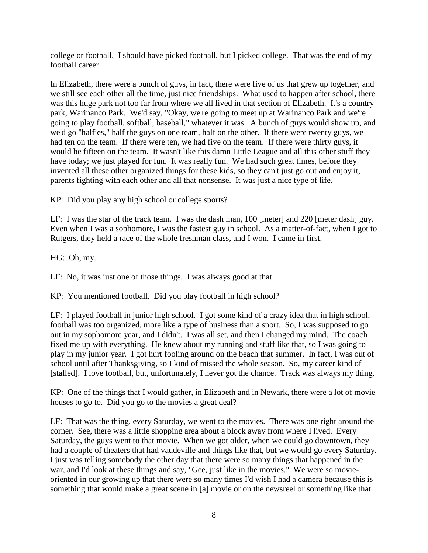college or football. I should have picked football, but I picked college. That was the end of my football career.

In Elizabeth, there were a bunch of guys, in fact, there were five of us that grew up together, and we still see each other all the time, just nice friendships. What used to happen after school, there was this huge park not too far from where we all lived in that section of Elizabeth. It's a country park, Warinanco Park. We'd say, "Okay, we're going to meet up at Warinanco Park and we're going to play football, softball, baseball," whatever it was. A bunch of guys would show up, and we'd go "halfies," half the guys on one team, half on the other. If there were twenty guys, we had ten on the team. If there were ten, we had five on the team. If there were thirty guys, it would be fifteen on the team. It wasn't like this damn Little League and all this other stuff they have today; we just played for fun. It was really fun. We had such great times, before they invented all these other organized things for these kids, so they can't just go out and enjoy it, parents fighting with each other and all that nonsense. It was just a nice type of life.

KP: Did you play any high school or college sports?

LF: I was the star of the track team. I was the dash man, 100 [meter] and 220 [meter dash] guy. Even when I was a sophomore, I was the fastest guy in school. As a matter-of-fact, when I got to Rutgers, they held a race of the whole freshman class, and I won. I came in first.

HG: Oh, my.

LF: No, it was just one of those things. I was always good at that.

KP: You mentioned football. Did you play football in high school?

LF: I played football in junior high school. I got some kind of a crazy idea that in high school, football was too organized, more like a type of business than a sport. So, I was supposed to go out in my sophomore year, and I didn't. I was all set, and then I changed my mind. The coach fixed me up with everything. He knew about my running and stuff like that, so I was going to play in my junior year. I got hurt fooling around on the beach that summer. In fact, I was out of school until after Thanksgiving, so I kind of missed the whole season. So, my career kind of [stalled]. I love football, but, unfortunately, I never got the chance. Track was always my thing.

KP: One of the things that I would gather, in Elizabeth and in Newark, there were a lot of movie houses to go to. Did you go to the movies a great deal?

LF: That was the thing, every Saturday, we went to the movies. There was one right around the corner. See, there was a little shopping area about a block away from where I lived. Every Saturday, the guys went to that movie. When we got older, when we could go downtown, they had a couple of theaters that had vaudeville and things like that, but we would go every Saturday. I just was telling somebody the other day that there were so many things that happened in the war, and I'd look at these things and say, "Gee, just like in the movies." We were so movieoriented in our growing up that there were so many times I'd wish I had a camera because this is something that would make a great scene in [a] movie or on the newsreel or something like that.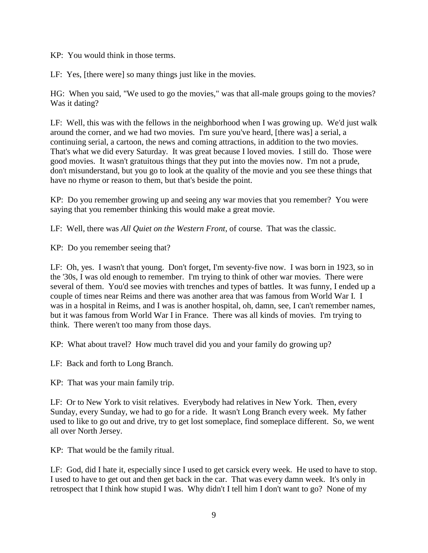KP: You would think in those terms.

LF: Yes, [there were] so many things just like in the movies.

HG: When you said, "We used to go the movies," was that all-male groups going to the movies? Was it dating?

LF: Well, this was with the fellows in the neighborhood when I was growing up. We'd just walk around the corner, and we had two movies. I'm sure you've heard, [there was] a serial, a continuing serial, a cartoon, the news and coming attractions, in addition to the two movies. That's what we did every Saturday. It was great because I loved movies. I still do. Those were good movies. It wasn't gratuitous things that they put into the movies now. I'm not a prude, don't misunderstand, but you go to look at the quality of the movie and you see these things that have no rhyme or reason to them, but that's beside the point.

KP: Do you remember growing up and seeing any war movies that you remember? You were saying that you remember thinking this would make a great movie.

LF: Well, there was *All Quiet on the Western Front*, of course. That was the classic.

KP: Do you remember seeing that?

LF: Oh, yes. I wasn't that young. Don't forget, I'm seventy-five now. I was born in 1923, so in the '30s, I was old enough to remember. I'm trying to think of other war movies. There were several of them. You'd see movies with trenches and types of battles. It was funny, I ended up a couple of times near Reims and there was another area that was famous from World War I. I was in a hospital in Reims, and I was is another hospital, oh, damn, see, I can't remember names, but it was famous from World War I in France. There was all kinds of movies. I'm trying to think. There weren't too many from those days.

KP: What about travel? How much travel did you and your family do growing up?

LF: Back and forth to Long Branch.

KP: That was your main family trip.

LF: Or to New York to visit relatives. Everybody had relatives in New York. Then, every Sunday, every Sunday, we had to go for a ride. It wasn't Long Branch every week. My father used to like to go out and drive, try to get lost someplace, find someplace different. So, we went all over North Jersey.

KP: That would be the family ritual.

LF: God, did I hate it, especially since I used to get carsick every week. He used to have to stop. I used to have to get out and then get back in the car. That was every damn week. It's only in retrospect that I think how stupid I was. Why didn't I tell him I don't want to go? None of my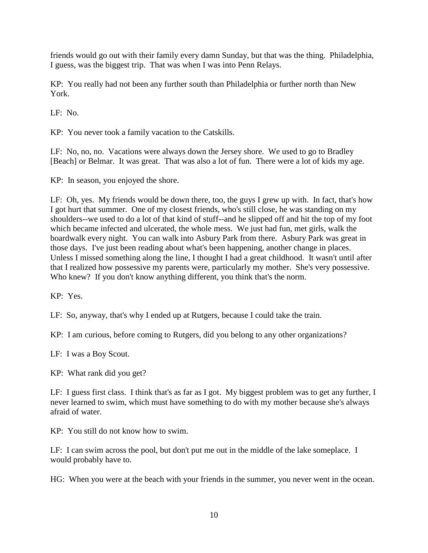friends would go out with their family every damn Sunday, but that was the thing. Philadelphia, I guess, was the biggest trip. That was when I was into Penn Relays.

KP: You really had not been any further south than Philadelphia or further north than New York.

LF: No.

KP: You never took a family vacation to the Catskills.

LF: No, no, no. Vacations were always down the Jersey shore. We used to go to Bradley [Beach] or Belmar. It was great. That was also a lot of fun. There were a lot of kids my age.

KP: In season, you enjoyed the shore.

LF: Oh, yes. My friends would be down there, too, the guys I grew up with. In fact, that's how I got hurt that summer. One of my closest friends, who's still close, he was standing on my shoulders--we used to do a lot of that kind of stuff--and he slipped off and hit the top of my foot which became infected and ulcerated, the whole mess. We just had fun, met girls, walk the boardwalk every night. You can walk into Asbury Park from there. Asbury Park was great in those days. I've just been reading about what's been happening, another change in places. Unless I missed something along the line, I thought I had a great childhood. It wasn't until after that I realized how possessive my parents were, particularly my mother. She's very possessive. Who knew? If you don't know anything different, you think that's the norm.

KP: Yes.

LF: So, anyway, that's why I ended up at Rutgers, because I could take the train.

KP: I am curious, before coming to Rutgers, did you belong to any other organizations?

LF: I was a Boy Scout.

KP: What rank did you get?

LF: I guess first class. I think that's as far as I got. My biggest problem was to get any further, I never learned to swim, which must have something to do with my mother because she's always afraid of water.

KP: You still do not know how to swim.

LF: I can swim across the pool, but don't put me out in the middle of the lake someplace. I would probably have to.

HG: When you were at the beach with your friends in the summer, you never went in the ocean.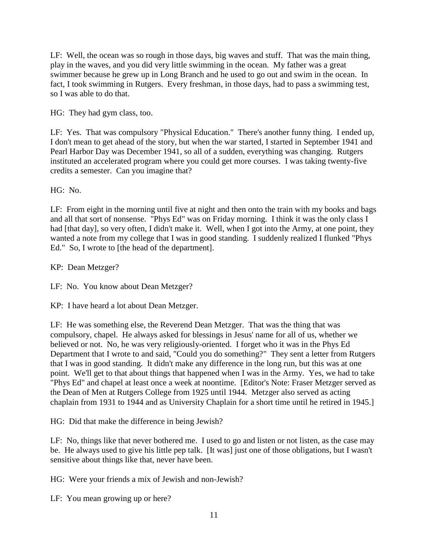LF: Well, the ocean was so rough in those days, big waves and stuff. That was the main thing, play in the waves, and you did very little swimming in the ocean. My father was a great swimmer because he grew up in Long Branch and he used to go out and swim in the ocean. In fact, I took swimming in Rutgers. Every freshman, in those days, had to pass a swimming test, so I was able to do that.

HG: They had gym class, too.

LF: Yes. That was compulsory "Physical Education." There's another funny thing. I ended up, I don't mean to get ahead of the story, but when the war started, I started in September 1941 and Pearl Harbor Day was December 1941, so all of a sudden, everything was changing. Rutgers instituted an accelerated program where you could get more courses. I was taking twenty-five credits a semester. Can you imagine that?

HG: No.

LF: From eight in the morning until five at night and then onto the train with my books and bags and all that sort of nonsense. "Phys Ed" was on Friday morning. I think it was the only class I had [that day], so very often, I didn't make it. Well, when I got into the Army, at one point, they wanted a note from my college that I was in good standing. I suddenly realized I flunked "Phys Ed." So, I wrote to [the head of the department].

KP: Dean Metzger?

LF: No. You know about Dean Metzger?

KP: I have heard a lot about Dean Metzger.

LF: He was something else, the Reverend Dean Metzger. That was the thing that was compulsory, chapel. He always asked for blessings in Jesus' name for all of us, whether we believed or not. No, he was very religiously-oriented. I forget who it was in the Phys Ed Department that I wrote to and said, "Could you do something?" They sent a letter from Rutgers that I was in good standing. It didn't make any difference in the long run, but this was at one point. We'll get to that about things that happened when I was in the Army. Yes, we had to take "Phys Ed" and chapel at least once a week at noontime. [Editor's Note: Fraser Metzger served as the Dean of Men at Rutgers College from 1925 until 1944. Metzger also served as acting chaplain from 1931 to 1944 and as University Chaplain for a short time until he retired in 1945.]

HG: Did that make the difference in being Jewish?

LF: No, things like that never bothered me. I used to go and listen or not listen, as the case may be. He always used to give his little pep talk. [It was] just one of those obligations, but I wasn't sensitive about things like that, never have been.

HG: Were your friends a mix of Jewish and non-Jewish?

LF: You mean growing up or here?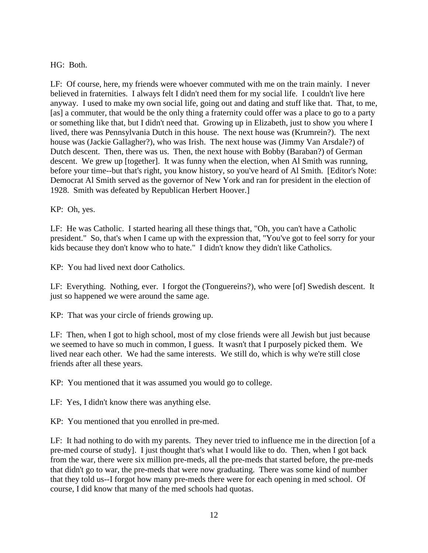## HG: Both.

LF: Of course, here, my friends were whoever commuted with me on the train mainly. I never believed in fraternities. I always felt I didn't need them for my social life. I couldn't live here anyway. I used to make my own social life, going out and dating and stuff like that. That, to me, [as] a commuter, that would be the only thing a fraternity could offer was a place to go to a party or something like that, but I didn't need that. Growing up in Elizabeth, just to show you where I lived, there was Pennsylvania Dutch in this house. The next house was (Krumrein?). The next house was (Jackie Gallagher?), who was Irish. The next house was (Jimmy Van Arsdale?) of Dutch descent. Then, there was us. Then, the next house with Bobby (Baraban?) of German descent. We grew up [together]. It was funny when the election, when Al Smith was running, before your time--but that's right, you know history, so you've heard of Al Smith. [Editor's Note: Democrat Al Smith served as the governor of New York and ran for president in the election of 1928. Smith was defeated by Republican Herbert Hoover.]

## KP: Oh, yes.

LF: He was Catholic. I started hearing all these things that, "Oh, you can't have a Catholic president." So, that's when I came up with the expression that, "You've got to feel sorry for your kids because they don't know who to hate." I didn't know they didn't like Catholics.

KP: You had lived next door Catholics.

LF: Everything. Nothing, ever. I forgot the (Tonguereins?), who were [of] Swedish descent. It just so happened we were around the same age.

KP: That was your circle of friends growing up.

LF: Then, when I got to high school, most of my close friends were all Jewish but just because we seemed to have so much in common, I guess. It wasn't that I purposely picked them. We lived near each other. We had the same interests. We still do, which is why we're still close friends after all these years.

KP: You mentioned that it was assumed you would go to college.

LF: Yes, I didn't know there was anything else.

KP: You mentioned that you enrolled in pre-med.

LF: It had nothing to do with my parents. They never tried to influence me in the direction [of a pre-med course of study]. I just thought that's what I would like to do. Then, when I got back from the war, there were six million pre-meds, all the pre-meds that started before, the pre-meds that didn't go to war, the pre-meds that were now graduating. There was some kind of number that they told us--I forgot how many pre-meds there were for each opening in med school. Of course, I did know that many of the med schools had quotas.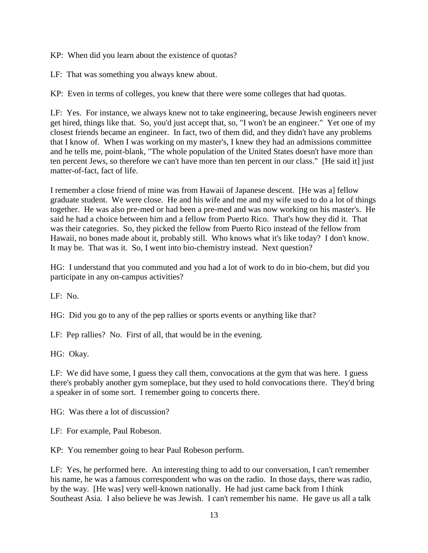KP: When did you learn about the existence of quotas?

LF: That was something you always knew about.

KP: Even in terms of colleges, you knew that there were some colleges that had quotas.

LF: Yes. For instance, we always knew not to take engineering, because Jewish engineers never get hired, things like that. So, you'd just accept that, so, "I won't be an engineer." Yet one of my closest friends became an engineer. In fact, two of them did, and they didn't have any problems that I know of. When I was working on my master's, I knew they had an admissions committee and he tells me, point-blank, "The whole population of the United States doesn't have more than ten percent Jews, so therefore we can't have more than ten percent in our class." [He said it] just matter-of-fact, fact of life.

I remember a close friend of mine was from Hawaii of Japanese descent. [He was a] fellow graduate student. We were close. He and his wife and me and my wife used to do a lot of things together. He was also pre-med or had been a pre-med and was now working on his master's. He said he had a choice between him and a fellow from Puerto Rico. That's how they did it. That was their categories. So, they picked the fellow from Puerto Rico instead of the fellow from Hawaii, no bones made about it, probably still. Who knows what it's like today? I don't know. It may be. That was it. So, I went into bio-chemistry instead. Next question?

HG: I understand that you commuted and you had a lot of work to do in bio-chem, but did you participate in any on-campus activities?

LF: No.

HG: Did you go to any of the pep rallies or sports events or anything like that?

LF: Pep rallies? No. First of all, that would be in the evening.

HG: Okay.

LF: We did have some, I guess they call them, convocations at the gym that was here. I guess there's probably another gym someplace, but they used to hold convocations there. They'd bring a speaker in of some sort. I remember going to concerts there.

HG: Was there a lot of discussion?

LF: For example, Paul Robeson.

KP: You remember going to hear Paul Robeson perform.

LF: Yes, he performed here. An interesting thing to add to our conversation, I can't remember his name, he was a famous correspondent who was on the radio. In those days, there was radio, by the way. [He was] very well-known nationally. He had just came back from I think Southeast Asia. I also believe he was Jewish. I can't remember his name. He gave us all a talk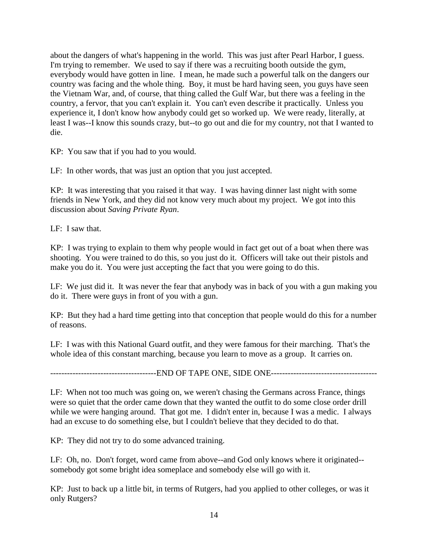about the dangers of what's happening in the world. This was just after Pearl Harbor, I guess. I'm trying to remember. We used to say if there was a recruiting booth outside the gym, everybody would have gotten in line. I mean, he made such a powerful talk on the dangers our country was facing and the whole thing. Boy, it must be hard having seen, you guys have seen the Vietnam War, and, of course, that thing called the Gulf War, but there was a feeling in the country, a fervor, that you can't explain it. You can't even describe it practically. Unless you experience it, I don't know how anybody could get so worked up. We were ready, literally, at least I was--I know this sounds crazy, but--to go out and die for my country, not that I wanted to die.

KP: You saw that if you had to you would.

LF: In other words, that was just an option that you just accepted.

KP: It was interesting that you raised it that way. I was having dinner last night with some friends in New York, and they did not know very much about my project. We got into this discussion about *Saving Private Ryan*.

LF: I saw that.

KP: I was trying to explain to them why people would in fact get out of a boat when there was shooting. You were trained to do this, so you just do it. Officers will take out their pistols and make you do it. You were just accepting the fact that you were going to do this.

LF: We just did it. It was never the fear that anybody was in back of you with a gun making you do it. There were guys in front of you with a gun.

KP: But they had a hard time getting into that conception that people would do this for a number of reasons.

LF: I was with this National Guard outfit, and they were famous for their marching. That's the whole idea of this constant marching, because you learn to move as a group. It carries on.

--------------------------------------END OF TAPE ONE, SIDE ONE--------------------------------------

LF: When not too much was going on, we weren't chasing the Germans across France, things were so quiet that the order came down that they wanted the outfit to do some close order drill while we were hanging around. That got me. I didn't enter in, because I was a medic. I always had an excuse to do something else, but I couldn't believe that they decided to do that.

KP: They did not try to do some advanced training.

LF: Oh, no. Don't forget, word came from above--and God only knows where it originated- somebody got some bright idea someplace and somebody else will go with it.

KP: Just to back up a little bit, in terms of Rutgers, had you applied to other colleges, or was it only Rutgers?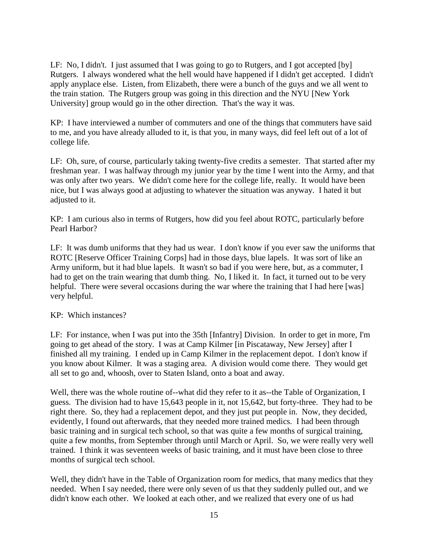LF: No, I didn't. I just assumed that I was going to go to Rutgers, and I got accepted [by] Rutgers. I always wondered what the hell would have happened if I didn't get accepted. I didn't apply anyplace else. Listen, from Elizabeth, there were a bunch of the guys and we all went to the train station. The Rutgers group was going in this direction and the NYU [New York University] group would go in the other direction. That's the way it was.

KP: I have interviewed a number of commuters and one of the things that commuters have said to me, and you have already alluded to it, is that you, in many ways, did feel left out of a lot of college life.

LF: Oh, sure, of course, particularly taking twenty-five credits a semester. That started after my freshman year. I was halfway through my junior year by the time I went into the Army, and that was only after two years. We didn't come here for the college life, really. It would have been nice, but I was always good at adjusting to whatever the situation was anyway. I hated it but adjusted to it.

KP: I am curious also in terms of Rutgers, how did you feel about ROTC, particularly before Pearl Harbor?

LF: It was dumb uniforms that they had us wear. I don't know if you ever saw the uniforms that ROTC [Reserve Officer Training Corps] had in those days, blue lapels. It was sort of like an Army uniform, but it had blue lapels. It wasn't so bad if you were here, but, as a commuter, I had to get on the train wearing that dumb thing. No, I liked it. In fact, it turned out to be very helpful. There were several occasions during the war where the training that I had here [was] very helpful.

KP: Which instances?

LF: For instance, when I was put into the 35th [Infantry] Division. In order to get in more, I'm going to get ahead of the story. I was at Camp Kilmer [in Piscataway, New Jersey] after I finished all my training. I ended up in Camp Kilmer in the replacement depot. I don't know if you know about Kilmer. It was a staging area. A division would come there. They would get all set to go and, whoosh, over to Staten Island, onto a boat and away.

Well, there was the whole routine of--what did they refer to it as--the Table of Organization, I guess. The division had to have 15,643 people in it, not 15,642, but forty-three. They had to be right there. So, they had a replacement depot, and they just put people in. Now, they decided, evidently, I found out afterwards, that they needed more trained medics. I had been through basic training and in surgical tech school, so that was quite a few months of surgical training, quite a few months, from September through until March or April. So, we were really very well trained. I think it was seventeen weeks of basic training, and it must have been close to three months of surgical tech school.

Well, they didn't have in the Table of Organization room for medics, that many medics that they needed. When I say needed, there were only seven of us that they suddenly pulled out, and we didn't know each other. We looked at each other, and we realized that every one of us had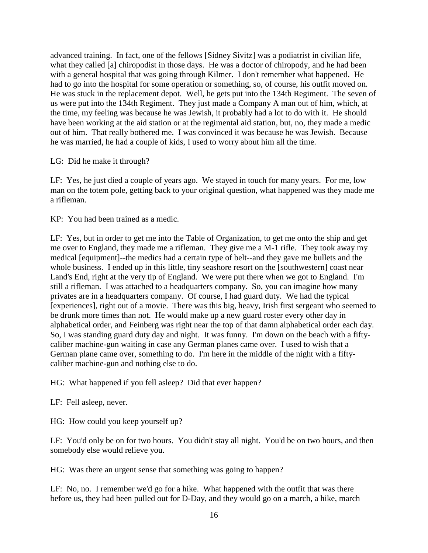advanced training. In fact, one of the fellows [Sidney Sivitz] was a podiatrist in civilian life, what they called [a] chiropodist in those days. He was a doctor of chiropody, and he had been with a general hospital that was going through Kilmer. I don't remember what happened. He had to go into the hospital for some operation or something, so, of course, his outfit moved on. He was stuck in the replacement depot. Well, he gets put into the 134th Regiment. The seven of us were put into the 134th Regiment. They just made a Company A man out of him, which, at the time, my feeling was because he was Jewish, it probably had a lot to do with it. He should have been working at the aid station or at the regimental aid station, but, no, they made a medic out of him. That really bothered me. I was convinced it was because he was Jewish. Because he was married, he had a couple of kids, I used to worry about him all the time.

## LG: Did he make it through?

LF: Yes, he just died a couple of years ago. We stayed in touch for many years. For me, low man on the totem pole, getting back to your original question, what happened was they made me a rifleman.

KP: You had been trained as a medic.

LF: Yes, but in order to get me into the Table of Organization, to get me onto the ship and get me over to England, they made me a rifleman. They give me a M-1 rifle. They took away my medical [equipment]--the medics had a certain type of belt--and they gave me bullets and the whole business. I ended up in this little, tiny seashore resort on the [southwestern] coast near Land's End, right at the very tip of England. We were put there when we got to England. I'm still a rifleman. I was attached to a headquarters company. So, you can imagine how many privates are in a headquarters company. Of course, I had guard duty. We had the typical [experiences], right out of a movie. There was this big, heavy, Irish first sergeant who seemed to be drunk more times than not. He would make up a new guard roster every other day in alphabetical order, and Feinberg was right near the top of that damn alphabetical order each day. So, I was standing guard duty day and night. It was funny. I'm down on the beach with a fiftycaliber machine-gun waiting in case any German planes came over. I used to wish that a German plane came over, something to do. I'm here in the middle of the night with a fiftycaliber machine-gun and nothing else to do.

HG: What happened if you fell asleep? Did that ever happen?

LF: Fell asleep, never.

HG: How could you keep yourself up?

LF: You'd only be on for two hours. You didn't stay all night. You'd be on two hours, and then somebody else would relieve you.

HG: Was there an urgent sense that something was going to happen?

LF: No, no. I remember we'd go for a hike. What happened with the outfit that was there before us, they had been pulled out for D-Day, and they would go on a march, a hike, march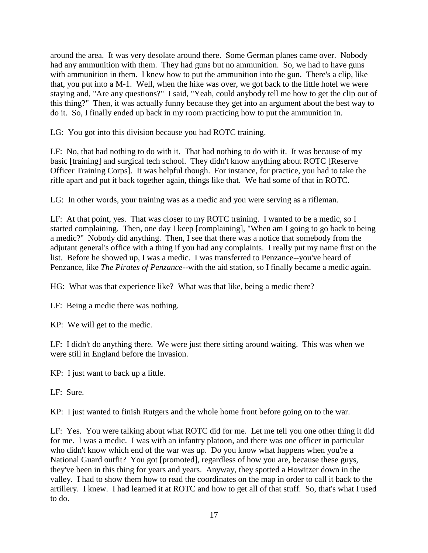around the area. It was very desolate around there. Some German planes came over. Nobody had any ammunition with them. They had guns but no ammunition. So, we had to have guns with ammunition in them. I knew how to put the ammunition into the gun. There's a clip, like that, you put into a M-1. Well, when the hike was over, we got back to the little hotel we were staying and, "Are any questions?" I said, "Yeah, could anybody tell me how to get the clip out of this thing?" Then, it was actually funny because they get into an argument about the best way to do it. So, I finally ended up back in my room practicing how to put the ammunition in.

LG: You got into this division because you had ROTC training.

LF: No, that had nothing to do with it. That had nothing to do with it. It was because of my basic [training] and surgical tech school. They didn't know anything about ROTC [Reserve Officer Training Corps]. It was helpful though. For instance, for practice, you had to take the rifle apart and put it back together again, things like that. We had some of that in ROTC.

LG: In other words, your training was as a medic and you were serving as a rifleman.

LF: At that point, yes. That was closer to my ROTC training. I wanted to be a medic, so I started complaining. Then, one day I keep [complaining], "When am I going to go back to being a medic?" Nobody did anything. Then, I see that there was a notice that somebody from the adjutant general's office with a thing if you had any complaints. I really put my name first on the list. Before he showed up, I was a medic. I was transferred to Penzance--you've heard of Penzance, like *The Pirates of Penzance*--with the aid station, so I finally became a medic again.

HG: What was that experience like? What was that like, being a medic there?

LF: Being a medic there was nothing.

KP: We will get to the medic.

LF: I didn't do anything there. We were just there sitting around waiting. This was when we were still in England before the invasion.

KP: I just want to back up a little.

LF: Sure.

KP: I just wanted to finish Rutgers and the whole home front before going on to the war.

LF: Yes. You were talking about what ROTC did for me. Let me tell you one other thing it did for me. I was a medic. I was with an infantry platoon, and there was one officer in particular who didn't know which end of the war was up. Do you know what happens when you're a National Guard outfit? You got [promoted], regardless of how you are, because these guys, they've been in this thing for years and years. Anyway, they spotted a Howitzer down in the valley. I had to show them how to read the coordinates on the map in order to call it back to the artillery. I knew. I had learned it at ROTC and how to get all of that stuff. So, that's what I used to do.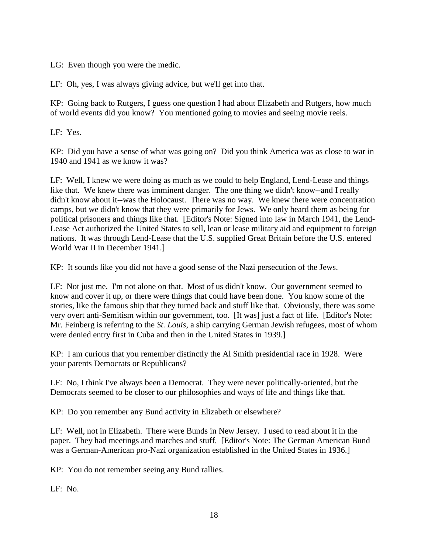LG: Even though you were the medic.

LF: Oh, yes, I was always giving advice, but we'll get into that.

KP: Going back to Rutgers, I guess one question I had about Elizabeth and Rutgers, how much of world events did you know? You mentioned going to movies and seeing movie reels.

LF: Yes.

KP: Did you have a sense of what was going on? Did you think America was as close to war in 1940 and 1941 as we know it was?

LF: Well, I knew we were doing as much as we could to help England, Lend-Lease and things like that. We knew there was imminent danger. The one thing we didn't know--and I really didn't know about it--was the Holocaust. There was no way. We knew there were concentration camps, but we didn't know that they were primarily for Jews. We only heard them as being for political prisoners and things like that. [Editor's Note: Signed into law in March 1941, the Lend-Lease Act authorized the United States to sell, lean or lease military aid and equipment to foreign nations. It was through Lend-Lease that the U.S. supplied Great Britain before the U.S. entered World War II in December 1941.]

KP: It sounds like you did not have a good sense of the Nazi persecution of the Jews.

LF: Not just me. I'm not alone on that. Most of us didn't know. Our government seemed to know and cover it up, or there were things that could have been done. You know some of the stories, like the famous ship that they turned back and stuff like that. Obviously, there was some very overt anti-Semitism within our government, too. [It was] just a fact of life. [Editor's Note: Mr. Feinberg is referring to the *St. Louis*, a ship carrying German Jewish refugees, most of whom were denied entry first in Cuba and then in the United States in 1939.]

KP: I am curious that you remember distinctly the Al Smith presidential race in 1928. Were your parents Democrats or Republicans?

LF: No, I think I've always been a Democrat. They were never politically-oriented, but the Democrats seemed to be closer to our philosophies and ways of life and things like that.

KP: Do you remember any Bund activity in Elizabeth or elsewhere?

LF: Well, not in Elizabeth. There were Bunds in New Jersey. I used to read about it in the paper. They had meetings and marches and stuff. [Editor's Note: The German American Bund was a German-American pro-Nazi organization established in the United States in 1936.]

KP: You do not remember seeing any Bund rallies.

LF: No.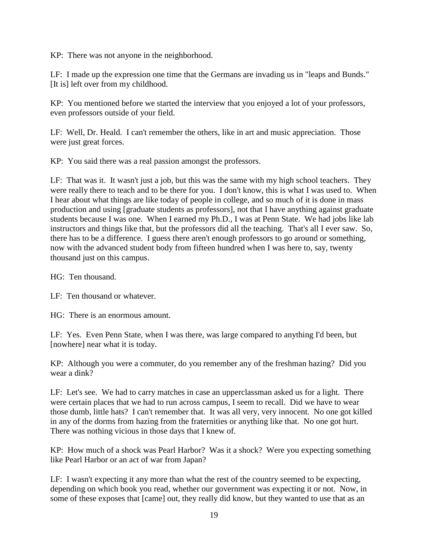KP: There was not anyone in the neighborhood.

LF: I made up the expression one time that the Germans are invading us in "leaps and Bunds." [It is] left over from my childhood.

KP: You mentioned before we started the interview that you enjoyed a lot of your professors, even professors outside of your field.

LF: Well, Dr. Heald. I can't remember the others, like in art and music appreciation. Those were just great forces.

KP: You said there was a real passion amongst the professors.

LF: That was it. It wasn't just a job, but this was the same with my high school teachers. They were really there to teach and to be there for you. I don't know, this is what I was used to. When I hear about what things are like today of people in college, and so much of it is done in mass production and using [graduate students as professors], not that I have anything against graduate students because I was one. When I earned my Ph.D., I was at Penn State. We had jobs like lab instructors and things like that, but the professors did all the teaching. That's all I ever saw. So, there has to be a difference. I guess there aren't enough professors to go around or something, now with the advanced student body from fifteen hundred when I was here to, say, twenty thousand just on this campus.

HG: Ten thousand.

LF: Ten thousand or whatever.

HG: There is an enormous amount.

LF: Yes. Even Penn State, when I was there, was large compared to anything I'd been, but [nowhere] near what it is today.

KP: Although you were a commuter, do you remember any of the freshman hazing? Did you wear a dink?

LF: Let's see. We had to carry matches in case an upperclassman asked us for a light. There were certain places that we had to run across campus, I seem to recall. Did we have to wear those dumb, little hats? I can't remember that. It was all very, very innocent. No one got killed in any of the dorms from hazing from the fraternities or anything like that. No one got hurt. There was nothing vicious in those days that I knew of.

KP: How much of a shock was Pearl Harbor? Was it a shock? Were you expecting something like Pearl Harbor or an act of war from Japan?

LF: I wasn't expecting it any more than what the rest of the country seemed to be expecting, depending on which book you read, whether our government was expecting it or not. Now, in some of these exposes that [came] out, they really did know, but they wanted to use that as an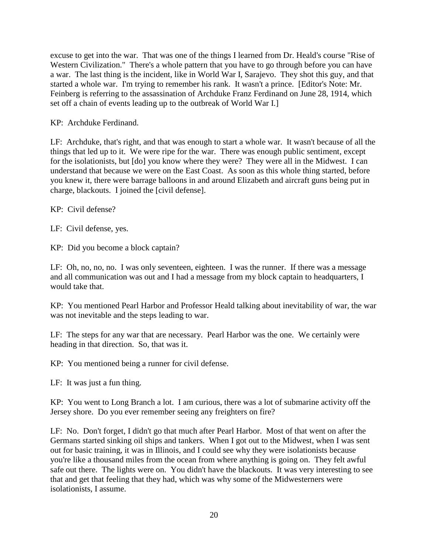excuse to get into the war. That was one of the things I learned from Dr. Heald's course "Rise of Western Civilization." There's a whole pattern that you have to go through before you can have a war. The last thing is the incident, like in World War I, Sarajevo. They shot this guy, and that started a whole war. I'm trying to remember his rank. It wasn't a prince. [Editor's Note: Mr. Feinberg is referring to the assassination of Archduke Franz Ferdinand on June 28, 1914, which set off a chain of events leading up to the outbreak of World War I.]

KP: Archduke Ferdinand.

LF: Archduke, that's right, and that was enough to start a whole war. It wasn't because of all the things that led up to it. We were ripe for the war. There was enough public sentiment, except for the isolationists, but [do] you know where they were? They were all in the Midwest. I can understand that because we were on the East Coast. As soon as this whole thing started, before you knew it, there were barrage balloons in and around Elizabeth and aircraft guns being put in charge, blackouts. I joined the [civil defense].

KP: Civil defense?

LF: Civil defense, yes.

KP: Did you become a block captain?

LF: Oh, no, no, no. I was only seventeen, eighteen. I was the runner. If there was a message and all communication was out and I had a message from my block captain to headquarters, I would take that.

KP: You mentioned Pearl Harbor and Professor Heald talking about inevitability of war, the war was not inevitable and the steps leading to war.

LF: The steps for any war that are necessary. Pearl Harbor was the one. We certainly were heading in that direction. So, that was it.

KP: You mentioned being a runner for civil defense.

LF: It was just a fun thing.

KP: You went to Long Branch a lot. I am curious, there was a lot of submarine activity off the Jersey shore. Do you ever remember seeing any freighters on fire?

LF: No. Don't forget, I didn't go that much after Pearl Harbor. Most of that went on after the Germans started sinking oil ships and tankers. When I got out to the Midwest, when I was sent out for basic training, it was in Illinois, and I could see why they were isolationists because you're like a thousand miles from the ocean from where anything is going on. They felt awful safe out there. The lights were on. You didn't have the blackouts. It was very interesting to see that and get that feeling that they had, which was why some of the Midwesterners were isolationists, I assume.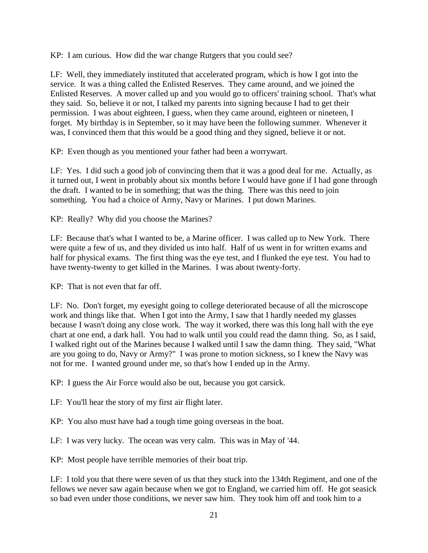KP: I am curious. How did the war change Rutgers that you could see?

LF: Well, they immediately instituted that accelerated program, which is how I got into the service. It was a thing called the Enlisted Reserves. They came around, and we joined the Enlisted Reserves. A mover called up and you would go to officers' training school. That's what they said. So, believe it or not, I talked my parents into signing because I had to get their permission. I was about eighteen, I guess, when they came around, eighteen or nineteen, I forget. My birthday is in September, so it may have been the following summer. Whenever it was, I convinced them that this would be a good thing and they signed, believe it or not.

KP: Even though as you mentioned your father had been a worrywart.

LF: Yes. I did such a good job of convincing them that it was a good deal for me. Actually, as it turned out, I went in probably about six months before I would have gone if I had gone through the draft. I wanted to be in something; that was the thing. There was this need to join something. You had a choice of Army, Navy or Marines. I put down Marines.

KP: Really? Why did you choose the Marines?

LF: Because that's what I wanted to be, a Marine officer. I was called up to New York. There were quite a few of us, and they divided us into half. Half of us went in for written exams and half for physical exams. The first thing was the eye test, and I flunked the eye test. You had to have twenty-twenty to get killed in the Marines. I was about twenty-forty.

KP: That is not even that far off.

LF: No. Don't forget, my eyesight going to college deteriorated because of all the microscope work and things like that. When I got into the Army, I saw that I hardly needed my glasses because I wasn't doing any close work. The way it worked, there was this long hall with the eye chart at one end, a dark hall. You had to walk until you could read the damn thing. So, as I said, I walked right out of the Marines because I walked until I saw the damn thing. They said, "What are you going to do, Navy or Army?" I was prone to motion sickness, so I knew the Navy was not for me. I wanted ground under me, so that's how I ended up in the Army.

KP: I guess the Air Force would also be out, because you got carsick.

LF: You'll hear the story of my first air flight later.

KP: You also must have had a tough time going overseas in the boat.

LF: I was very lucky. The ocean was very calm. This was in May of '44.

KP: Most people have terrible memories of their boat trip.

LF: I told you that there were seven of us that they stuck into the 134th Regiment, and one of the fellows we never saw again because when we got to England, we carried him off. He got seasick so bad even under those conditions, we never saw him. They took him off and took him to a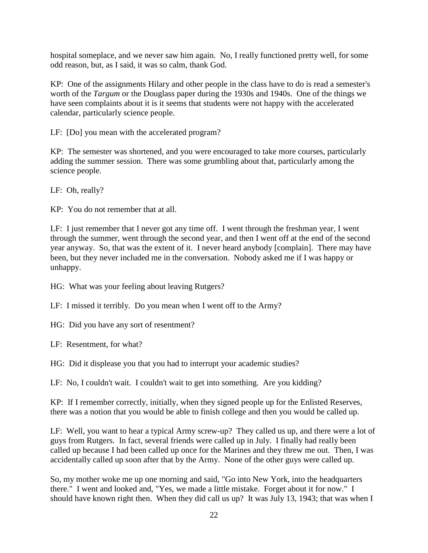hospital someplace, and we never saw him again. No, I really functioned pretty well, for some odd reason, but, as I said, it was so calm, thank God.

KP: One of the assignments Hilary and other people in the class have to do is read a semester's worth of the *Targum* or the Douglass paper during the 1930s and 1940s. One of the things we have seen complaints about it is it seems that students were not happy with the accelerated calendar, particularly science people.

LF: [Do] you mean with the accelerated program?

KP: The semester was shortened, and you were encouraged to take more courses, particularly adding the summer session. There was some grumbling about that, particularly among the science people.

LF: Oh, really?

KP: You do not remember that at all.

LF: I just remember that I never got any time off. I went through the freshman year, I went through the summer, went through the second year, and then I went off at the end of the second year anyway. So, that was the extent of it. I never heard anybody [complain]. There may have been, but they never included me in the conversation. Nobody asked me if I was happy or unhappy.

HG: What was your feeling about leaving Rutgers?

LF: I missed it terribly. Do you mean when I went off to the Army?

HG: Did you have any sort of resentment?

LF: Resentment, for what?

HG: Did it displease you that you had to interrupt your academic studies?

LF: No, I couldn't wait. I couldn't wait to get into something. Are you kidding?

KP: If I remember correctly, initially, when they signed people up for the Enlisted Reserves, there was a notion that you would be able to finish college and then you would be called up.

LF: Well, you want to hear a typical Army screw-up? They called us up, and there were a lot of guys from Rutgers. In fact, several friends were called up in July. I finally had really been called up because I had been called up once for the Marines and they threw me out. Then, I was accidentally called up soon after that by the Army. None of the other guys were called up.

So, my mother woke me up one morning and said, "Go into New York, into the headquarters there." I went and looked and, "Yes, we made a little mistake. Forget about it for now." I should have known right then. When they did call us up? It was July 13, 1943; that was when I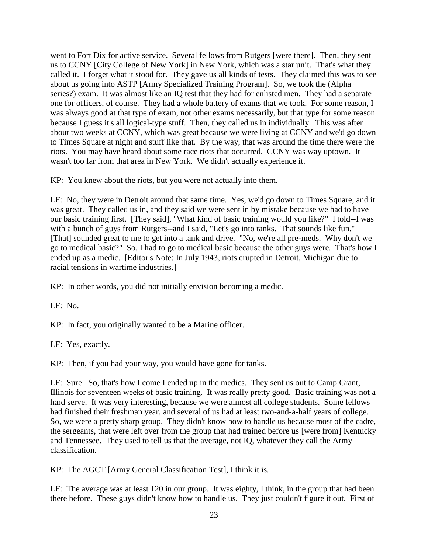went to Fort Dix for active service. Several fellows from Rutgers [were there]. Then, they sent us to CCNY [City College of New York] in New York, which was a star unit. That's what they called it. I forget what it stood for. They gave us all kinds of tests. They claimed this was to see about us going into ASTP [Army Specialized Training Program]. So, we took the (Alpha series?) exam. It was almost like an IQ test that they had for enlisted men. They had a separate one for officers, of course. They had a whole battery of exams that we took. For some reason, I was always good at that type of exam, not other exams necessarily, but that type for some reason because I guess it's all logical-type stuff. Then, they called us in individually. This was after about two weeks at CCNY, which was great because we were living at CCNY and we'd go down to Times Square at night and stuff like that. By the way, that was around the time there were the riots. You may have heard about some race riots that occurred. CCNY was way uptown. It wasn't too far from that area in New York. We didn't actually experience it.

KP: You knew about the riots, but you were not actually into them.

LF: No, they were in Detroit around that same time. Yes, we'd go down to Times Square, and it was great. They called us in, and they said we were sent in by mistake because we had to have our basic training first. [They said], "What kind of basic training would you like?" I told--I was with a bunch of guys from Rutgers--and I said, "Let's go into tanks. That sounds like fun." [That] sounded great to me to get into a tank and drive. "No, we're all pre-meds. Why don't we go to medical basic?" So, I had to go to medical basic because the other guys were. That's how I ended up as a medic. [Editor's Note: In July 1943, riots erupted in Detroit, Michigan due to racial tensions in wartime industries.]

KP: In other words, you did not initially envision becoming a medic.

LF: No.

KP: In fact, you originally wanted to be a Marine officer.

LF: Yes, exactly.

KP: Then, if you had your way, you would have gone for tanks.

LF: Sure. So, that's how I come I ended up in the medics. They sent us out to Camp Grant, Illinois for seventeen weeks of basic training. It was really pretty good. Basic training was not a hard serve. It was very interesting, because we were almost all college students. Some fellows had finished their freshman year, and several of us had at least two-and-a-half years of college. So, we were a pretty sharp group. They didn't know how to handle us because most of the cadre, the sergeants, that were left over from the group that had trained before us [were from] Kentucky and Tennessee. They used to tell us that the average, not IQ, whatever they call the Army classification.

KP: The AGCT [Army General Classification Test], I think it is.

LF: The average was at least 120 in our group. It was eighty, I think, in the group that had been there before. These guys didn't know how to handle us. They just couldn't figure it out. First of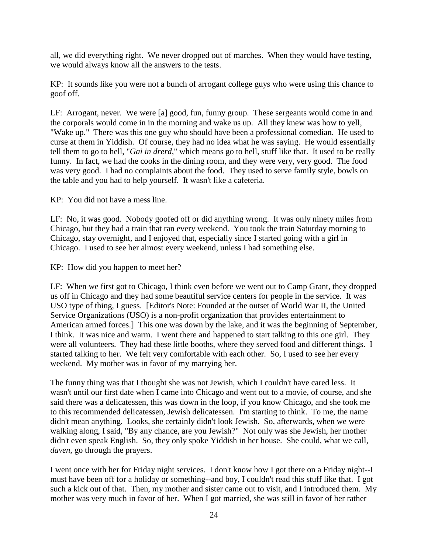all, we did everything right. We never dropped out of marches. When they would have testing, we would always know all the answers to the tests.

KP: It sounds like you were not a bunch of arrogant college guys who were using this chance to goof off.

LF: Arrogant, never. We were [a] good, fun, funny group. These sergeants would come in and the corporals would come in in the morning and wake us up. All they knew was how to yell, "Wake up." There was this one guy who should have been a professional comedian. He used to curse at them in Yiddish. Of course, they had no idea what he was saying. He would essentially tell them to go to hell, "*Gai in drerd*," which means go to hell, stuff like that. It used to be really funny. In fact, we had the cooks in the dining room, and they were very, very good. The food was very good. I had no complaints about the food. They used to serve family style, bowls on the table and you had to help yourself. It wasn't like a cafeteria.

KP: You did not have a mess line.

LF: No, it was good. Nobody goofed off or did anything wrong. It was only ninety miles from Chicago, but they had a train that ran every weekend. You took the train Saturday morning to Chicago, stay overnight, and I enjoyed that, especially since I started going with a girl in Chicago. I used to see her almost every weekend, unless I had something else.

KP: How did you happen to meet her?

LF: When we first got to Chicago, I think even before we went out to Camp Grant, they dropped us off in Chicago and they had some beautiful service centers for people in the service. It was USO type of thing, I guess. [Editor's Note: Founded at the outset of World War II, the United Service Organizations (USO) is a non-profit organization that provides entertainment to American armed forces.] This one was down by the lake, and it was the beginning of September, I think. It was nice and warm. I went there and happened to start talking to this one girl. They were all volunteers. They had these little booths, where they served food and different things. I started talking to her. We felt very comfortable with each other. So, I used to see her every weekend. My mother was in favor of my marrying her.

The funny thing was that I thought she was not Jewish, which I couldn't have cared less. It wasn't until our first date when I came into Chicago and went out to a movie, of course, and she said there was a delicatessen, this was down in the loop, if you know Chicago, and she took me to this recommended delicatessen, Jewish delicatessen. I'm starting to think. To me, the name didn't mean anything. Looks, she certainly didn't look Jewish. So, afterwards, when we were walking along, I said, "By any chance, are you Jewish?" Not only was she Jewish, her mother didn't even speak English. So, they only spoke Yiddish in her house. She could, what we call, *daven*, go through the prayers.

I went once with her for Friday night services. I don't know how I got there on a Friday night--I must have been off for a holiday or something--and boy, I couldn't read this stuff like that. I got such a kick out of that. Then, my mother and sister came out to visit, and I introduced them. My mother was very much in favor of her. When I got married, she was still in favor of her rather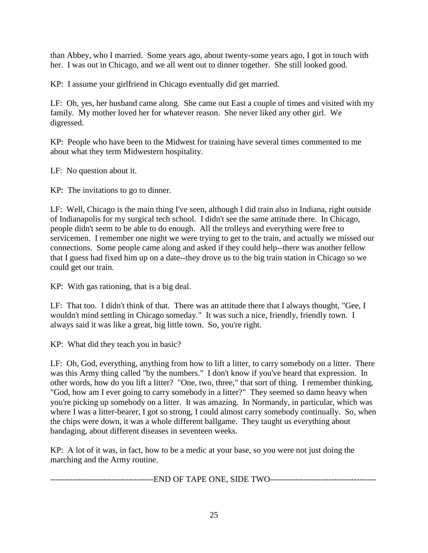than Abbey, who I married. Some years ago, about twenty-some years ago, I got in touch with her. I was out in Chicago, and we all went out to dinner together. She still looked good.

KP: I assume your girlfriend in Chicago eventually did get married.

LF: Oh, yes, her husband came along. She came out East a couple of times and visited with my family. My mother loved her for whatever reason. She never liked any other girl. We digressed.

KP: People who have been to the Midwest for training have several times commented to me about what they term Midwestern hospitality.

LF: No question about it.

KP: The invitations to go to dinner.

LF: Well, Chicago is the main thing I've seen, although I did train also in Indiana, right outside of Indianapolis for my surgical tech school. I didn't see the same attitude there. In Chicago, people didn't seem to be able to do enough. All the trolleys and everything were free to servicemen. I remember one night we were trying to get to the train, and actually we missed our connections. Some people came along and asked if they could help--there was another fellow that I guess had fixed him up on a date--they drove us to the big train station in Chicago so we could get our train.

KP: With gas rationing, that is a big deal.

LF: That too. I didn't think of that. There was an attitude there that I always thought, "Gee, I wouldn't mind settling in Chicago someday." It was such a nice, friendly, friendly town. I always said it was like a great, big little town. So, you're right.

KP: What did they teach you in basic?

LF: Oh, God, everything, anything from how to lift a litter, to carry somebody on a litter. There was this Army thing called "by the numbers." I don't know if you've heard that expression. In other words, how do you lift a litter? "One, two, three," that sort of thing. I remember thinking, "God, how am I ever going to carry somebody in a litter?" They seemed so damn heavy when you're picking up somebody on a litter. It was amazing. In Normandy, in particular, which was where I was a litter-bearer, I got so strong, I could almost carry somebody continually. So, when the chips were down, it was a whole different ballgame. They taught us everything about bandaging, about different diseases in seventeen weeks.

KP: A lot of it was, in fact, how to be a medic at your base, so you were not just doing the marching and the Army routine.

----------------------------END OF TAPE ONE, SIDE TWO----------------------------------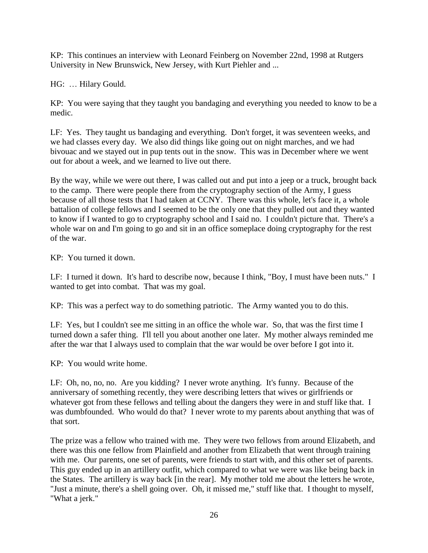KP: This continues an interview with Leonard Feinberg on November 22nd, 1998 at Rutgers University in New Brunswick, New Jersey, with Kurt Piehler and ...

HG: … Hilary Gould.

KP: You were saying that they taught you bandaging and everything you needed to know to be a medic.

LF: Yes. They taught us bandaging and everything. Don't forget, it was seventeen weeks, and we had classes every day. We also did things like going out on night marches, and we had bivouac and we stayed out in pup tents out in the snow. This was in December where we went out for about a week, and we learned to live out there.

By the way, while we were out there, I was called out and put into a jeep or a truck, brought back to the camp. There were people there from the cryptography section of the Army, I guess because of all those tests that I had taken at CCNY. There was this whole, let's face it, a whole battalion of college fellows and I seemed to be the only one that they pulled out and they wanted to know if I wanted to go to cryptography school and I said no. I couldn't picture that. There's a whole war on and I'm going to go and sit in an office someplace doing cryptography for the rest of the war.

KP: You turned it down.

LF: I turned it down. It's hard to describe now, because I think, "Boy, I must have been nuts." I wanted to get into combat. That was my goal.

KP: This was a perfect way to do something patriotic. The Army wanted you to do this.

LF: Yes, but I couldn't see me sitting in an office the whole war. So, that was the first time I turned down a safer thing. I'll tell you about another one later. My mother always reminded me after the war that I always used to complain that the war would be over before I got into it.

KP: You would write home.

LF: Oh, no, no, no. Are you kidding? I never wrote anything. It's funny. Because of the anniversary of something recently, they were describing letters that wives or girlfriends or whatever got from these fellows and telling about the dangers they were in and stuff like that. I was dumbfounded. Who would do that? I never wrote to my parents about anything that was of that sort.

The prize was a fellow who trained with me. They were two fellows from around Elizabeth, and there was this one fellow from Plainfield and another from Elizabeth that went through training with me. Our parents, one set of parents, were friends to start with, and this other set of parents. This guy ended up in an artillery outfit, which compared to what we were was like being back in the States. The artillery is way back [in the rear]. My mother told me about the letters he wrote, "Just a minute, there's a shell going over. Oh, it missed me," stuff like that. I thought to myself, "What a jerk."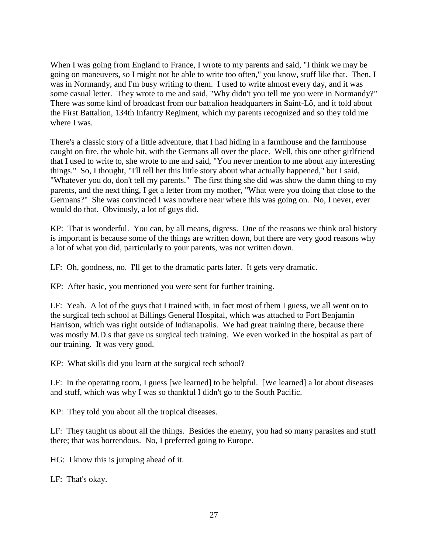When I was going from England to France, I wrote to my parents and said, "I think we may be going on maneuvers, so I might not be able to write too often," you know, stuff like that. Then, I was in Normandy, and I'm busy writing to them. I used to write almost every day, and it was some casual letter. They wrote to me and said, "Why didn't you tell me you were in Normandy?" There was some kind of broadcast from our battalion headquarters in Saint-Lô, and it told about the First Battalion, 134th Infantry Regiment, which my parents recognized and so they told me where I was.

There's a classic story of a little adventure, that I had hiding in a farmhouse and the farmhouse caught on fire, the whole bit, with the Germans all over the place. Well, this one other girlfriend that I used to write to, she wrote to me and said, "You never mention to me about any interesting things." So, I thought, "I'll tell her this little story about what actually happened," but I said, "Whatever you do, don't tell my parents." The first thing she did was show the damn thing to my parents, and the next thing, I get a letter from my mother, "What were you doing that close to the Germans?" She was convinced I was nowhere near where this was going on. No, I never, ever would do that. Obviously, a lot of guys did.

KP: That is wonderful. You can, by all means, digress. One of the reasons we think oral history is important is because some of the things are written down, but there are very good reasons why a lot of what you did, particularly to your parents, was not written down.

LF: Oh, goodness, no. I'll get to the dramatic parts later. It gets very dramatic.

KP: After basic, you mentioned you were sent for further training.

LF: Yeah. A lot of the guys that I trained with, in fact most of them I guess, we all went on to the surgical tech school at Billings General Hospital, which was attached to Fort Benjamin Harrison, which was right outside of Indianapolis. We had great training there, because there was mostly M.D.s that gave us surgical tech training. We even worked in the hospital as part of our training. It was very good.

KP: What skills did you learn at the surgical tech school?

LF: In the operating room, I guess [we learned] to be helpful. [We learned] a lot about diseases and stuff, which was why I was so thankful I didn't go to the South Pacific.

KP: They told you about all the tropical diseases.

LF: They taught us about all the things. Besides the enemy, you had so many parasites and stuff there; that was horrendous. No, I preferred going to Europe.

HG: I know this is jumping ahead of it.

LF: That's okay.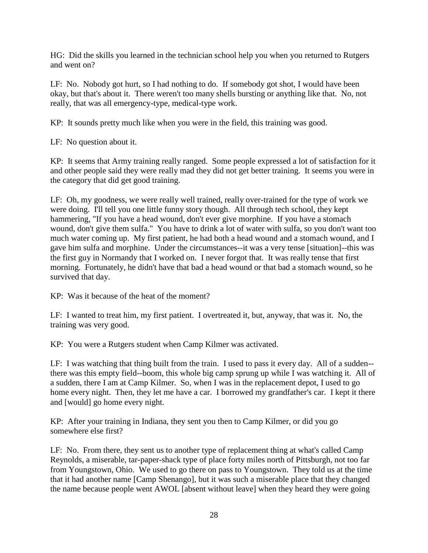HG: Did the skills you learned in the technician school help you when you returned to Rutgers and went on?

LF: No. Nobody got hurt, so I had nothing to do. If somebody got shot, I would have been okay, but that's about it. There weren't too many shells bursting or anything like that. No, not really, that was all emergency-type, medical-type work.

KP: It sounds pretty much like when you were in the field, this training was good.

LF: No question about it.

KP: It seems that Army training really ranged. Some people expressed a lot of satisfaction for it and other people said they were really mad they did not get better training. It seems you were in the category that did get good training.

LF: Oh, my goodness, we were really well trained, really over-trained for the type of work we were doing. I'll tell you one little funny story though. All through tech school, they kept hammering, "If you have a head wound, don't ever give morphine. If you have a stomach wound, don't give them sulfa." You have to drink a lot of water with sulfa, so you don't want too much water coming up. My first patient, he had both a head wound and a stomach wound, and I gave him sulfa and morphine. Under the circumstances--it was a very tense [situation]--this was the first guy in Normandy that I worked on. I never forgot that. It was really tense that first morning. Fortunately, he didn't have that bad a head wound or that bad a stomach wound, so he survived that day.

KP: Was it because of the heat of the moment?

LF: I wanted to treat him, my first patient. I overtreated it, but, anyway, that was it. No, the training was very good.

KP: You were a Rutgers student when Camp Kilmer was activated.

LF: I was watching that thing built from the train. I used to pass it every day. All of a sudden- there was this empty field--boom, this whole big camp sprung up while I was watching it. All of a sudden, there I am at Camp Kilmer. So, when I was in the replacement depot, I used to go home every night. Then, they let me have a car. I borrowed my grandfather's car. I kept it there and [would] go home every night.

KP: After your training in Indiana, they sent you then to Camp Kilmer, or did you go somewhere else first?

LF: No. From there, they sent us to another type of replacement thing at what's called Camp Reynolds, a miserable, tar-paper-shack type of place forty miles north of Pittsburgh, not too far from Youngstown, Ohio. We used to go there on pass to Youngstown. They told us at the time that it had another name [Camp Shenango], but it was such a miserable place that they changed the name because people went AWOL [absent without leave] when they heard they were going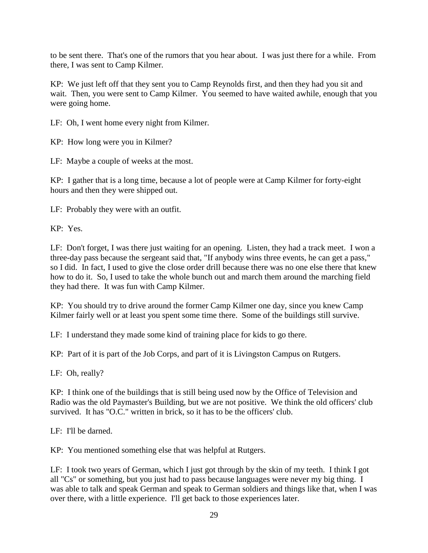to be sent there. That's one of the rumors that you hear about. I was just there for a while. From there, I was sent to Camp Kilmer.

KP: We just left off that they sent you to Camp Reynolds first, and then they had you sit and wait. Then, you were sent to Camp Kilmer. You seemed to have waited awhile, enough that you were going home.

LF: Oh, I went home every night from Kilmer.

KP: How long were you in Kilmer?

LF: Maybe a couple of weeks at the most.

KP: I gather that is a long time, because a lot of people were at Camp Kilmer for forty-eight hours and then they were shipped out.

LF: Probably they were with an outfit.

KP: Yes.

LF: Don't forget, I was there just waiting for an opening. Listen, they had a track meet. I won a three-day pass because the sergeant said that, "If anybody wins three events, he can get a pass," so I did. In fact, I used to give the close order drill because there was no one else there that knew how to do it. So, I used to take the whole bunch out and march them around the marching field they had there. It was fun with Camp Kilmer.

KP: You should try to drive around the former Camp Kilmer one day, since you knew Camp Kilmer fairly well or at least you spent some time there. Some of the buildings still survive.

LF: I understand they made some kind of training place for kids to go there.

KP: Part of it is part of the Job Corps, and part of it is Livingston Campus on Rutgers.

LF: Oh, really?

KP: I think one of the buildings that is still being used now by the Office of Television and Radio was the old Paymaster's Building, but we are not positive. We think the old officers' club survived. It has "O.C." written in brick, so it has to be the officers' club.

LF: I'll be darned.

KP: You mentioned something else that was helpful at Rutgers.

LF: I took two years of German, which I just got through by the skin of my teeth. I think I got all "Cs" or something, but you just had to pass because languages were never my big thing. I was able to talk and speak German and speak to German soldiers and things like that, when I was over there, with a little experience. I'll get back to those experiences later.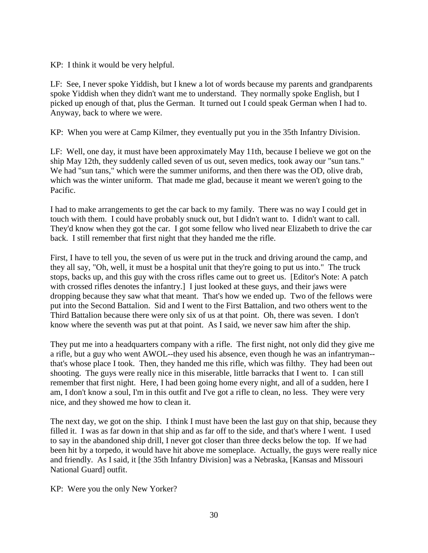KP: I think it would be very helpful.

LF: See, I never spoke Yiddish, but I knew a lot of words because my parents and grandparents spoke Yiddish when they didn't want me to understand. They normally spoke English, but I picked up enough of that, plus the German. It turned out I could speak German when I had to. Anyway, back to where we were.

KP: When you were at Camp Kilmer, they eventually put you in the 35th Infantry Division.

LF: Well, one day, it must have been approximately May 11th, because I believe we got on the ship May 12th, they suddenly called seven of us out, seven medics, took away our "sun tans." We had "sun tans," which were the summer uniforms, and then there was the OD, olive drab, which was the winter uniform. That made me glad, because it meant we weren't going to the Pacific.

I had to make arrangements to get the car back to my family. There was no way I could get in touch with them. I could have probably snuck out, but I didn't want to. I didn't want to call. They'd know when they got the car. I got some fellow who lived near Elizabeth to drive the car back. I still remember that first night that they handed me the rifle.

First, I have to tell you, the seven of us were put in the truck and driving around the camp, and they all say, "Oh, well, it must be a hospital unit that they're going to put us into." The truck stops, backs up, and this guy with the cross rifles came out to greet us. [Editor's Note: A patch with crossed rifles denotes the infantry.] I just looked at these guys, and their jaws were dropping because they saw what that meant. That's how we ended up. Two of the fellows were put into the Second Battalion. Sid and I went to the First Battalion, and two others went to the Third Battalion because there were only six of us at that point. Oh, there was seven. I don't know where the seventh was put at that point. As I said, we never saw him after the ship.

They put me into a headquarters company with a rifle. The first night, not only did they give me a rifle, but a guy who went AWOL--they used his absence, even though he was an infantryman- that's whose place I took. Then, they handed me this rifle, which was filthy. They had been out shooting. The guys were really nice in this miserable, little barracks that I went to. I can still remember that first night. Here, I had been going home every night, and all of a sudden, here I am, I don't know a soul, I'm in this outfit and I've got a rifle to clean, no less. They were very nice, and they showed me how to clean it.

The next day, we got on the ship. I think I must have been the last guy on that ship, because they filled it. I was as far down in that ship and as far off to the side, and that's where I went. I used to say in the abandoned ship drill, I never got closer than three decks below the top. If we had been hit by a torpedo, it would have hit above me someplace. Actually, the guys were really nice and friendly. As I said, it [the 35th Infantry Division] was a Nebraska, [Kansas and Missouri National Guard] outfit.

KP: Were you the only New Yorker?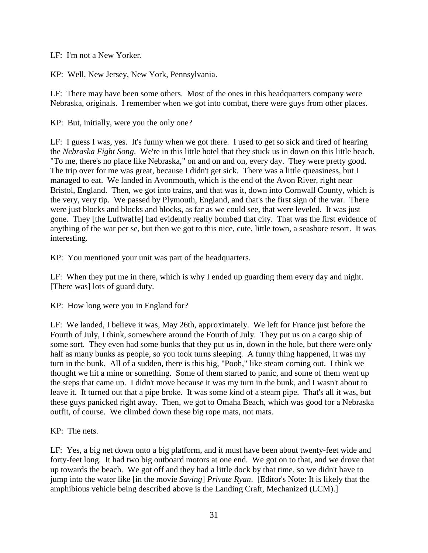LF: I'm not a New Yorker.

KP: Well, New Jersey, New York, Pennsylvania.

LF: There may have been some others. Most of the ones in this headquarters company were Nebraska, originals. I remember when we got into combat, there were guys from other places.

KP: But, initially, were you the only one?

LF: I guess I was, yes. It's funny when we got there. I used to get so sick and tired of hearing the *Nebraska Fight Song*. We're in this little hotel that they stuck us in down on this little beach. "To me, there's no place like Nebraska," on and on and on, every day. They were pretty good. The trip over for me was great, because I didn't get sick. There was a little queasiness, but I managed to eat. We landed in Avonmouth, which is the end of the Avon River, right near Bristol, England. Then, we got into trains, and that was it, down into Cornwall County, which is the very, very tip. We passed by Plymouth, England, and that's the first sign of the war. There were just blocks and blocks and blocks, as far as we could see, that were leveled. It was just gone. They [the Luftwaffe] had evidently really bombed that city. That was the first evidence of anything of the war per se, but then we got to this nice, cute, little town, a seashore resort. It was interesting.

KP: You mentioned your unit was part of the headquarters.

LF: When they put me in there, which is why I ended up guarding them every day and night. [There was] lots of guard duty.

KP: How long were you in England for?

LF: We landed, I believe it was, May 26th, approximately. We left for France just before the Fourth of July, I think, somewhere around the Fourth of July. They put us on a cargo ship of some sort. They even had some bunks that they put us in, down in the hole, but there were only half as many bunks as people, so you took turns sleeping. A funny thing happened, it was my turn in the bunk. All of a sudden, there is this big, "Pooh," like steam coming out. I think we thought we hit a mine or something. Some of them started to panic, and some of them went up the steps that came up. I didn't move because it was my turn in the bunk, and I wasn't about to leave it. It turned out that a pipe broke. It was some kind of a steam pipe. That's all it was, but these guys panicked right away. Then, we got to Omaha Beach, which was good for a Nebraska outfit, of course. We climbed down these big rope mats, not mats.

KP: The nets.

LF: Yes, a big net down onto a big platform, and it must have been about twenty-feet wide and forty-feet long. It had two big outboard motors at one end. We got on to that, and we drove that up towards the beach. We got off and they had a little dock by that time, so we didn't have to jump into the water like [in the movie *Saving*] *Private Ryan*. [Editor's Note: It is likely that the amphibious vehicle being described above is the Landing Craft, Mechanized (LCM).]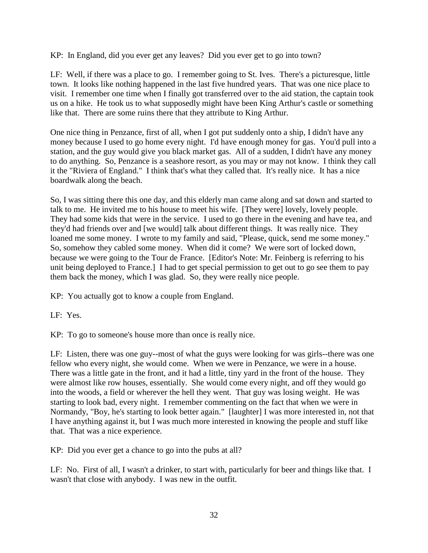KP: In England, did you ever get any leaves? Did you ever get to go into town?

LF: Well, if there was a place to go. I remember going to St. Ives. There's a picturesque, little town. It looks like nothing happened in the last five hundred years. That was one nice place to visit. I remember one time when I finally got transferred over to the aid station, the captain took us on a hike. He took us to what supposedly might have been King Arthur's castle or something like that. There are some ruins there that they attribute to King Arthur.

One nice thing in Penzance, first of all, when I got put suddenly onto a ship, I didn't have any money because I used to go home every night. I'd have enough money for gas. You'd pull into a station, and the guy would give you black market gas. All of a sudden, I didn't have any money to do anything. So, Penzance is a seashore resort, as you may or may not know. I think they call it the "Riviera of England." I think that's what they called that. It's really nice. It has a nice boardwalk along the beach.

So, I was sitting there this one day, and this elderly man came along and sat down and started to talk to me. He invited me to his house to meet his wife. [They were] lovely, lovely people. They had some kids that were in the service. I used to go there in the evening and have tea, and they'd had friends over and [we would] talk about different things. It was really nice. They loaned me some money. I wrote to my family and said, "Please, quick, send me some money." So, somehow they cabled some money. When did it come? We were sort of locked down, because we were going to the Tour de France. [Editor's Note: Mr. Feinberg is referring to his unit being deployed to France.] I had to get special permission to get out to go see them to pay them back the money, which I was glad. So, they were really nice people.

KP: You actually got to know a couple from England.

LF: Yes.

KP: To go to someone's house more than once is really nice.

LF: Listen, there was one guy--most of what the guys were looking for was girls--there was one fellow who every night, she would come. When we were in Penzance, we were in a house. There was a little gate in the front, and it had a little, tiny yard in the front of the house. They were almost like row houses, essentially. She would come every night, and off they would go into the woods, a field or wherever the hell they went. That guy was losing weight. He was starting to look bad, every night. I remember commenting on the fact that when we were in Normandy, "Boy, he's starting to look better again." [laughter] I was more interested in, not that I have anything against it, but I was much more interested in knowing the people and stuff like that. That was a nice experience.

KP: Did you ever get a chance to go into the pubs at all?

LF: No. First of all, I wasn't a drinker, to start with, particularly for beer and things like that. I wasn't that close with anybody. I was new in the outfit.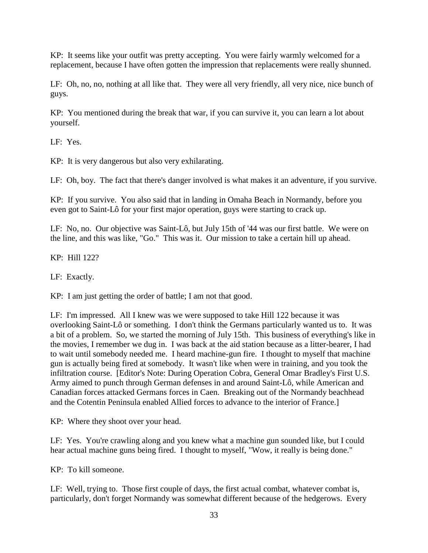KP: It seems like your outfit was pretty accepting. You were fairly warmly welcomed for a replacement, because I have often gotten the impression that replacements were really shunned.

LF: Oh, no, no, nothing at all like that. They were all very friendly, all very nice, nice bunch of guys.

KP: You mentioned during the break that war, if you can survive it, you can learn a lot about yourself.

LF: Yes.

KP: It is very dangerous but also very exhilarating.

LF: Oh, boy. The fact that there's danger involved is what makes it an adventure, if you survive.

KP: If you survive. You also said that in landing in Omaha Beach in Normandy, before you even got to Saint-Lô for your first major operation, guys were starting to crack up.

LF: No, no. Our objective was Saint-Lô, but July 15th of '44 was our first battle. We were on the line, and this was like, "Go." This was it. Our mission to take a certain hill up ahead.

KP: Hill 122?

LF: Exactly.

KP: I am just getting the order of battle; I am not that good.

LF: I'm impressed. All I knew was we were supposed to take Hill 122 because it was overlooking Saint-Lô or something. I don't think the Germans particularly wanted us to. It was a bit of a problem. So, we started the morning of July 15th. This business of everything's like in the movies, I remember we dug in. I was back at the aid station because as a litter-bearer, I had to wait until somebody needed me. I heard machine-gun fire. I thought to myself that machine gun is actually being fired at somebody. It wasn't like when were in training, and you took the infiltration course. [Editor's Note: During Operation Cobra, General Omar Bradley's First U.S. Army aimed to punch through German defenses in and around Saint-Lô, while American and Canadian forces attacked Germans forces in Caen. Breaking out of the Normandy beachhead and the Cotentin Peninsula enabled Allied forces to advance to the interior of France.]

KP: Where they shoot over your head.

LF: Yes. You're crawling along and you knew what a machine gun sounded like, but I could hear actual machine guns being fired. I thought to myself, "Wow, it really is being done."

KP: To kill someone.

LF: Well, trying to. Those first couple of days, the first actual combat, whatever combat is, particularly, don't forget Normandy was somewhat different because of the hedgerows. Every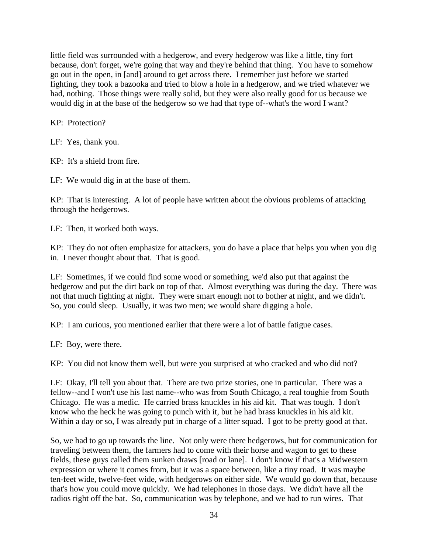little field was surrounded with a hedgerow, and every hedgerow was like a little, tiny fort because, don't forget, we're going that way and they're behind that thing. You have to somehow go out in the open, in [and] around to get across there. I remember just before we started fighting, they took a bazooka and tried to blow a hole in a hedgerow, and we tried whatever we had, nothing. Those things were really solid, but they were also really good for us because we would dig in at the base of the hedgerow so we had that type of--what's the word I want?

KP: Protection?

LF: Yes, thank you.

KP: It's a shield from fire.

LF: We would dig in at the base of them.

KP: That is interesting. A lot of people have written about the obvious problems of attacking through the hedgerows.

LF: Then, it worked both ways.

KP: They do not often emphasize for attackers, you do have a place that helps you when you dig in. I never thought about that. That is good.

LF: Sometimes, if we could find some wood or something, we'd also put that against the hedgerow and put the dirt back on top of that. Almost everything was during the day. There was not that much fighting at night. They were smart enough not to bother at night, and we didn't. So, you could sleep. Usually, it was two men; we would share digging a hole.

KP: I am curious, you mentioned earlier that there were a lot of battle fatigue cases.

LF: Boy, were there.

KP: You did not know them well, but were you surprised at who cracked and who did not?

LF: Okay, I'll tell you about that. There are two prize stories, one in particular. There was a fellow--and I won't use his last name--who was from South Chicago, a real toughie from South Chicago. He was a medic. He carried brass knuckles in his aid kit. That was tough. I don't know who the heck he was going to punch with it, but he had brass knuckles in his aid kit. Within a day or so, I was already put in charge of a litter squad. I got to be pretty good at that.

So, we had to go up towards the line. Not only were there hedgerows, but for communication for traveling between them, the farmers had to come with their horse and wagon to get to these fields, these guys called them sunken draws [road or lane]. I don't know if that's a Midwestern expression or where it comes from, but it was a space between, like a tiny road. It was maybe ten-feet wide, twelve-feet wide, with hedgerows on either side. We would go down that, because that's how you could move quickly. We had telephones in those days. We didn't have all the radios right off the bat. So, communication was by telephone, and we had to run wires. That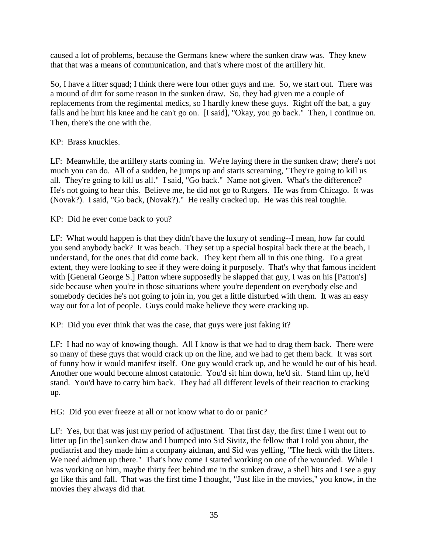caused a lot of problems, because the Germans knew where the sunken draw was. They knew that that was a means of communication, and that's where most of the artillery hit.

So, I have a litter squad; I think there were four other guys and me. So, we start out. There was a mound of dirt for some reason in the sunken draw. So, they had given me a couple of replacements from the regimental medics, so I hardly knew these guys. Right off the bat, a guy falls and he hurt his knee and he can't go on. [I said], "Okay, you go back." Then, I continue on. Then, there's the one with the.

KP: Brass knuckles.

LF: Meanwhile, the artillery starts coming in. We're laying there in the sunken draw; there's not much you can do. All of a sudden, he jumps up and starts screaming, "They're going to kill us all. They're going to kill us all." I said, "Go back." Name not given. What's the difference? He's not going to hear this. Believe me, he did not go to Rutgers. He was from Chicago. It was (Novak?). I said, "Go back, (Novak?)." He really cracked up. He was this real toughie.

KP: Did he ever come back to you?

LF: What would happen is that they didn't have the luxury of sending--I mean, how far could you send anybody back? It was beach. They set up a special hospital back there at the beach, I understand, for the ones that did come back. They kept them all in this one thing. To a great extent, they were looking to see if they were doing it purposely. That's why that famous incident with [General George S.] Patton where supposedly he slapped that guy, I was on his [Patton's] side because when you're in those situations where you're dependent on everybody else and somebody decides he's not going to join in, you get a little disturbed with them. It was an easy way out for a lot of people. Guys could make believe they were cracking up.

KP: Did you ever think that was the case, that guys were just faking it?

LF: I had no way of knowing though. All I know is that we had to drag them back. There were so many of these guys that would crack up on the line, and we had to get them back. It was sort of funny how it would manifest itself. One guy would crack up, and he would be out of his head. Another one would become almost catatonic. You'd sit him down, he'd sit. Stand him up, he'd stand. You'd have to carry him back. They had all different levels of their reaction to cracking up.

HG: Did you ever freeze at all or not know what to do or panic?

LF: Yes, but that was just my period of adjustment. That first day, the first time I went out to litter up [in the] sunken draw and I bumped into Sid Sivitz, the fellow that I told you about, the podiatrist and they made him a company aidman, and Sid was yelling, "The heck with the litters. We need aidmen up there." That's how come I started working on one of the wounded. While I was working on him, maybe thirty feet behind me in the sunken draw, a shell hits and I see a guy go like this and fall. That was the first time I thought, "Just like in the movies," you know, in the movies they always did that.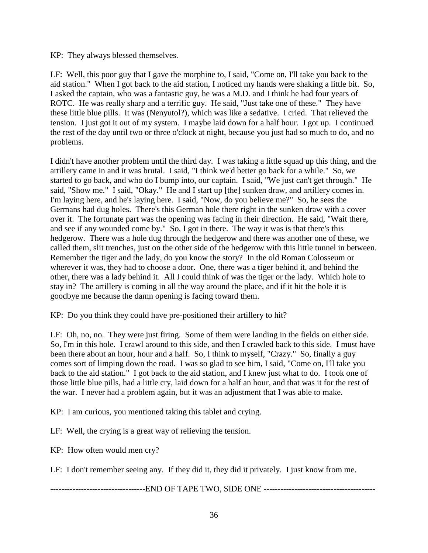### KP: They always blessed themselves.

LF: Well, this poor guy that I gave the morphine to, I said, "Come on, I'll take you back to the aid station." When I got back to the aid station, I noticed my hands were shaking a little bit. So, I asked the captain, who was a fantastic guy, he was a M.D. and I think he had four years of ROTC. He was really sharp and a terrific guy. He said, "Just take one of these." They have these little blue pills. It was (Nenyutol?), which was like a sedative. I cried. That relieved the tension. I just got it out of my system. I maybe laid down for a half hour. I got up. I continued the rest of the day until two or three o'clock at night, because you just had so much to do, and no problems.

I didn't have another problem until the third day. I was taking a little squad up this thing, and the artillery came in and it was brutal. I said, "I think we'd better go back for a while." So, we started to go back, and who do I bump into, our captain. I said, "We just can't get through." He said, "Show me." I said, "Okay." He and I start up [the] sunken draw, and artillery comes in. I'm laying here, and he's laying here. I said, "Now, do you believe me?" So, he sees the Germans had dug holes. There's this German hole there right in the sunken draw with a cover over it. The fortunate part was the opening was facing in their direction. He said, "Wait there, and see if any wounded come by." So, I got in there. The way it was is that there's this hedgerow. There was a hole dug through the hedgerow and there was another one of these, we called them, slit trenches, just on the other side of the hedgerow with this little tunnel in between. Remember the tiger and the lady, do you know the story? In the old Roman Colosseum or wherever it was, they had to choose a door. One, there was a tiger behind it, and behind the other, there was a lady behind it. All I could think of was the tiger or the lady. Which hole to stay in? The artillery is coming in all the way around the place, and if it hit the hole it is goodbye me because the damn opening is facing toward them.

KP: Do you think they could have pre-positioned their artillery to hit?

LF: Oh, no, no. They were just firing. Some of them were landing in the fields on either side. So, I'm in this hole. I crawl around to this side, and then I crawled back to this side. I must have been there about an hour, hour and a half. So, I think to myself, "Crazy." So, finally a guy comes sort of limping down the road. I was so glad to see him, I said, "Come on, I'll take you back to the aid station." I got back to the aid station, and I knew just what to do. I took one of those little blue pills, had a little cry, laid down for a half an hour, and that was it for the rest of the war. I never had a problem again, but it was an adjustment that I was able to make.

KP: I am curious, you mentioned taking this tablet and crying.

LF: Well, the crying is a great way of relieving the tension.

KP: How often would men cry?

LF: I don't remember seeing any. If they did it, they did it privately. I just know from me.

----------------------------------END OF TAPE TWO, SIDE ONE ----------------------------------------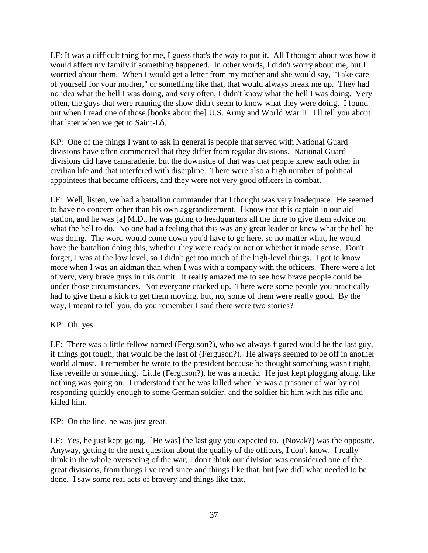LF: It was a difficult thing for me, I guess that's the way to put it. All I thought about was how it would affect my family if something happened. In other words, I didn't worry about me, but I worried about them. When I would get a letter from my mother and she would say, "Take care of yourself for your mother," or something like that, that would always break me up. They had no idea what the hell I was doing, and very often, I didn't know what the hell I was doing. Very often, the guys that were running the show didn't seem to know what they were doing. I found out when I read one of those [books about the] U.S. Army and World War II. I'll tell you about that later when we get to Saint-Lô.

KP: One of the things I want to ask in general is people that served with National Guard divisions have often commented that they differ from regular divisions. National Guard divisions did have camaraderie, but the downside of that was that people knew each other in civilian life and that interfered with discipline. There were also a high number of political appointees that became officers, and they were not very good officers in combat.

LF: Well, listen, we had a battalion commander that I thought was very inadequate. He seemed to have no concern other than his own aggrandizement. I know that this captain in our aid station, and he was [a] M.D., he was going to headquarters all the time to give them advice on what the hell to do. No one had a feeling that this was any great leader or knew what the hell he was doing. The word would come down you'd have to go here, so no matter what, he would have the battalion doing this, whether they were ready or not or whether it made sense. Don't forget, I was at the low level, so I didn't get too much of the high-level things. I got to know more when I was an aidman than when I was with a company with the officers. There were a lot of very, very brave guys in this outfit. It really amazed me to see how brave people could be under those circumstances. Not everyone cracked up. There were some people you practically had to give them a kick to get them moving, but, no, some of them were really good. By the way, I meant to tell you, do you remember I said there were two stories?

KP: Oh, yes.

LF: There was a little fellow named (Ferguson?), who we always figured would be the last guy, if things got tough, that would be the last of (Ferguson?). He always seemed to be off in another world almost. I remember he wrote to the president because he thought something wasn't right, like reveille or something. Little (Ferguson?), he was a medic. He just kept plugging along, like nothing was going on. I understand that he was killed when he was a prisoner of war by not responding quickly enough to some German soldier, and the soldier hit him with his rifle and killed him.

KP: On the line, he was just great.

LF: Yes, he just kept going. [He was] the last guy you expected to. (Novak?) was the opposite. Anyway, getting to the next question about the quality of the officers, I don't know. I really think in the whole overseeing of the war, I don't think our division was considered one of the great divisions, from things I've read since and things like that, but [we did] what needed to be done. I saw some real acts of bravery and things like that.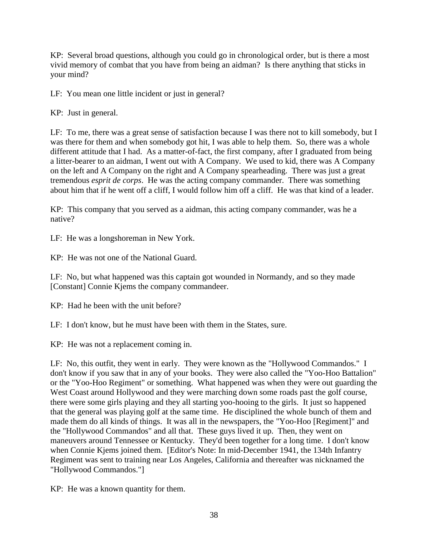KP: Several broad questions, although you could go in chronological order, but is there a most vivid memory of combat that you have from being an aidman? Is there anything that sticks in your mind?

LF: You mean one little incident or just in general?

KP: Just in general.

LF: To me, there was a great sense of satisfaction because I was there not to kill somebody, but I was there for them and when somebody got hit, I was able to help them. So, there was a whole different attitude that I had. As a matter-of-fact, the first company, after I graduated from being a litter-bearer to an aidman, I went out with A Company. We used to kid, there was A Company on the left and A Company on the right and A Company spearheading. There was just a great tremendous *esprit de corps*. He was the acting company commander. There was something about him that if he went off a cliff, I would follow him off a cliff. He was that kind of a leader.

KP: This company that you served as a aidman, this acting company commander, was he a native?

LF: He was a longshoreman in New York.

KP: He was not one of the National Guard.

LF: No, but what happened was this captain got wounded in Normandy, and so they made [Constant] Connie Kjems the company commandeer.

KP: Had he been with the unit before?

LF: I don't know, but he must have been with them in the States, sure.

KP: He was not a replacement coming in.

LF: No, this outfit, they went in early. They were known as the "Hollywood Commandos." I don't know if you saw that in any of your books. They were also called the "Yoo-Hoo Battalion" or the "Yoo-Hoo Regiment" or something. What happened was when they were out guarding the West Coast around Hollywood and they were marching down some roads past the golf course, there were some girls playing and they all starting yoo-hooing to the girls. It just so happened that the general was playing golf at the same time. He disciplined the whole bunch of them and made them do all kinds of things. It was all in the newspapers, the "Yoo-Hoo [Regiment]" and the "Hollywood Commandos" and all that. These guys lived it up. Then, they went on maneuvers around Tennessee or Kentucky. They'd been together for a long time. I don't know when Connie Kjems joined them. [Editor's Note: In mid-December 1941, the 134th Infantry Regiment was sent to training near Los Angeles, California and thereafter was nicknamed the "Hollywood Commandos."]

KP: He was a known quantity for them.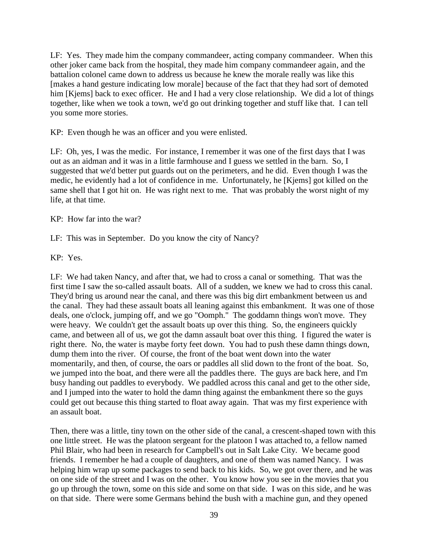LF: Yes. They made him the company commandeer, acting company commandeer. When this other joker came back from the hospital, they made him company commandeer again, and the battalion colonel came down to address us because he knew the morale really was like this [makes a hand gesture indicating low morale] because of the fact that they had sort of demoted him [Kjems] back to exec officer. He and I had a very close relationship. We did a lot of things together, like when we took a town, we'd go out drinking together and stuff like that. I can tell you some more stories.

KP: Even though he was an officer and you were enlisted.

LF: Oh, yes, I was the medic. For instance, I remember it was one of the first days that I was out as an aidman and it was in a little farmhouse and I guess we settled in the barn. So, I suggested that we'd better put guards out on the perimeters, and he did. Even though I was the medic, he evidently had a lot of confidence in me. Unfortunately, he [Kjems] got killed on the same shell that I got hit on. He was right next to me. That was probably the worst night of my life, at that time.

KP: How far into the war?

LF: This was in September. Do you know the city of Nancy?

KP: Yes.

LF: We had taken Nancy, and after that, we had to cross a canal or something. That was the first time I saw the so-called assault boats. All of a sudden, we knew we had to cross this canal. They'd bring us around near the canal, and there was this big dirt embankment between us and the canal. They had these assault boats all leaning against this embankment. It was one of those deals, one o'clock, jumping off, and we go "Oomph." The goddamn things won't move. They were heavy. We couldn't get the assault boats up over this thing. So, the engineers quickly came, and between all of us, we got the damn assault boat over this thing. I figured the water is right there. No, the water is maybe forty feet down. You had to push these damn things down, dump them into the river. Of course, the front of the boat went down into the water momentarily, and then, of course, the oars or paddles all slid down to the front of the boat. So, we jumped into the boat, and there were all the paddles there. The guys are back here, and I'm busy handing out paddles to everybody. We paddled across this canal and get to the other side, and I jumped into the water to hold the damn thing against the embankment there so the guys could get out because this thing started to float away again. That was my first experience with an assault boat.

Then, there was a little, tiny town on the other side of the canal, a crescent-shaped town with this one little street. He was the platoon sergeant for the platoon I was attached to, a fellow named Phil Blair, who had been in research for Campbell's out in Salt Lake City. We became good friends. I remember he had a couple of daughters, and one of them was named Nancy. I was helping him wrap up some packages to send back to his kids. So, we got over there, and he was on one side of the street and I was on the other. You know how you see in the movies that you go up through the town, some on this side and some on that side. I was on this side, and he was on that side. There were some Germans behind the bush with a machine gun, and they opened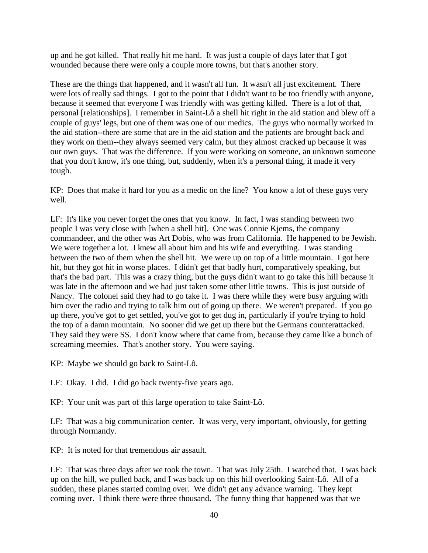up and he got killed. That really hit me hard. It was just a couple of days later that I got wounded because there were only a couple more towns, but that's another story.

These are the things that happened, and it wasn't all fun. It wasn't all just excitement. There were lots of really sad things. I got to the point that I didn't want to be too friendly with anyone, because it seemed that everyone I was friendly with was getting killed. There is a lot of that, personal [relationships]. I remember in Saint-Lô a shell hit right in the aid station and blew off a couple of guys' legs, but one of them was one of our medics. The guys who normally worked in the aid station--there are some that are in the aid station and the patients are brought back and they work on them--they always seemed very calm, but they almost cracked up because it was our own guys. That was the difference. If you were working on someone, an unknown someone that you don't know, it's one thing, but, suddenly, when it's a personal thing, it made it very tough.

KP: Does that make it hard for you as a medic on the line? You know a lot of these guys very well.

LF: It's like you never forget the ones that you know. In fact, I was standing between two people I was very close with [when a shell hit]. One was Connie Kjems, the company commandeer, and the other was Art Dobis, who was from California. He happened to be Jewish. We were together a lot. I knew all about him and his wife and everything. I was standing between the two of them when the shell hit. We were up on top of a little mountain. I got here hit, but they got hit in worse places. I didn't get that badly hurt, comparatively speaking, but that's the bad part. This was a crazy thing, but the guys didn't want to go take this hill because it was late in the afternoon and we had just taken some other little towns. This is just outside of Nancy. The colonel said they had to go take it. I was there while they were busy arguing with him over the radio and trying to talk him out of going up there. We weren't prepared. If you go up there, you've got to get settled, you've got to get dug in, particularly if you're trying to hold the top of a damn mountain. No sooner did we get up there but the Germans counterattacked. They said they were SS. I don't know where that came from, because they came like a bunch of screaming meemies. That's another story. You were saying.

KP: Maybe we should go back to Saint-Lô.

LF: Okay. I did. I did go back twenty-five years ago.

KP: Your unit was part of this large operation to take Saint-Lô.

LF: That was a big communication center. It was very, very important, obviously, for getting through Normandy.

KP: It is noted for that tremendous air assault.

LF: That was three days after we took the town. That was July 25th. I watched that. I was back up on the hill, we pulled back, and I was back up on this hill overlooking Saint-Lô. All of a sudden, these planes started coming over. We didn't get any advance warning. They kept coming over. I think there were three thousand. The funny thing that happened was that we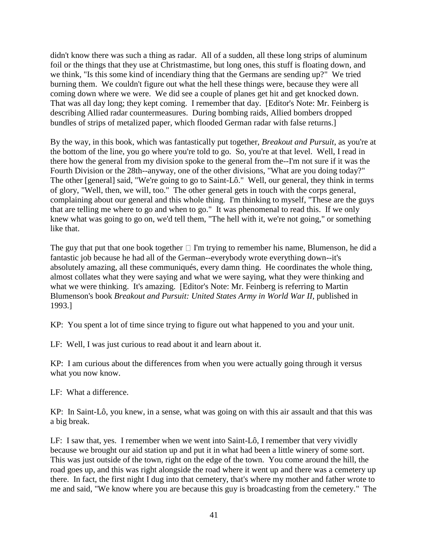didn't know there was such a thing as radar. All of a sudden, all these long strips of aluminum foil or the things that they use at Christmastime, but long ones, this stuff is floating down, and we think, "Is this some kind of incendiary thing that the Germans are sending up?" We tried burning them. We couldn't figure out what the hell these things were, because they were all coming down where we were. We did see a couple of planes get hit and get knocked down. That was all day long; they kept coming. I remember that day. [Editor's Note: Mr. Feinberg is describing Allied radar countermeasures. During bombing raids, Allied bombers dropped bundles of strips of metalized paper, which flooded German radar with false returns.]

By the way, in this book, which was fantastically put together, *Breakout and Pursuit*, as you're at the bottom of the line, you go where you're told to go. So, you're at that level. Well, I read in there how the general from my division spoke to the general from the--I'm not sure if it was the Fourth Division or the 28th--anyway, one of the other divisions, "What are you doing today?" The other [general] said, "We're going to go to Saint-Lô." Well, our general, they think in terms of glory, "Well, then, we will, too." The other general gets in touch with the corps general, complaining about our general and this whole thing. I'm thinking to myself, "These are the guys that are telling me where to go and when to go." It was phenomenal to read this. If we only knew what was going to go on, we'd tell them, "The hell with it, we're not going," or something like that.

The guy that put that one book together  $\Box$  I'm trying to remember his name, Blumenson, he did a fantastic job because he had all of the German--everybody wrote everything down--it's absolutely amazing, all these communiqués, every damn thing. He coordinates the whole thing, almost collates what they were saying and what we were saying, what they were thinking and what we were thinking. It's amazing. [Editor's Note: Mr. Feinberg is referring to Martin Blumenson's book *Breakout and Pursuit: United States Army in World War II*, published in 1993.]

KP: You spent a lot of time since trying to figure out what happened to you and your unit.

LF: Well, I was just curious to read about it and learn about it.

KP: I am curious about the differences from when you were actually going through it versus what you now know.

LF: What a difference.

KP: In Saint-Lô, you knew, in a sense, what was going on with this air assault and that this was a big break.

LF: I saw that, yes. I remember when we went into Saint-Lô, I remember that very vividly because we brought our aid station up and put it in what had been a little winery of some sort. This was just outside of the town, right on the edge of the town. You come around the hill, the road goes up, and this was right alongside the road where it went up and there was a cemetery up there. In fact, the first night I dug into that cemetery, that's where my mother and father wrote to me and said, "We know where you are because this guy is broadcasting from the cemetery." The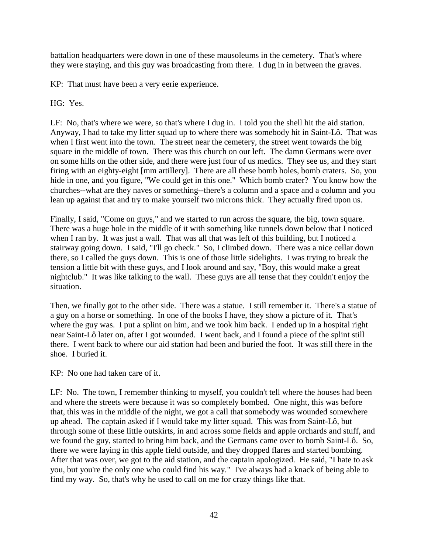battalion headquarters were down in one of these mausoleums in the cemetery. That's where they were staying, and this guy was broadcasting from there. I dug in in between the graves.

KP: That must have been a very eerie experience.

HG: Yes.

LF: No, that's where we were, so that's where I dug in. I told you the shell hit the aid station. Anyway, I had to take my litter squad up to where there was somebody hit in Saint-Lô. That was when I first went into the town. The street near the cemetery, the street went towards the big square in the middle of town. There was this church on our left. The damn Germans were over on some hills on the other side, and there were just four of us medics. They see us, and they start firing with an eighty-eight [mm artillery]. There are all these bomb holes, bomb craters. So, you hide in one, and you figure, "We could get in this one." Which bomb crater? You know how the churches--what are they naves or something--there's a column and a space and a column and you lean up against that and try to make yourself two microns thick. They actually fired upon us.

Finally, I said, "Come on guys," and we started to run across the square, the big, town square. There was a huge hole in the middle of it with something like tunnels down below that I noticed when I ran by. It was just a wall. That was all that was left of this building, but I noticed a stairway going down. I said, "I'll go check." So, I climbed down. There was a nice cellar down there, so I called the guys down. This is one of those little sidelights. I was trying to break the tension a little bit with these guys, and I look around and say, "Boy, this would make a great nightclub." It was like talking to the wall. These guys are all tense that they couldn't enjoy the situation.

Then, we finally got to the other side. There was a statue. I still remember it. There's a statue of a guy on a horse or something. In one of the books I have, they show a picture of it. That's where the guy was. I put a splint on him, and we took him back. I ended up in a hospital right near Saint-Lô later on, after I got wounded. I went back, and I found a piece of the splint still there. I went back to where our aid station had been and buried the foot. It was still there in the shoe. I buried it.

KP: No one had taken care of it.

LF: No. The town, I remember thinking to myself, you couldn't tell where the houses had been and where the streets were because it was so completely bombed. One night, this was before that, this was in the middle of the night, we got a call that somebody was wounded somewhere up ahead. The captain asked if I would take my litter squad. This was from Saint-Lô, but through some of these little outskirts, in and across some fields and apple orchards and stuff, and we found the guy, started to bring him back, and the Germans came over to bomb Saint-Lô. So, there we were laying in this apple field outside, and they dropped flares and started bombing. After that was over, we got to the aid station, and the captain apologized. He said, "I hate to ask you, but you're the only one who could find his way." I've always had a knack of being able to find my way. So, that's why he used to call on me for crazy things like that.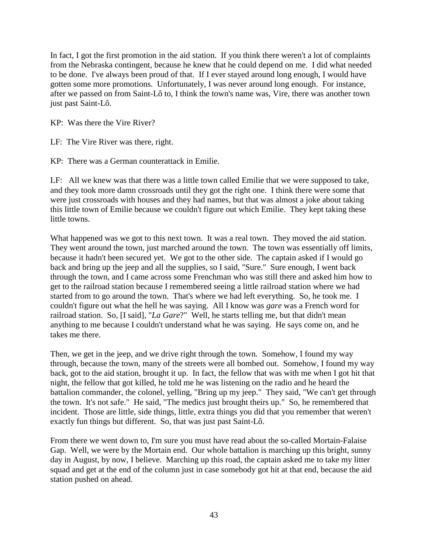In fact, I got the first promotion in the aid station. If you think there weren't a lot of complaints from the Nebraska contingent, because he knew that he could depend on me. I did what needed to be done. I've always been proud of that. If I ever stayed around long enough, I would have gotten some more promotions. Unfortunately, I was never around long enough. For instance, after we passed on from Saint-Lô to, I think the town's name was, Vire, there was another town just past Saint-Lô.

KP: Was there the Vire River?

LF: The Vire River was there, right.

KP: There was a German counterattack in Emilie.

LF: All we knew was that there was a little town called Emilie that we were supposed to take, and they took more damn crossroads until they got the right one. I think there were some that were just crossroads with houses and they had names, but that was almost a joke about taking this little town of Emilie because we couldn't figure out which Emilie. They kept taking these little towns.

What happened was we got to this next town. It was a real town. They moved the aid station. They went around the town, just marched around the town. The town was essentially off limits, because it hadn't been secured yet. We got to the other side. The captain asked if I would go back and bring up the jeep and all the supplies, so I said, "Sure." Sure enough, I went back through the town, and I came across some Frenchman who was still there and asked him how to get to the railroad station because I remembered seeing a little railroad station where we had started from to go around the town. That's where we had left everything. So, he took me. I couldn't figure out what the hell he was saying. All I know was *gare* was a French word for railroad station. So, [I said], "*La Gare*?" Well, he starts telling me, but that didn't mean anything to me because I couldn't understand what he was saying. He says come on, and he takes me there.

Then, we get in the jeep, and we drive right through the town. Somehow, I found my way through, because the town, many of the streets were all bombed out. Somehow, I found my way back, got to the aid station, brought it up. In fact, the fellow that was with me when I got hit that night, the fellow that got killed, he told me he was listening on the radio and he heard the battalion commander, the colonel, yelling, "Bring up my jeep." They said, "We can't get through the town. It's not safe." He said, "The medics just brought theirs up." So, he remembered that incident. Those are little, side things, little, extra things you did that you remember that weren't exactly fun things but different. So, that was just past Saint-Lô.

From there we went down to, I'm sure you must have read about the so-called Mortain-Falaise Gap. Well, we were by the Mortain end. Our whole battalion is marching up this bright, sunny day in August, by now, I believe. Marching up this road, the captain asked me to take my litter squad and get at the end of the column just in case somebody got hit at that end, because the aid station pushed on ahead.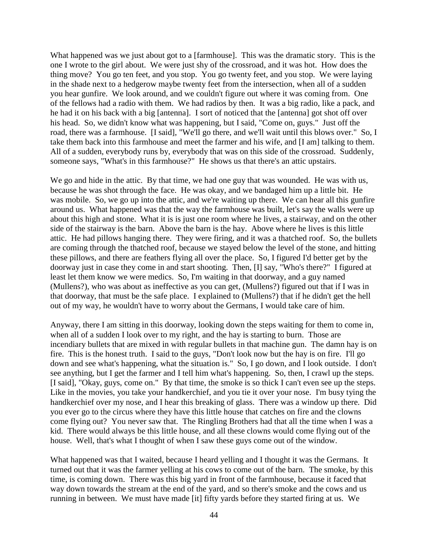What happened was we just about got to a [farmhouse]. This was the dramatic story. This is the one I wrote to the girl about. We were just shy of the crossroad, and it was hot. How does the thing move? You go ten feet, and you stop. You go twenty feet, and you stop. We were laying in the shade next to a hedgerow maybe twenty feet from the intersection, when all of a sudden you hear gunfire. We look around, and we couldn't figure out where it was coming from. One of the fellows had a radio with them. We had radios by then. It was a big radio, like a pack, and he had it on his back with a big [antenna]. I sort of noticed that the [antenna] got shot off over his head. So, we didn't know what was happening, but I said, "Come on, guys." Just off the road, there was a farmhouse. [I said], "We'll go there, and we'll wait until this blows over." So, I take them back into this farmhouse and meet the farmer and his wife, and [I am] talking to them. All of a sudden, everybody runs by, everybody that was on this side of the crossroad. Suddenly, someone says, "What's in this farmhouse?" He shows us that there's an attic upstairs.

We go and hide in the attic. By that time, we had one guy that was wounded. He was with us, because he was shot through the face. He was okay, and we bandaged him up a little bit. He was mobile. So, we go up into the attic, and we're waiting up there. We can hear all this gunfire around us. What happened was that the way the farmhouse was built, let's say the walls were up about this high and stone. What it is is just one room where he lives, a stairway, and on the other side of the stairway is the barn. Above the barn is the hay. Above where he lives is this little attic. He had pillows hanging there. They were firing, and it was a thatched roof. So, the bullets are coming through the thatched roof, because we stayed below the level of the stone, and hitting these pillows, and there are feathers flying all over the place. So, I figured I'd better get by the doorway just in case they come in and start shooting. Then, [I] say, "Who's there?" I figured at least let them know we were medics. So, I'm waiting in that doorway, and a guy named (Mullens?), who was about as ineffective as you can get, (Mullens?) figured out that if I was in that doorway, that must be the safe place. I explained to (Mullens?) that if he didn't get the hell out of my way, he wouldn't have to worry about the Germans, I would take care of him.

Anyway, there I am sitting in this doorway, looking down the steps waiting for them to come in, when all of a sudden I look over to my right, and the hay is starting to burn. Those are incendiary bullets that are mixed in with regular bullets in that machine gun. The damn hay is on fire. This is the honest truth. I said to the guys, "Don't look now but the hay is on fire. I'll go down and see what's happening, what the situation is." So, I go down, and I look outside. I don't see anything, but I get the farmer and I tell him what's happening. So, then, I crawl up the steps. [I said], "Okay, guys, come on." By that time, the smoke is so thick I can't even see up the steps. Like in the movies, you take your handkerchief, and you tie it over your nose. I'm busy tying the handkerchief over my nose, and I hear this breaking of glass. There was a window up there. Did you ever go to the circus where they have this little house that catches on fire and the clowns come flying out? You never saw that. The Ringling Brothers had that all the time when I was a kid. There would always be this little house, and all these clowns would come flying out of the house. Well, that's what I thought of when I saw these guys come out of the window.

What happened was that I waited, because I heard yelling and I thought it was the Germans. It turned out that it was the farmer yelling at his cows to come out of the barn. The smoke, by this time, is coming down. There was this big yard in front of the farmhouse, because it faced that way down towards the stream at the end of the yard, and so there's smoke and the cows and us running in between. We must have made [it] fifty yards before they started firing at us. We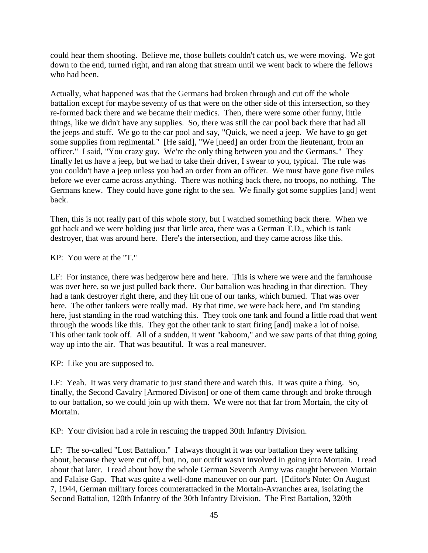could hear them shooting. Believe me, those bullets couldn't catch us, we were moving. We got down to the end, turned right, and ran along that stream until we went back to where the fellows who had been.

Actually, what happened was that the Germans had broken through and cut off the whole battalion except for maybe seventy of us that were on the other side of this intersection, so they re-formed back there and we became their medics. Then, there were some other funny, little things, like we didn't have any supplies. So, there was still the car pool back there that had all the jeeps and stuff. We go to the car pool and say, "Quick, we need a jeep. We have to go get some supplies from regimental." [He said], "We [need] an order from the lieutenant, from an officer." I said, "You crazy guy. We're the only thing between you and the Germans." They finally let us have a jeep, but we had to take their driver, I swear to you, typical. The rule was you couldn't have a jeep unless you had an order from an officer. We must have gone five miles before we ever came across anything. There was nothing back there, no troops, no nothing. The Germans knew. They could have gone right to the sea. We finally got some supplies [and] went back.

Then, this is not really part of this whole story, but I watched something back there. When we got back and we were holding just that little area, there was a German T.D., which is tank destroyer, that was around here. Here's the intersection, and they came across like this.

KP: You were at the "T."

LF: For instance, there was hedgerow here and here. This is where we were and the farmhouse was over here, so we just pulled back there. Our battalion was heading in that direction. They had a tank destroyer right there, and they hit one of our tanks, which burned. That was over here. The other tankers were really mad. By that time, we were back here, and I'm standing here, just standing in the road watching this. They took one tank and found a little road that went through the woods like this. They got the other tank to start firing [and] make a lot of noise. This other tank took off. All of a sudden, it went "kaboom," and we saw parts of that thing going way up into the air. That was beautiful. It was a real maneuver.

KP: Like you are supposed to.

LF: Yeah. It was very dramatic to just stand there and watch this. It was quite a thing. So, finally, the Second Cavalry [Armored Divison] or one of them came through and broke through to our battalion, so we could join up with them. We were not that far from Mortain, the city of Mortain.

KP: Your division had a role in rescuing the trapped 30th Infantry Division.

LF: The so-called "Lost Battalion." I always thought it was our battalion they were talking about, because they were cut off, but, no, our outfit wasn't involved in going into Mortain. I read about that later. I read about how the whole German Seventh Army was caught between Mortain and Falaise Gap. That was quite a well-done maneuver on our part. [Editor's Note: On August 7, 1944, German military forces counterattacked in the Mortain-Avranches area, isolating the Second Battalion, 120th Infantry of the 30th Infantry Division. The First Battalion, 320th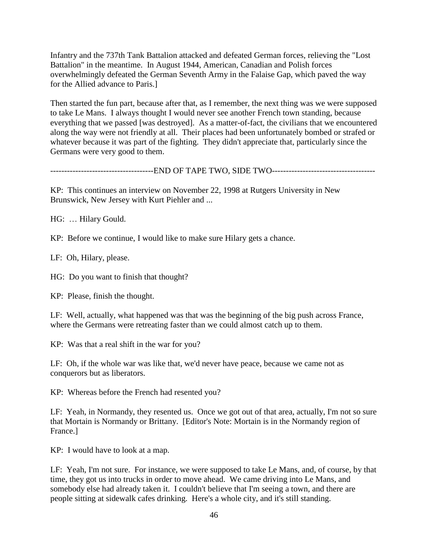Infantry and the 737th Tank Battalion attacked and defeated German forces, relieving the "Lost Battalion" in the meantime. In August 1944, American, Canadian and Polish forces overwhelmingly defeated the German Seventh Army in the Falaise Gap, which paved the way for the Allied advance to Paris.]

Then started the fun part, because after that, as I remember, the next thing was we were supposed to take Le Mans. I always thought I would never see another French town standing, because everything that we passed [was destroyed]. As a matter-of-fact, the civilians that we encountered along the way were not friendly at all. Their places had been unfortunately bombed or strafed or whatever because it was part of the fighting. They didn't appreciate that, particularly since the Germans were very good to them.

-------------------------------------END OF TAPE TWO, SIDE TWO-------------------------------------

KP: This continues an interview on November 22, 1998 at Rutgers University in New Brunswick, New Jersey with Kurt Piehler and ...

HG: … Hilary Gould.

KP: Before we continue, I would like to make sure Hilary gets a chance.

LF: Oh, Hilary, please.

HG: Do you want to finish that thought?

KP: Please, finish the thought.

LF: Well, actually, what happened was that was the beginning of the big push across France, where the Germans were retreating faster than we could almost catch up to them.

KP: Was that a real shift in the war for you?

LF: Oh, if the whole war was like that, we'd never have peace, because we came not as conquerors but as liberators.

KP: Whereas before the French had resented you?

LF: Yeah, in Normandy, they resented us. Once we got out of that area, actually, I'm not so sure that Mortain is Normandy or Brittany. [Editor's Note: Mortain is in the Normandy region of France.]

KP: I would have to look at a map.

LF: Yeah, I'm not sure. For instance, we were supposed to take Le Mans, and, of course, by that time, they got us into trucks in order to move ahead. We came driving into Le Mans, and somebody else had already taken it. I couldn't believe that I'm seeing a town, and there are people sitting at sidewalk cafes drinking. Here's a whole city, and it's still standing.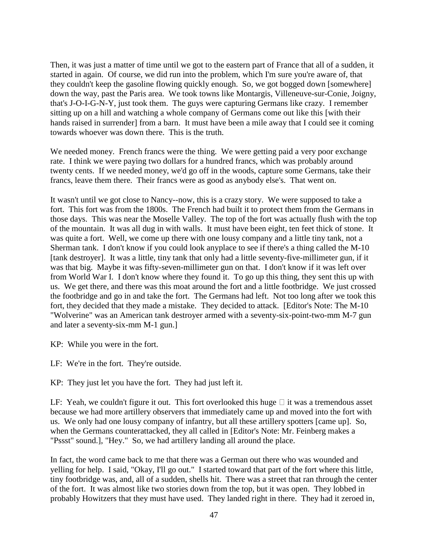Then, it was just a matter of time until we got to the eastern part of France that all of a sudden, it started in again. Of course, we did run into the problem, which I'm sure you're aware of, that they couldn't keep the gasoline flowing quickly enough. So, we got bogged down [somewhere] down the way, past the Paris area. We took towns like Montargis, Villeneuve-sur-Conie, Joigny, that's J-O-I-G-N-Y, just took them. The guys were capturing Germans like crazy. I remember sitting up on a hill and watching a whole company of Germans come out like this [with their hands raised in surrender] from a barn. It must have been a mile away that I could see it coming towards whoever was down there. This is the truth.

We needed money. French francs were the thing. We were getting paid a very poor exchange rate. I think we were paying two dollars for a hundred francs, which was probably around twenty cents. If we needed money, we'd go off in the woods, capture some Germans, take their francs, leave them there. Their francs were as good as anybody else's. That went on.

It wasn't until we got close to Nancy--now, this is a crazy story. We were supposed to take a fort. This fort was from the 1800s. The French had built it to protect them from the Germans in those days. This was near the Moselle Valley. The top of the fort was actually flush with the top of the mountain. It was all dug in with walls. It must have been eight, ten feet thick of stone. It was quite a fort. Well, we come up there with one lousy company and a little tiny tank, not a Sherman tank. I don't know if you could look anyplace to see if there's a thing called the M-10 [tank destroyer]. It was a little, tiny tank that only had a little seventy-five-millimeter gun, if it was that big. Maybe it was fifty-seven-millimeter gun on that. I don't know if it was left over from World War I. I don't know where they found it. To go up this thing, they sent this up with us. We get there, and there was this moat around the fort and a little footbridge. We just crossed the footbridge and go in and take the fort. The Germans had left. Not too long after we took this fort, they decided that they made a mistake. They decided to attack. [Editor's Note: The M-10 "Wolverine" was an American tank destroyer armed with a seventy-six-point-two-mm M-7 gun and later a seventy-six-mm M-1 gun.]

KP: While you were in the fort.

LF: We're in the fort. They're outside.

KP: They just let you have the fort. They had just left it.

LF: Yeah, we couldn't figure it out. This fort overlooked this huge  $\Box$  it was a tremendous asset because we had more artillery observers that immediately came up and moved into the fort with us. We only had one lousy company of infantry, but all these artillery spotters [came up]. So, when the Germans counterattacked, they all called in [Editor's Note: Mr. Feinberg makes a "Pssst" sound.], "Hey." So, we had artillery landing all around the place.

In fact, the word came back to me that there was a German out there who was wounded and yelling for help. I said, "Okay, I'll go out." I started toward that part of the fort where this little, tiny footbridge was, and, all of a sudden, shells hit. There was a street that ran through the center of the fort. It was almost like two stories down from the top, but it was open. They lobbed in probably Howitzers that they must have used. They landed right in there. They had it zeroed in,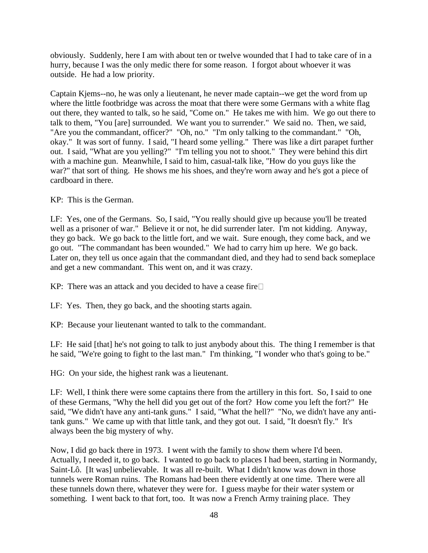obviously. Suddenly, here I am with about ten or twelve wounded that I had to take care of in a hurry, because I was the only medic there for some reason. I forgot about whoever it was outside. He had a low priority.

Captain Kjems--no, he was only a lieutenant, he never made captain--we get the word from up where the little footbridge was across the moat that there were some Germans with a white flag out there, they wanted to talk, so he said, "Come on." He takes me with him. We go out there to talk to them, "You [are] surrounded. We want you to surrender." We said no. Then, we said, "Are you the commandant, officer?" "Oh, no." "I'm only talking to the commandant." "Oh, okay." It was sort of funny. I said, "I heard some yelling." There was like a dirt parapet further out. I said, "What are you yelling?" "I'm telling you not to shoot." They were behind this dirt with a machine gun. Meanwhile, I said to him, casual-talk like, "How do you guys like the war?" that sort of thing. He shows me his shoes, and they're worn away and he's got a piece of cardboard in there.

## KP: This is the German.

LF: Yes, one of the Germans. So, I said, "You really should give up because you'll be treated well as a prisoner of war." Believe it or not, he did surrender later. I'm not kidding. Anyway, they go back. We go back to the little fort, and we wait. Sure enough, they come back, and we go out. "The commandant has been wounded." We had to carry him up here. We go back. Later on, they tell us once again that the commandant died, and they had to send back someplace and get a new commandant. This went on, and it was crazy.

KP: There was an attack and you decided to have a cease fire $\square$ 

LF: Yes. Then, they go back, and the shooting starts again.

KP: Because your lieutenant wanted to talk to the commandant.

LF: He said [that] he's not going to talk to just anybody about this. The thing I remember is that he said, "We're going to fight to the last man." I'm thinking, "I wonder who that's going to be."

HG: On your side, the highest rank was a lieutenant.

LF: Well, I think there were some captains there from the artillery in this fort. So, I said to one of these Germans, "Why the hell did you get out of the fort? How come you left the fort?" He said, "We didn't have any anti-tank guns." I said, "What the hell?" "No, we didn't have any antitank guns." We came up with that little tank, and they got out. I said, "It doesn't fly." It's always been the big mystery of why.

Now, I did go back there in 1973. I went with the family to show them where I'd been. Actually, I needed it, to go back. I wanted to go back to places I had been, starting in Normandy, Saint-Lô. [It was] unbelievable. It was all re-built. What I didn't know was down in those tunnels were Roman ruins. The Romans had been there evidently at one time. There were all these tunnels down there, whatever they were for. I guess maybe for their water system or something. I went back to that fort, too. It was now a French Army training place. They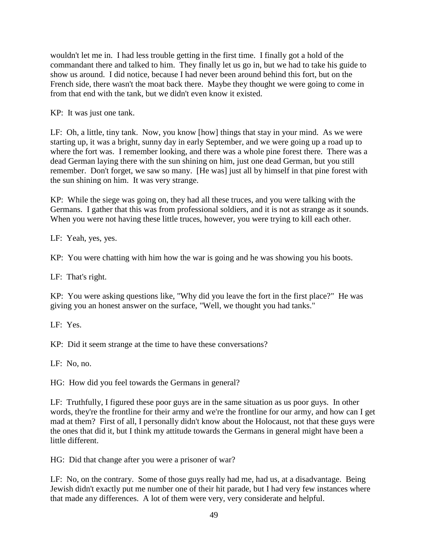wouldn't let me in. I had less trouble getting in the first time. I finally got a hold of the commandant there and talked to him. They finally let us go in, but we had to take his guide to show us around. I did notice, because I had never been around behind this fort, but on the French side, there wasn't the moat back there. Maybe they thought we were going to come in from that end with the tank, but we didn't even know it existed.

KP: It was just one tank.

LF: Oh, a little, tiny tank. Now, you know [how] things that stay in your mind. As we were starting up, it was a bright, sunny day in early September, and we were going up a road up to where the fort was. I remember looking, and there was a whole pine forest there. There was a dead German laying there with the sun shining on him, just one dead German, but you still remember. Don't forget, we saw so many. [He was] just all by himself in that pine forest with the sun shining on him. It was very strange.

KP: While the siege was going on, they had all these truces, and you were talking with the Germans. I gather that this was from professional soldiers, and it is not as strange as it sounds. When you were not having these little truces, however, you were trying to kill each other.

LF: Yeah, yes, yes.

KP: You were chatting with him how the war is going and he was showing you his boots.

LF: That's right.

KP: You were asking questions like, "Why did you leave the fort in the first place?" He was giving you an honest answer on the surface, "Well, we thought you had tanks."

LF: Yes.

KP: Did it seem strange at the time to have these conversations?

LF: No, no.

HG: How did you feel towards the Germans in general?

LF: Truthfully, I figured these poor guys are in the same situation as us poor guys. In other words, they're the frontline for their army and we're the frontline for our army, and how can I get mad at them? First of all, I personally didn't know about the Holocaust, not that these guys were the ones that did it, but I think my attitude towards the Germans in general might have been a little different.

HG: Did that change after you were a prisoner of war?

LF: No, on the contrary. Some of those guys really had me, had us, at a disadvantage. Being Jewish didn't exactly put me number one of their hit parade, but I had very few instances where that made any differences. A lot of them were very, very considerate and helpful.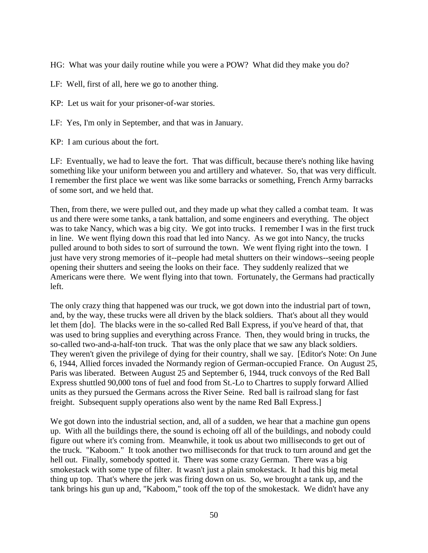HG: What was your daily routine while you were a POW? What did they make you do?

LF: Well, first of all, here we go to another thing.

KP: Let us wait for your prisoner-of-war stories.

LF: Yes, I'm only in September, and that was in January.

KP: I am curious about the fort.

LF: Eventually, we had to leave the fort. That was difficult, because there's nothing like having something like your uniform between you and artillery and whatever. So, that was very difficult. I remember the first place we went was like some barracks or something, French Army barracks of some sort, and we held that.

Then, from there, we were pulled out, and they made up what they called a combat team. It was us and there were some tanks, a tank battalion, and some engineers and everything. The object was to take Nancy, which was a big city. We got into trucks. I remember I was in the first truck in line. We went flying down this road that led into Nancy. As we got into Nancy, the trucks pulled around to both sides to sort of surround the town. We went flying right into the town. I just have very strong memories of it--people had metal shutters on their windows--seeing people opening their shutters and seeing the looks on their face. They suddenly realized that we Americans were there. We went flying into that town. Fortunately, the Germans had practically left.

The only crazy thing that happened was our truck, we got down into the industrial part of town, and, by the way, these trucks were all driven by the black soldiers. That's about all they would let them [do]. The blacks were in the so-called Red Ball Express, if you've heard of that, that was used to bring supplies and everything across France. Then, they would bring in trucks, the so-called two-and-a-half-ton truck. That was the only place that we saw any black soldiers. They weren't given the privilege of dying for their country, shall we say. [Editor's Note: On June 6, 1944, Allied forces invaded the Normandy region of German-occupied France. On August 25, Paris was liberated. Between August 25 and September 6, 1944, truck convoys of the Red Ball Express shuttled 90,000 tons of fuel and food from St.-Lo to Chartres to supply forward Allied units as they pursued the Germans across the River Seine. Red ball is railroad slang for fast freight. Subsequent supply operations also went by the name Red Ball Express.]

We got down into the industrial section, and, all of a sudden, we hear that a machine gun opens up. With all the buildings there, the sound is echoing off all of the buildings, and nobody could figure out where it's coming from. Meanwhile, it took us about two milliseconds to get out of the truck. "Kaboom." It took another two milliseconds for that truck to turn around and get the hell out. Finally, somebody spotted it. There was some crazy German. There was a big smokestack with some type of filter. It wasn't just a plain smokestack. It had this big metal thing up top. That's where the jerk was firing down on us. So, we brought a tank up, and the tank brings his gun up and, "Kaboom," took off the top of the smokestack. We didn't have any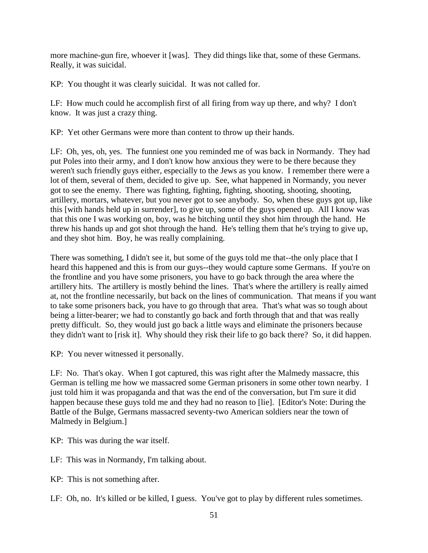more machine-gun fire, whoever it [was]. They did things like that, some of these Germans. Really, it was suicidal.

KP: You thought it was clearly suicidal. It was not called for.

LF: How much could he accomplish first of all firing from way up there, and why? I don't know. It was just a crazy thing.

KP: Yet other Germans were more than content to throw up their hands.

LF: Oh, yes, oh, yes. The funniest one you reminded me of was back in Normandy. They had put Poles into their army, and I don't know how anxious they were to be there because they weren't such friendly guys either, especially to the Jews as you know. I remember there were a lot of them, several of them, decided to give up. See, what happened in Normandy, you never got to see the enemy. There was fighting, fighting, fighting, shooting, shooting, shooting, artillery, mortars, whatever, but you never got to see anybody. So, when these guys got up, like this [with hands held up in surrender], to give up, some of the guys opened up. All I know was that this one I was working on, boy, was he bitching until they shot him through the hand. He threw his hands up and got shot through the hand. He's telling them that he's trying to give up, and they shot him. Boy, he was really complaining.

There was something, I didn't see it, but some of the guys told me that--the only place that I heard this happened and this is from our guys--they would capture some Germans. If you're on the frontline and you have some prisoners, you have to go back through the area where the artillery hits. The artillery is mostly behind the lines. That's where the artillery is really aimed at, not the frontline necessarily, but back on the lines of communication. That means if you want to take some prisoners back, you have to go through that area. That's what was so tough about being a litter-bearer; we had to constantly go back and forth through that and that was really pretty difficult. So, they would just go back a little ways and eliminate the prisoners because they didn't want to [risk it]. Why should they risk their life to go back there? So, it did happen.

KP: You never witnessed it personally.

LF: No. That's okay. When I got captured, this was right after the Malmedy massacre, this German is telling me how we massacred some German prisoners in some other town nearby. I just told him it was propaganda and that was the end of the conversation, but I'm sure it did happen because these guys told me and they had no reason to [lie]. [Editor's Note: During the Battle of the Bulge, Germans massacred seventy-two American soldiers near the town of Malmedy in Belgium.]

KP: This was during the war itself.

LF: This was in Normandy, I'm talking about.

KP: This is not something after.

LF: Oh, no. It's killed or be killed, I guess. You've got to play by different rules sometimes.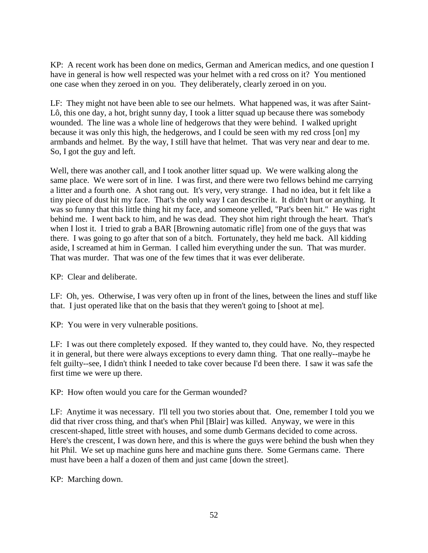KP: A recent work has been done on medics, German and American medics, and one question I have in general is how well respected was your helmet with a red cross on it? You mentioned one case when they zeroed in on you. They deliberately, clearly zeroed in on you.

LF: They might not have been able to see our helmets. What happened was, it was after Saint-Lô, this one day, a hot, bright sunny day, I took a litter squad up because there was somebody wounded. The line was a whole line of hedgerows that they were behind. I walked upright because it was only this high, the hedgerows, and I could be seen with my red cross [on] my armbands and helmet. By the way, I still have that helmet. That was very near and dear to me. So, I got the guy and left.

Well, there was another call, and I took another litter squad up. We were walking along the same place. We were sort of in line. I was first, and there were two fellows behind me carrying a litter and a fourth one. A shot rang out. It's very, very strange. I had no idea, but it felt like a tiny piece of dust hit my face. That's the only way I can describe it. It didn't hurt or anything. It was so funny that this little thing hit my face, and someone yelled, "Pat's been hit." He was right behind me. I went back to him, and he was dead. They shot him right through the heart. That's when I lost it. I tried to grab a BAR [Browning automatic rifle] from one of the guys that was there. I was going to go after that son of a bitch. Fortunately, they held me back. All kidding aside, I screamed at him in German. I called him everything under the sun. That was murder. That was murder. That was one of the few times that it was ever deliberate.

KP: Clear and deliberate.

LF: Oh, yes. Otherwise, I was very often up in front of the lines, between the lines and stuff like that. I just operated like that on the basis that they weren't going to [shoot at me].

KP: You were in very vulnerable positions.

LF: I was out there completely exposed. If they wanted to, they could have. No, they respected it in general, but there were always exceptions to every damn thing. That one really--maybe he felt guilty--see, I didn't think I needed to take cover because I'd been there. I saw it was safe the first time we were up there.

KP: How often would you care for the German wounded?

LF: Anytime it was necessary. I'll tell you two stories about that. One, remember I told you we did that river cross thing, and that's when Phil [Blair] was killed. Anyway, we were in this crescent-shaped, little street with houses, and some dumb Germans decided to come across. Here's the crescent, I was down here, and this is where the guys were behind the bush when they hit Phil. We set up machine guns here and machine guns there. Some Germans came. There must have been a half a dozen of them and just came [down the street].

KP: Marching down.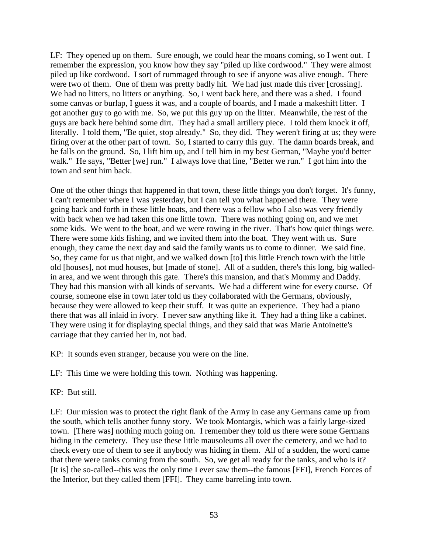LF: They opened up on them. Sure enough, we could hear the moans coming, so I went out. I remember the expression, you know how they say "piled up like cordwood." They were almost piled up like cordwood. I sort of rummaged through to see if anyone was alive enough. There were two of them. One of them was pretty badly hit. We had just made this river [crossing]. We had no litters, no litters or anything. So, I went back here, and there was a shed. I found some canvas or burlap, I guess it was, and a couple of boards, and I made a makeshift litter. I got another guy to go with me. So, we put this guy up on the litter. Meanwhile, the rest of the guys are back here behind some dirt. They had a small artillery piece. I told them knock it off, literally. I told them, "Be quiet, stop already." So, they did. They weren't firing at us; they were firing over at the other part of town. So, I started to carry this guy. The damn boards break, and he falls on the ground. So, I lift him up, and I tell him in my best German, "Maybe you'd better walk." He says, "Better [we] run." I always love that line, "Better we run." I got him into the town and sent him back.

One of the other things that happened in that town, these little things you don't forget. It's funny, I can't remember where I was yesterday, but I can tell you what happened there. They were going back and forth in these little boats, and there was a fellow who I also was very friendly with back when we had taken this one little town. There was nothing going on, and we met some kids. We went to the boat, and we were rowing in the river. That's how quiet things were. There were some kids fishing, and we invited them into the boat. They went with us. Sure enough, they came the next day and said the family wants us to come to dinner. We said fine. So, they came for us that night, and we walked down [to] this little French town with the little old [houses], not mud houses, but [made of stone]. All of a sudden, there's this long, big walledin area, and we went through this gate. There's this mansion, and that's Mommy and Daddy. They had this mansion with all kinds of servants. We had a different wine for every course. Of course, someone else in town later told us they collaborated with the Germans, obviously, because they were allowed to keep their stuff. It was quite an experience. They had a piano there that was all inlaid in ivory. I never saw anything like it. They had a thing like a cabinet. They were using it for displaying special things, and they said that was Marie Antoinette's carriage that they carried her in, not bad.

KP: It sounds even stranger, because you were on the line.

LF: This time we were holding this town. Nothing was happening.

KP: But still.

LF: Our mission was to protect the right flank of the Army in case any Germans came up from the south, which tells another funny story. We took Montargis, which was a fairly large-sized town. [There was] nothing much going on. I remember they told us there were some Germans hiding in the cemetery. They use these little mausoleums all over the cemetery, and we had to check every one of them to see if anybody was hiding in them. All of a sudden, the word came that there were tanks coming from the south. So, we get all ready for the tanks, and who is it? [It is] the so-called--this was the only time I ever saw them--the famous [FFI], French Forces of the Interior, but they called them [FFI]. They came barreling into town.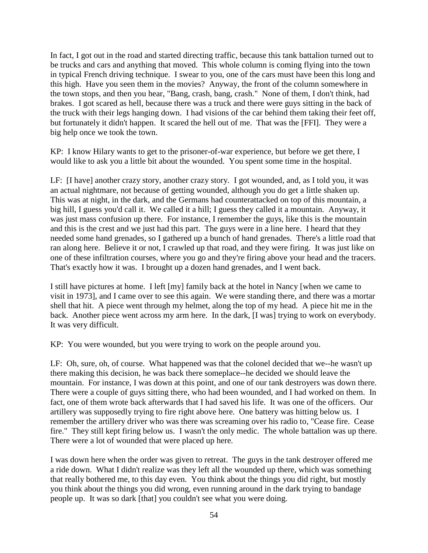In fact, I got out in the road and started directing traffic, because this tank battalion turned out to be trucks and cars and anything that moved. This whole column is coming flying into the town in typical French driving technique. I swear to you, one of the cars must have been this long and this high. Have you seen them in the movies? Anyway, the front of the column somewhere in the town stops, and then you hear, "Bang, crash, bang, crash." None of them, I don't think, had brakes. I got scared as hell, because there was a truck and there were guys sitting in the back of the truck with their legs hanging down. I had visions of the car behind them taking their feet off, but fortunately it didn't happen. It scared the hell out of me. That was the [FFI]. They were a big help once we took the town.

KP: I know Hilary wants to get to the prisoner-of-war experience, but before we get there, I would like to ask you a little bit about the wounded. You spent some time in the hospital.

LF: [I have] another crazy story, another crazy story. I got wounded, and, as I told you, it was an actual nightmare, not because of getting wounded, although you do get a little shaken up. This was at night, in the dark, and the Germans had counterattacked on top of this mountain, a big hill, I guess you'd call it. We called it a hill; I guess they called it a mountain. Anyway, it was just mass confusion up there. For instance, I remember the guys, like this is the mountain and this is the crest and we just had this part. The guys were in a line here. I heard that they needed some hand grenades, so I gathered up a bunch of hand grenades. There's a little road that ran along here. Believe it or not, I crawled up that road, and they were firing. It was just like on one of these infiltration courses, where you go and they're firing above your head and the tracers. That's exactly how it was. I brought up a dozen hand grenades, and I went back.

I still have pictures at home. I left [my] family back at the hotel in Nancy [when we came to visit in 1973], and I came over to see this again. We were standing there, and there was a mortar shell that hit. A piece went through my helmet, along the top of my head. A piece hit me in the back. Another piece went across my arm here. In the dark, [I was] trying to work on everybody. It was very difficult.

KP: You were wounded, but you were trying to work on the people around you.

LF: Oh, sure, oh, of course. What happened was that the colonel decided that we--he wasn't up there making this decision, he was back there someplace--he decided we should leave the mountain. For instance, I was down at this point, and one of our tank destroyers was down there. There were a couple of guys sitting there, who had been wounded, and I had worked on them. In fact, one of them wrote back afterwards that I had saved his life. It was one of the officers. Our artillery was supposedly trying to fire right above here. One battery was hitting below us. I remember the artillery driver who was there was screaming over his radio to, "Cease fire. Cease fire." They still kept firing below us. I wasn't the only medic. The whole battalion was up there. There were a lot of wounded that were placed up here.

I was down here when the order was given to retreat. The guys in the tank destroyer offered me a ride down. What I didn't realize was they left all the wounded up there, which was something that really bothered me, to this day even. You think about the things you did right, but mostly you think about the things you did wrong, even running around in the dark trying to bandage people up. It was so dark [that] you couldn't see what you were doing.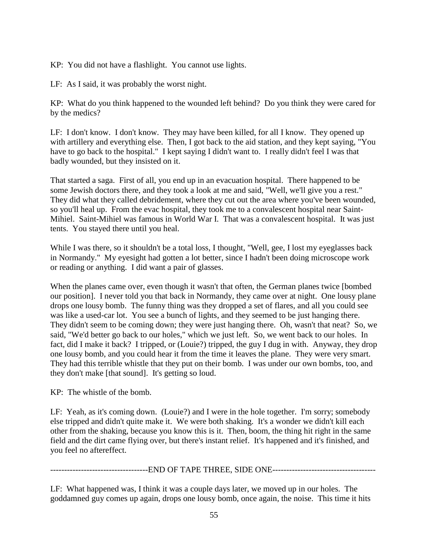KP: You did not have a flashlight. You cannot use lights.

LF: As I said, it was probably the worst night.

KP: What do you think happened to the wounded left behind? Do you think they were cared for by the medics?

LF: I don't know. I don't know. They may have been killed, for all I know. They opened up with artillery and everything else. Then, I got back to the aid station, and they kept saying, "You have to go back to the hospital." I kept saying I didn't want to. I really didn't feel I was that badly wounded, but they insisted on it.

That started a saga. First of all, you end up in an evacuation hospital. There happened to be some Jewish doctors there, and they took a look at me and said, "Well, we'll give you a rest." They did what they called debridement, where they cut out the area where you've been wounded, so you'll heal up. From the evac hospital, they took me to a convalescent hospital near Saint-Mihiel. Saint-Mihiel was famous in World War I. That was a convalescent hospital. It was just tents. You stayed there until you heal.

While I was there, so it shouldn't be a total loss, I thought, "Well, gee, I lost my eyeglasses back in Normandy." My eyesight had gotten a lot better, since I hadn't been doing microscope work or reading or anything. I did want a pair of glasses.

When the planes came over, even though it wasn't that often, the German planes twice [bombed our position]. I never told you that back in Normandy, they came over at night. One lousy plane drops one lousy bomb. The funny thing was they dropped a set of flares, and all you could see was like a used-car lot. You see a bunch of lights, and they seemed to be just hanging there. They didn't seem to be coming down; they were just hanging there. Oh, wasn't that neat? So, we said, "We'd better go back to our holes," which we just left. So, we went back to our holes. In fact, did I make it back? I tripped, or (Louie?) tripped, the guy I dug in with. Anyway, they drop one lousy bomb, and you could hear it from the time it leaves the plane. They were very smart. They had this terrible whistle that they put on their bomb. I was under our own bombs, too, and they don't make [that sound]. It's getting so loud.

KP: The whistle of the bomb.

LF: Yeah, as it's coming down. (Louie?) and I were in the hole together. I'm sorry; somebody else tripped and didn't quite make it. We were both shaking. It's a wonder we didn't kill each other from the shaking, because you know this is it. Then, boom, the thing hit right in the same field and the dirt came flying over, but there's instant relief. It's happened and it's finished, and you feel no aftereffect.

-----------------------------------END OF TAPE THREE, SIDE ONE-------------------------------------

LF: What happened was, I think it was a couple days later, we moved up in our holes. The goddamned guy comes up again, drops one lousy bomb, once again, the noise. This time it hits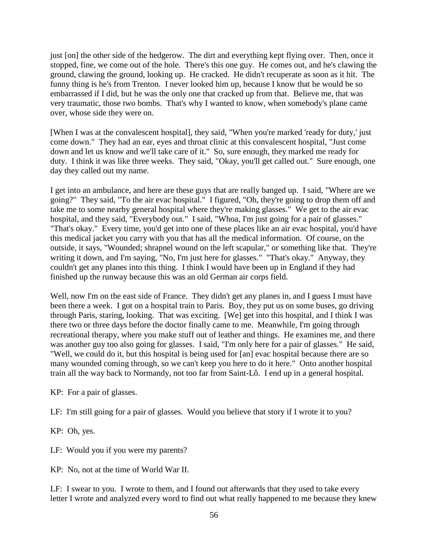just [on] the other side of the hedgerow. The dirt and everything kept flying over. Then, once it stopped, fine, we come out of the hole. There's this one guy. He comes out, and he's clawing the ground, clawing the ground, looking up. He cracked. He didn't recuperate as soon as it hit. The funny thing is he's from Trenton. I never looked him up, because I know that he would be so embarrassed if I did, but he was the only one that cracked up from that. Believe me, that was very traumatic, those two bombs. That's why I wanted to know, when somebody's plane came over, whose side they were on.

[When I was at the convalescent hospital], they said, "When you're marked 'ready for duty,' just come down." They had an ear, eyes and throat clinic at this convalescent hospital, "Just come down and let us know and we'll take care of it." So, sure enough, they marked me ready for duty. I think it was like three weeks. They said, "Okay, you'll get called out." Sure enough, one day they called out my name.

I get into an ambulance, and here are these guys that are really banged up. I said, "Where are we going?" They said, "To the air evac hospital." I figured, "Oh, they're going to drop them off and take me to some nearby general hospital where they're making glasses." We get to the air evac hospital, and they said, "Everybody out." I said, "Whoa, I'm just going for a pair of glasses." "That's okay." Every time, you'd get into one of these places like an air evac hospital, you'd have this medical jacket you carry with you that has all the medical information. Of course, on the outside, it says, "Wounded; shrapnel wound on the left scapular," or something like that. They're writing it down, and I'm saying, "No, I'm just here for glasses." "That's okay." Anyway, they couldn't get any planes into this thing. I think I would have been up in England if they had finished up the runway because this was an old German air corps field.

Well, now I'm on the east side of France. They didn't get any planes in, and I guess I must have been there a week. I got on a hospital train to Paris. Boy, they put us on some buses, go driving through Paris, staring, looking. That was exciting. [We] get into this hospital, and I think I was there two or three days before the doctor finally came to me. Meanwhile, I'm going through recreational therapy, where you make stuff out of leather and things. He examines me, and there was another guy too also going for glasses. I said, "I'm only here for a pair of glasses." He said, "Well, we could do it, but this hospital is being used for [an] evac hospital because there are so many wounded coming through, so we can't keep you here to do it here." Onto another hospital train all the way back to Normandy, not too far from Saint-Lô. I end up in a general hospital.

KP: For a pair of glasses.

LF: I'm still going for a pair of glasses. Would you believe that story if I wrote it to you?

KP: Oh, yes.

LF: Would you if you were my parents?

KP: No, not at the time of World War II.

LF: I swear to you. I wrote to them, and I found out afterwards that they used to take every letter I wrote and analyzed every word to find out what really happened to me because they knew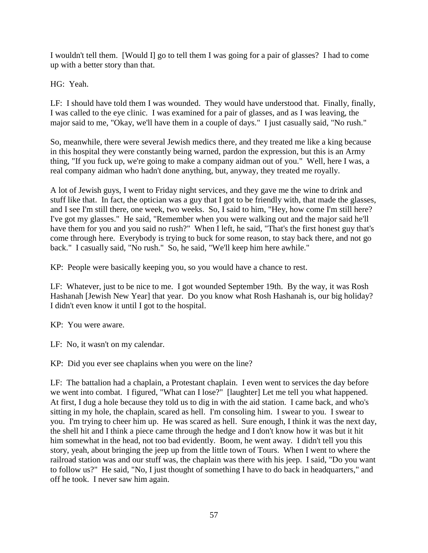I wouldn't tell them. [Would I] go to tell them I was going for a pair of glasses? I had to come up with a better story than that.

HG: Yeah.

LF: I should have told them I was wounded. They would have understood that. Finally, finally, I was called to the eye clinic. I was examined for a pair of glasses, and as I was leaving, the major said to me, "Okay, we'll have them in a couple of days." I just casually said, "No rush."

So, meanwhile, there were several Jewish medics there, and they treated me like a king because in this hospital they were constantly being warned, pardon the expression, but this is an Army thing, "If you fuck up, we're going to make a company aidman out of you." Well, here I was, a real company aidman who hadn't done anything, but, anyway, they treated me royally.

A lot of Jewish guys, I went to Friday night services, and they gave me the wine to drink and stuff like that. In fact, the optician was a guy that I got to be friendly with, that made the glasses, and I see I'm still there, one week, two weeks. So, I said to him, "Hey, how come I'm still here? I've got my glasses." He said, "Remember when you were walking out and the major said he'll have them for you and you said no rush?" When I left, he said, "That's the first honest guy that's come through here. Everybody is trying to buck for some reason, to stay back there, and not go back." I casually said, "No rush." So, he said, "We'll keep him here awhile."

KP: People were basically keeping you, so you would have a chance to rest.

LF: Whatever, just to be nice to me. I got wounded September 19th. By the way, it was Rosh Hashanah [Jewish New Year] that year. Do you know what Rosh Hashanah is, our big holiday? I didn't even know it until I got to the hospital.

KP: You were aware.

LF: No, it wasn't on my calendar.

KP: Did you ever see chaplains when you were on the line?

LF: The battalion had a chaplain, a Protestant chaplain. I even went to services the day before we went into combat. I figured, "What can I lose?" [laughter] Let me tell you what happened. At first, I dug a hole because they told us to dig in with the aid station. I came back, and who's sitting in my hole, the chaplain, scared as hell. I'm consoling him. I swear to you. I swear to you. I'm trying to cheer him up. He was scared as hell. Sure enough, I think it was the next day, the shell hit and I think a piece came through the hedge and I don't know how it was but it hit him somewhat in the head, not too bad evidently. Boom, he went away. I didn't tell you this story, yeah, about bringing the jeep up from the little town of Tours. When I went to where the railroad station was and our stuff was, the chaplain was there with his jeep. I said, "Do you want to follow us?" He said, "No, I just thought of something I have to do back in headquarters," and off he took. I never saw him again.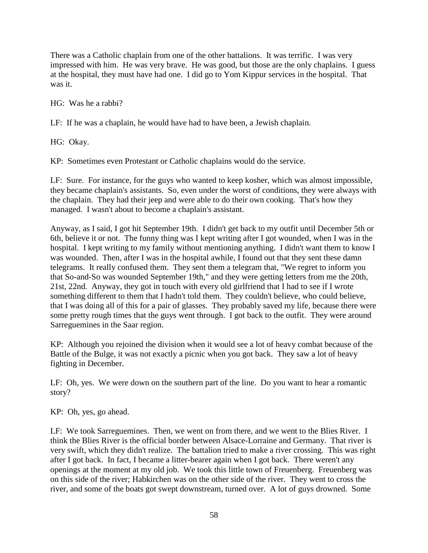There was a Catholic chaplain from one of the other battalions. It was terrific. I was very impressed with him. He was very brave. He was good, but those are the only chaplains. I guess at the hospital, they must have had one. I did go to Yom Kippur services in the hospital. That was it.

HG: Was he a rabbi?

LF: If he was a chaplain, he would have had to have been, a Jewish chaplain.

HG: Okay.

KP: Sometimes even Protestant or Catholic chaplains would do the service.

LF: Sure. For instance, for the guys who wanted to keep kosher, which was almost impossible, they became chaplain's assistants. So, even under the worst of conditions, they were always with the chaplain. They had their jeep and were able to do their own cooking. That's how they managed. I wasn't about to become a chaplain's assistant.

Anyway, as I said, I got hit September 19th. I didn't get back to my outfit until December 5th or 6th, believe it or not. The funny thing was I kept writing after I got wounded, when I was in the hospital. I kept writing to my family without mentioning anything. I didn't want them to know I was wounded. Then, after I was in the hospital awhile, I found out that they sent these damn telegrams. It really confused them. They sent them a telegram that, "We regret to inform you that So-and-So was wounded September 19th," and they were getting letters from me the 20th, 21st, 22nd. Anyway, they got in touch with every old girlfriend that I had to see if I wrote something different to them that I hadn't told them. They couldn't believe, who could believe, that I was doing all of this for a pair of glasses. They probably saved my life, because there were some pretty rough times that the guys went through. I got back to the outfit. They were around Sarreguemines in the Saar region.

KP: Although you rejoined the division when it would see a lot of heavy combat because of the Battle of the Bulge, it was not exactly a picnic when you got back. They saw a lot of heavy fighting in December.

LF: Oh, yes. We were down on the southern part of the line. Do you want to hear a romantic story?

KP: Oh, yes, go ahead.

LF: We took Sarreguemines. Then, we went on from there, and we went to the Blies River. I think the Blies River is the official border between Alsace-Lorraine and Germany. That river is very swift, which they didn't realize. The battalion tried to make a river crossing. This was right after I got back. In fact, I became a litter-bearer again when I got back. There weren't any openings at the moment at my old job. We took this little town of Freuenberg. Freuenberg was on this side of the river; Habkirchen was on the other side of the river. They went to cross the river, and some of the boats got swept downstream, turned over. A lot of guys drowned. Some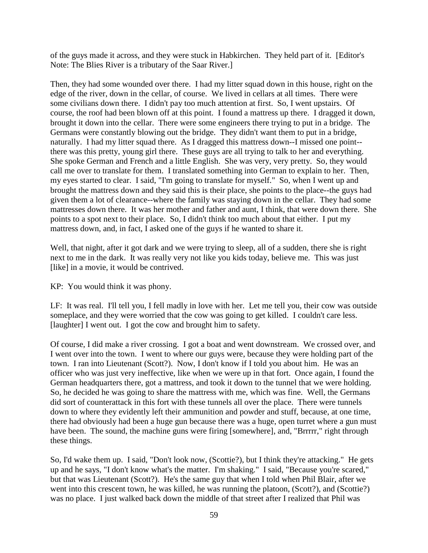of the guys made it across, and they were stuck in Habkirchen. They held part of it. [Editor's Note: The Blies River is a tributary of the Saar River.]

Then, they had some wounded over there. I had my litter squad down in this house, right on the edge of the river, down in the cellar, of course. We lived in cellars at all times. There were some civilians down there. I didn't pay too much attention at first. So, I went upstairs. Of course, the roof had been blown off at this point. I found a mattress up there. I dragged it down, brought it down into the cellar. There were some engineers there trying to put in a bridge. The Germans were constantly blowing out the bridge. They didn't want them to put in a bridge, naturally. I had my litter squad there. As I dragged this mattress down--I missed one point- there was this pretty, young girl there. These guys are all trying to talk to her and everything. She spoke German and French and a little English. She was very, very pretty. So, they would call me over to translate for them. I translated something into German to explain to her. Then, my eyes started to clear. I said, "I'm going to translate for myself." So, when I went up and brought the mattress down and they said this is their place, she points to the place--the guys had given them a lot of clearance--where the family was staying down in the cellar. They had some mattresses down there. It was her mother and father and aunt, I think, that were down there. She points to a spot next to their place. So, I didn't think too much about that either. I put my mattress down, and, in fact, I asked one of the guys if he wanted to share it.

Well, that night, after it got dark and we were trying to sleep, all of a sudden, there she is right next to me in the dark. It was really very not like you kids today, believe me. This was just [like] in a movie, it would be contrived.

KP: You would think it was phony.

LF: It was real. I'll tell you, I fell madly in love with her. Let me tell you, their cow was outside someplace, and they were worried that the cow was going to get killed. I couldn't care less. [laughter] I went out. I got the cow and brought him to safety.

Of course, I did make a river crossing. I got a boat and went downstream. We crossed over, and I went over into the town. I went to where our guys were, because they were holding part of the town. I ran into Lieutenant (Scott?). Now, I don't know if I told you about him. He was an officer who was just very ineffective, like when we were up in that fort. Once again, I found the German headquarters there, got a mattress, and took it down to the tunnel that we were holding. So, he decided he was going to share the mattress with me, which was fine. Well, the Germans did sort of counterattack in this fort with these tunnels all over the place. There were tunnels down to where they evidently left their ammunition and powder and stuff, because, at one time, there had obviously had been a huge gun because there was a huge, open turret where a gun must have been. The sound, the machine guns were firing [somewhere], and, "Brrrrr," right through these things.

So, I'd wake them up. I said, "Don't look now, (Scottie?), but I think they're attacking." He gets up and he says, "I don't know what's the matter. I'm shaking." I said, "Because you're scared," but that was Lieutenant (Scott?). He's the same guy that when I told when Phil Blair, after we went into this crescent town, he was killed, he was running the platoon, (Scott?), and (Scottie?) was no place. I just walked back down the middle of that street after I realized that Phil was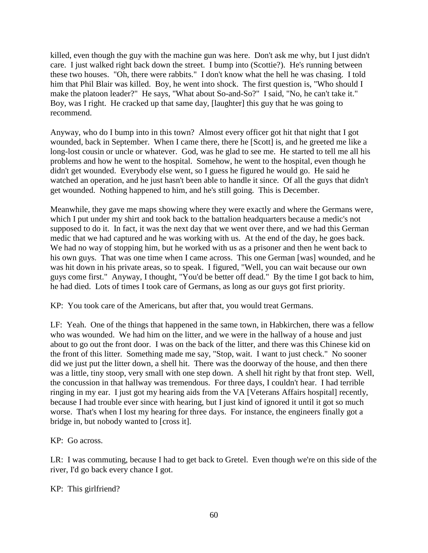killed, even though the guy with the machine gun was here. Don't ask me why, but I just didn't care. I just walked right back down the street. I bump into (Scottie?). He's running between these two houses. "Oh, there were rabbits." I don't know what the hell he was chasing. I told him that Phil Blair was killed. Boy, he went into shock. The first question is, "Who should I make the platoon leader?" He says, "What about So-and-So?" I said, "No, he can't take it." Boy, was I right. He cracked up that same day, [laughter] this guy that he was going to recommend.

Anyway, who do I bump into in this town? Almost every officer got hit that night that I got wounded, back in September. When I came there, there he [Scott] is, and he greeted me like a long-lost cousin or uncle or whatever. God, was he glad to see me. He started to tell me all his problems and how he went to the hospital. Somehow, he went to the hospital, even though he didn't get wounded. Everybody else went, so I guess he figured he would go. He said he watched an operation, and he just hasn't been able to handle it since. Of all the guys that didn't get wounded. Nothing happened to him, and he's still going. This is December.

Meanwhile, they gave me maps showing where they were exactly and where the Germans were, which I put under my shirt and took back to the battalion headquarters because a medic's not supposed to do it. In fact, it was the next day that we went over there, and we had this German medic that we had captured and he was working with us. At the end of the day, he goes back. We had no way of stopping him, but he worked with us as a prisoner and then he went back to his own guys. That was one time when I came across. This one German [was] wounded, and he was hit down in his private areas, so to speak. I figured, "Well, you can wait because our own guys come first." Anyway, I thought, "You'd be better off dead." By the time I got back to him, he had died. Lots of times I took care of Germans, as long as our guys got first priority.

KP: You took care of the Americans, but after that, you would treat Germans.

LF: Yeah. One of the things that happened in the same town, in Habkirchen, there was a fellow who was wounded. We had him on the litter, and we were in the hallway of a house and just about to go out the front door. I was on the back of the litter, and there was this Chinese kid on the front of this litter. Something made me say, "Stop, wait. I want to just check." No sooner did we just put the litter down, a shell hit. There was the doorway of the house, and then there was a little, tiny stoop, very small with one step down. A shell hit right by that front step. Well, the concussion in that hallway was tremendous. For three days, I couldn't hear. I had terrible ringing in my ear. I just got my hearing aids from the VA [Veterans Affairs hospital] recently, because I had trouble ever since with hearing, but I just kind of ignored it until it got so much worse. That's when I lost my hearing for three days. For instance, the engineers finally got a bridge in, but nobody wanted to [cross it].

KP: Go across.

LR: I was commuting, because I had to get back to Gretel. Even though we're on this side of the river, I'd go back every chance I got.

KP: This girlfriend?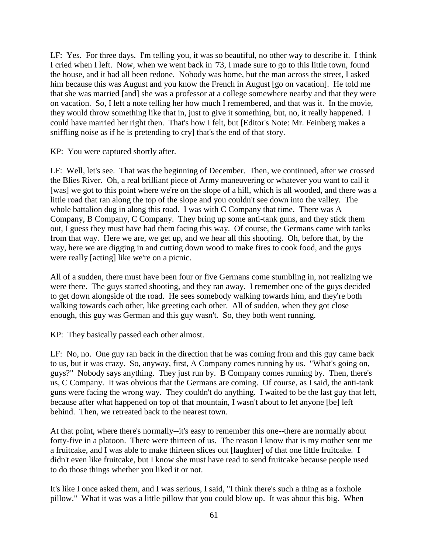LF: Yes. For three days. I'm telling you, it was so beautiful, no other way to describe it. I think I cried when I left. Now, when we went back in '73, I made sure to go to this little town, found the house, and it had all been redone. Nobody was home, but the man across the street, I asked him because this was August and you know the French in August [go on vacation]. He told me that she was married [and] she was a professor at a college somewhere nearby and that they were on vacation. So, I left a note telling her how much I remembered, and that was it. In the movie, they would throw something like that in, just to give it something, but, no, it really happened. I could have married her right then. That's how I felt, but [Editor's Note: Mr. Feinberg makes a sniffling noise as if he is pretending to cry] that's the end of that story.

KP: You were captured shortly after.

LF: Well, let's see. That was the beginning of December. Then, we continued, after we crossed the Blies River. Oh, a real brilliant piece of Army maneuvering or whatever you want to call it [was] we got to this point where we're on the slope of a hill, which is all wooded, and there was a little road that ran along the top of the slope and you couldn't see down into the valley. The whole battalion dug in along this road. I was with C Company that time. There was A Company, B Company, C Company. They bring up some anti-tank guns, and they stick them out, I guess they must have had them facing this way. Of course, the Germans came with tanks from that way. Here we are, we get up, and we hear all this shooting. Oh, before that, by the way, here we are digging in and cutting down wood to make fires to cook food, and the guys were really [acting] like we're on a picnic.

All of a sudden, there must have been four or five Germans come stumbling in, not realizing we were there. The guys started shooting, and they ran away. I remember one of the guys decided to get down alongside of the road. He sees somebody walking towards him, and they're both walking towards each other, like greeting each other. All of sudden, when they got close enough, this guy was German and this guy wasn't. So, they both went running.

KP: They basically passed each other almost.

LF: No, no. One guy ran back in the direction that he was coming from and this guy came back to us, but it was crazy. So, anyway, first, A Company comes running by us. "What's going on, guys?" Nobody says anything. They just run by. B Company comes running by. Then, there's us, C Company. It was obvious that the Germans are coming. Of course, as I said, the anti-tank guns were facing the wrong way. They couldn't do anything. I waited to be the last guy that left, because after what happened on top of that mountain, I wasn't about to let anyone [be] left behind. Then, we retreated back to the nearest town.

At that point, where there's normally--it's easy to remember this one--there are normally about forty-five in a platoon. There were thirteen of us. The reason I know that is my mother sent me a fruitcake, and I was able to make thirteen slices out [laughter] of that one little fruitcake. I didn't even like fruitcake, but I know she must have read to send fruitcake because people used to do those things whether you liked it or not.

It's like I once asked them, and I was serious, I said, "I think there's such a thing as a foxhole pillow." What it was was a little pillow that you could blow up. It was about this big. When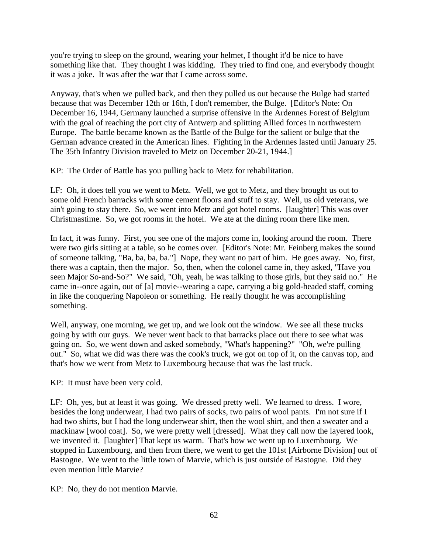you're trying to sleep on the ground, wearing your helmet, I thought it'd be nice to have something like that. They thought I was kidding. They tried to find one, and everybody thought it was a joke. It was after the war that I came across some.

Anyway, that's when we pulled back, and then they pulled us out because the Bulge had started because that was December 12th or 16th, I don't remember, the Bulge. [Editor's Note: On December 16, 1944, Germany launched a surprise offensive in the Ardennes Forest of Belgium with the goal of reaching the port city of Antwerp and splitting Allied forces in northwestern Europe. The battle became known as the Battle of the Bulge for the salient or bulge that the German advance created in the American lines. Fighting in the Ardennes lasted until January 25. The 35th Infantry Division traveled to Metz on December 20-21, 1944.]

KP: The Order of Battle has you pulling back to Metz for rehabilitation.

LF: Oh, it does tell you we went to Metz. Well, we got to Metz, and they brought us out to some old French barracks with some cement floors and stuff to stay. Well, us old veterans, we ain't going to stay there. So, we went into Metz and got hotel rooms. [laughter] This was over Christmastime. So, we got rooms in the hotel. We ate at the dining room there like men.

In fact, it was funny. First, you see one of the majors come in, looking around the room. There were two girls sitting at a table, so he comes over. [Editor's Note: Mr. Feinberg makes the sound of someone talking, "Ba, ba, ba, ba."] Nope, they want no part of him. He goes away. No, first, there was a captain, then the major. So, then, when the colonel came in, they asked, "Have you seen Major So-and-So?" We said, "Oh, yeah, he was talking to those girls, but they said no." He came in--once again, out of [a] movie--wearing a cape, carrying a big gold-headed staff, coming in like the conquering Napoleon or something. He really thought he was accomplishing something.

Well, anyway, one morning, we get up, and we look out the window. We see all these trucks going by with our guys. We never went back to that barracks place out there to see what was going on. So, we went down and asked somebody, "What's happening?" "Oh, we're pulling out." So, what we did was there was the cook's truck, we got on top of it, on the canvas top, and that's how we went from Metz to Luxembourg because that was the last truck.

KP: It must have been very cold.

LF: Oh, yes, but at least it was going. We dressed pretty well. We learned to dress. I wore, besides the long underwear, I had two pairs of socks, two pairs of wool pants. I'm not sure if I had two shirts, but I had the long underwear shirt, then the wool shirt, and then a sweater and a mackinaw [wool coat]. So, we were pretty well [dressed]. What they call now the layered look, we invented it. [laughter] That kept us warm. That's how we went up to Luxembourg. We stopped in Luxembourg, and then from there, we went to get the 101st [Airborne Division] out of Bastogne. We went to the little town of Marvie, which is just outside of Bastogne. Did they even mention little Marvie?

KP: No, they do not mention Marvie.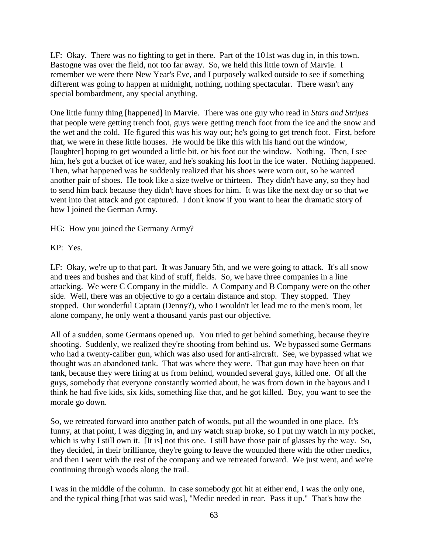LF: Okay. There was no fighting to get in there. Part of the 101st was dug in, in this town. Bastogne was over the field, not too far away. So, we held this little town of Marvie. I remember we were there New Year's Eve, and I purposely walked outside to see if something different was going to happen at midnight, nothing, nothing spectacular. There wasn't any special bombardment, any special anything.

One little funny thing [happened] in Marvie. There was one guy who read in *Stars and Stripes* that people were getting trench foot, guys were getting trench foot from the ice and the snow and the wet and the cold. He figured this was his way out; he's going to get trench foot. First, before that, we were in these little houses. He would be like this with his hand out the window, [laughter] hoping to get wounded a little bit, or his foot out the window. Nothing. Then, I see him, he's got a bucket of ice water, and he's soaking his foot in the ice water. Nothing happened. Then, what happened was he suddenly realized that his shoes were worn out, so he wanted another pair of shoes. He took like a size twelve or thirteen. They didn't have any, so they had to send him back because they didn't have shoes for him. It was like the next day or so that we went into that attack and got captured. I don't know if you want to hear the dramatic story of how I joined the German Army.

HG: How you joined the Germany Army?

KP: Yes.

LF: Okay, we're up to that part. It was January 5th, and we were going to attack. It's all snow and trees and bushes and that kind of stuff, fields. So, we have three companies in a line attacking. We were C Company in the middle. A Company and B Company were on the other side. Well, there was an objective to go a certain distance and stop. They stopped. They stopped. Our wonderful Captain (Denny?), who I wouldn't let lead me to the men's room, let alone company, he only went a thousand yards past our objective.

All of a sudden, some Germans opened up. You tried to get behind something, because they're shooting. Suddenly, we realized they're shooting from behind us. We bypassed some Germans who had a twenty-caliber gun, which was also used for anti-aircraft. See, we bypassed what we thought was an abandoned tank. That was where they were. That gun may have been on that tank, because they were firing at us from behind, wounded several guys, killed one. Of all the guys, somebody that everyone constantly worried about, he was from down in the bayous and I think he had five kids, six kids, something like that, and he got killed. Boy, you want to see the morale go down.

So, we retreated forward into another patch of woods, put all the wounded in one place. It's funny, at that point, I was digging in, and my watch strap broke, so I put my watch in my pocket, which is why I still own it. [It is] not this one. I still have those pair of glasses by the way. So, they decided, in their brilliance, they're going to leave the wounded there with the other medics, and then I went with the rest of the company and we retreated forward. We just went, and we're continuing through woods along the trail.

I was in the middle of the column. In case somebody got hit at either end, I was the only one, and the typical thing [that was said was], "Medic needed in rear. Pass it up." That's how the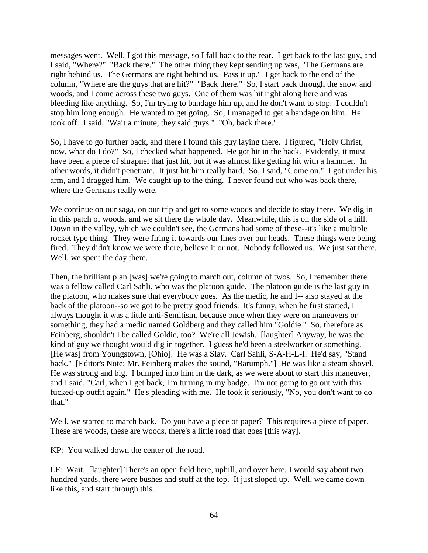messages went. Well, I got this message, so I fall back to the rear. I get back to the last guy, and I said, "Where?" "Back there." The other thing they kept sending up was, "The Germans are right behind us. The Germans are right behind us. Pass it up." I get back to the end of the column, "Where are the guys that are hit?" "Back there." So, I start back through the snow and woods, and I come across these two guys. One of them was hit right along here and was bleeding like anything. So, I'm trying to bandage him up, and he don't want to stop. I couldn't stop him long enough. He wanted to get going. So, I managed to get a bandage on him. He took off. I said, "Wait a minute, they said guys." "Oh, back there."

So, I have to go further back, and there I found this guy laying there. I figured, "Holy Christ, now, what do I do?" So, I checked what happened. He got hit in the back. Evidently, it must have been a piece of shrapnel that just hit, but it was almost like getting hit with a hammer. In other words, it didn't penetrate. It just hit him really hard. So, I said, "Come on." I got under his arm, and I dragged him. We caught up to the thing. I never found out who was back there, where the Germans really were.

We continue on our saga, on our trip and get to some woods and decide to stay there. We dig in in this patch of woods, and we sit there the whole day. Meanwhile, this is on the side of a hill. Down in the valley, which we couldn't see, the Germans had some of these--it's like a multiple rocket type thing. They were firing it towards our lines over our heads. These things were being fired. They didn't know we were there, believe it or not. Nobody followed us. We just sat there. Well, we spent the day there.

Then, the brilliant plan [was] we're going to march out, column of twos. So, I remember there was a fellow called Carl Sahli, who was the platoon guide. The platoon guide is the last guy in the platoon, who makes sure that everybody goes. As the medic, he and I-- also stayed at the back of the platoon--so we got to be pretty good friends. It's funny, when he first started, I always thought it was a little anti-Semitism, because once when they were on maneuvers or something, they had a medic named Goldberg and they called him "Goldie." So, therefore as Feinberg, shouldn't I be called Goldie, too? We're all Jewish. [laughter] Anyway, he was the kind of guy we thought would dig in together. I guess he'd been a steelworker or something. [He was] from Youngstown, [Ohio]. He was a Slav. Carl Sahli, S-A-H-L-I. He'd say, "Stand back." [Editor's Note: Mr. Feinberg makes the sound, "Barumph."] He was like a steam shovel. He was strong and big. I bumped into him in the dark, as we were about to start this maneuver, and I said, "Carl, when I get back, I'm turning in my badge. I'm not going to go out with this fucked-up outfit again." He's pleading with me. He took it seriously, "No, you don't want to do that."

Well, we started to march back. Do you have a piece of paper? This requires a piece of paper. These are woods, these are woods, there's a little road that goes [this way].

KP: You walked down the center of the road.

LF: Wait. [laughter] There's an open field here, uphill, and over here, I would say about two hundred yards, there were bushes and stuff at the top. It just sloped up. Well, we came down like this, and start through this.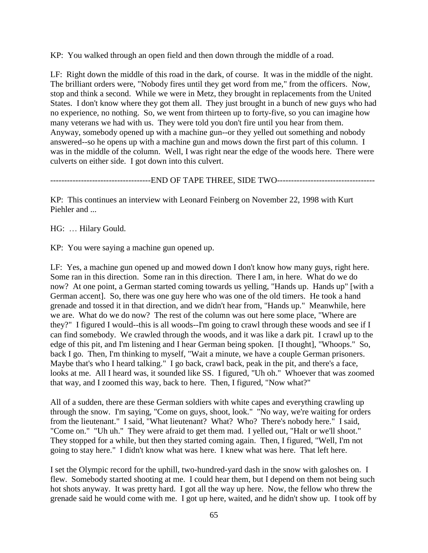KP: You walked through an open field and then down through the middle of a road.

LF: Right down the middle of this road in the dark, of course. It was in the middle of the night. The brilliant orders were, "Nobody fires until they get word from me," from the officers. Now, stop and think a second. While we were in Metz, they brought in replacements from the United States. I don't know where they got them all. They just brought in a bunch of new guys who had no experience, no nothing. So, we went from thirteen up to forty-five, so you can imagine how many veterans we had with us. They were told you don't fire until you hear from them. Anyway, somebody opened up with a machine gun--or they yelled out something and nobody answered--so he opens up with a machine gun and mows down the first part of this column. I was in the middle of the column. Well, I was right near the edge of the woods here. There were culverts on either side. I got down into this culvert.

----------------------END OF TAPE THREE, SIDE TWO-------------------------------

KP: This continues an interview with Leonard Feinberg on November 22, 1998 with Kurt Piehler and ...

HG: … Hilary Gould.

KP: You were saying a machine gun opened up.

LF: Yes, a machine gun opened up and mowed down I don't know how many guys, right here. Some ran in this direction. Some ran in this direction. There I am, in here. What do we do now? At one point, a German started coming towards us yelling, "Hands up. Hands up" [with a German accent]. So, there was one guy here who was one of the old timers. He took a hand grenade and tossed it in that direction, and we didn't hear from, "Hands up." Meanwhile, here we are. What do we do now? The rest of the column was out here some place, "Where are they?" I figured I would--this is all woods--I'm going to crawl through these woods and see if I can find somebody. We crawled through the woods, and it was like a dark pit. I crawl up to the edge of this pit, and I'm listening and I hear German being spoken. [I thought], "Whoops." So, back I go. Then, I'm thinking to myself, "Wait a minute, we have a couple German prisoners. Maybe that's who I heard talking." I go back, crawl back, peak in the pit, and there's a face, looks at me. All I heard was, it sounded like SS. I figured, "Uh oh." Whoever that was zoomed that way, and I zoomed this way, back to here. Then, I figured, "Now what?"

All of a sudden, there are these German soldiers with white capes and everything crawling up through the snow. I'm saying, "Come on guys, shoot, look." "No way, we're waiting for orders from the lieutenant." I said, "What lieutenant? What? Who? There's nobody here." I said, "Come on." "Uh uh." They were afraid to get them mad. I yelled out, "Halt or we'll shoot." They stopped for a while, but then they started coming again. Then, I figured, "Well, I'm not going to stay here." I didn't know what was here. I knew what was here. That left here.

I set the Olympic record for the uphill, two-hundred-yard dash in the snow with galoshes on. I flew. Somebody started shooting at me. I could hear them, but I depend on them not being such hot shots anyway. It was pretty hard. I got all the way up here. Now, the fellow who threw the grenade said he would come with me. I got up here, waited, and he didn't show up. I took off by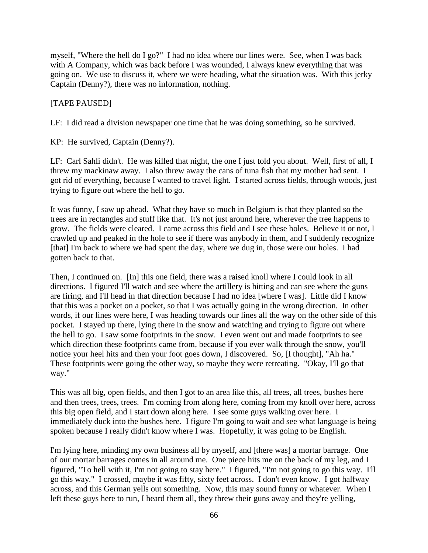myself, "Where the hell do I go?" I had no idea where our lines were. See, when I was back with A Company, which was back before I was wounded, I always knew everything that was going on. We use to discuss it, where we were heading, what the situation was. With this jerky Captain (Denny?), there was no information, nothing.

[TAPE PAUSED]

LF: I did read a division newspaper one time that he was doing something, so he survived.

KP: He survived, Captain (Denny?).

LF: Carl Sahli didn't. He was killed that night, the one I just told you about. Well, first of all, I threw my mackinaw away. I also threw away the cans of tuna fish that my mother had sent. I got rid of everything, because I wanted to travel light. I started across fields, through woods, just trying to figure out where the hell to go.

It was funny, I saw up ahead. What they have so much in Belgium is that they planted so the trees are in rectangles and stuff like that. It's not just around here, wherever the tree happens to grow. The fields were cleared. I came across this field and I see these holes. Believe it or not, I crawled up and peaked in the hole to see if there was anybody in them, and I suddenly recognize [that] I'm back to where we had spent the day, where we dug in, those were our holes. I had gotten back to that.

Then, I continued on. [In] this one field, there was a raised knoll where I could look in all directions. I figured I'll watch and see where the artillery is hitting and can see where the guns are firing, and I'll head in that direction because I had no idea [where I was]. Little did I know that this was a pocket on a pocket, so that I was actually going in the wrong direction. In other words, if our lines were here, I was heading towards our lines all the way on the other side of this pocket. I stayed up there, lying there in the snow and watching and trying to figure out where the hell to go. I saw some footprints in the snow. I even went out and made footprints to see which direction these footprints came from, because if you ever walk through the snow, you'll notice your heel hits and then your foot goes down, I discovered. So, [I thought], "Ah ha." These footprints were going the other way, so maybe they were retreating. "Okay, I'll go that way."

This was all big, open fields, and then I got to an area like this, all trees, all trees, bushes here and then trees, trees, trees. I'm coming from along here, coming from my knoll over here, across this big open field, and I start down along here. I see some guys walking over here. I immediately duck into the bushes here. I figure I'm going to wait and see what language is being spoken because I really didn't know where I was. Hopefully, it was going to be English.

I'm lying here, minding my own business all by myself, and [there was] a mortar barrage. One of our mortar barrages comes in all around me. One piece hits me on the back of my leg, and I figured, "To hell with it, I'm not going to stay here." I figured, "I'm not going to go this way. I'll go this way." I crossed, maybe it was fifty, sixty feet across. I don't even know. I got halfway across, and this German yells out something. Now, this may sound funny or whatever. When I left these guys here to run, I heard them all, they threw their guns away and they're yelling,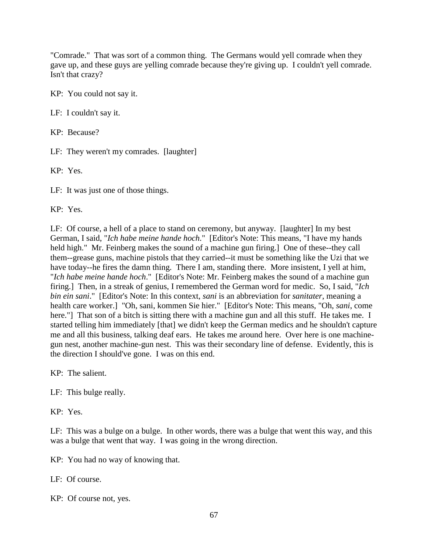"Comrade." That was sort of a common thing. The Germans would yell comrade when they gave up, and these guys are yelling comrade because they're giving up. I couldn't yell comrade. Isn't that crazy?

KP: You could not say it.

LF: I couldn't say it.

KP: Because?

LF: They weren't my comrades. [laughter]

KP: Yes.

LF: It was just one of those things.

KP: Yes.

LF: Of course, a hell of a place to stand on ceremony, but anyway. [laughter] In my best German, I said, "*Ich habe meine hande hoch*." [Editor's Note: This means, "I have my hands held high." Mr. Feinberg makes the sound of a machine gun firing.] One of these--they call them--grease guns, machine pistols that they carried--it must be something like the Uzi that we have today--he fires the damn thing. There I am, standing there. More insistent, I yell at him, "*Ich habe meine hande hoch*." [Editor's Note: Mr. Feinberg makes the sound of a machine gun firing.] Then, in a streak of genius, I remembered the German word for medic. So, I said, "*Ich bin ein sani*." [Editor's Note: In this context, *sani* is an abbreviation for *sanitater*, meaning a health care worker.] "Oh, sani, kommen Sie hier." [Editor's Note: This means, "Oh, *sani*, come here."] That son of a bitch is sitting there with a machine gun and all this stuff. He takes me. I started telling him immediately [that] we didn't keep the German medics and he shouldn't capture me and all this business, talking deaf ears. He takes me around here. Over here is one machinegun nest, another machine-gun nest. This was their secondary line of defense. Evidently, this is the direction I should've gone. I was on this end.

KP: The salient.

LF: This bulge really.

KP: Yes.

LF: This was a bulge on a bulge. In other words, there was a bulge that went this way, and this was a bulge that went that way. I was going in the wrong direction.

KP: You had no way of knowing that.

LF: Of course.

KP: Of course not, yes.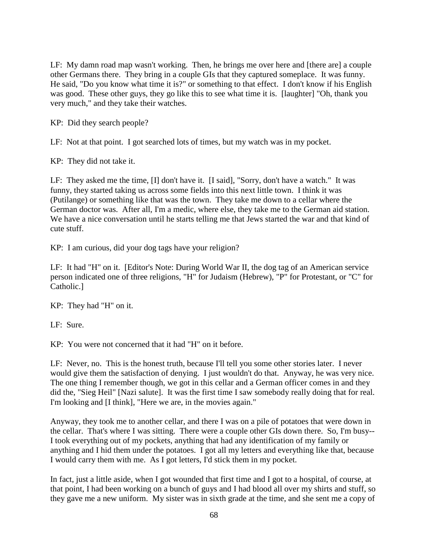LF: My damn road map wasn't working. Then, he brings me over here and [there are] a couple other Germans there. They bring in a couple GIs that they captured someplace. It was funny. He said, "Do you know what time it is?" or something to that effect. I don't know if his English was good. These other guys, they go like this to see what time it is. [laughter] "Oh, thank you very much," and they take their watches.

KP: Did they search people?

LF: Not at that point. I got searched lots of times, but my watch was in my pocket.

KP: They did not take it.

LF: They asked me the time, [I] don't have it. [I said], "Sorry, don't have a watch." It was funny, they started taking us across some fields into this next little town. I think it was (Putilange) or something like that was the town. They take me down to a cellar where the German doctor was. After all, I'm a medic, where else, they take me to the German aid station. We have a nice conversation until he starts telling me that Jews started the war and that kind of cute stuff.

KP: I am curious, did your dog tags have your religion?

LF: It had "H" on it. [Editor's Note: During World War II, the dog tag of an American service person indicated one of three religions, "H" for Judaism (Hebrew), "P" for Protestant, or "C" for Catholic.]

KP: They had "H" on it.

LF: Sure.

KP: You were not concerned that it had "H" on it before.

LF: Never, no. This is the honest truth, because I'll tell you some other stories later. I never would give them the satisfaction of denying. I just wouldn't do that. Anyway, he was very nice. The one thing I remember though, we got in this cellar and a German officer comes in and they did the, "Sieg Heil" [Nazi salute]. It was the first time I saw somebody really doing that for real. I'm looking and [I think], "Here we are, in the movies again."

Anyway, they took me to another cellar, and there I was on a pile of potatoes that were down in the cellar. That's where I was sitting. There were a couple other GIs down there. So, I'm busy-- I took everything out of my pockets, anything that had any identification of my family or anything and I hid them under the potatoes. I got all my letters and everything like that, because I would carry them with me. As I got letters, I'd stick them in my pocket.

In fact, just a little aside, when I got wounded that first time and I got to a hospital, of course, at that point, I had been working on a bunch of guys and I had blood all over my shirts and stuff, so they gave me a new uniform. My sister was in sixth grade at the time, and she sent me a copy of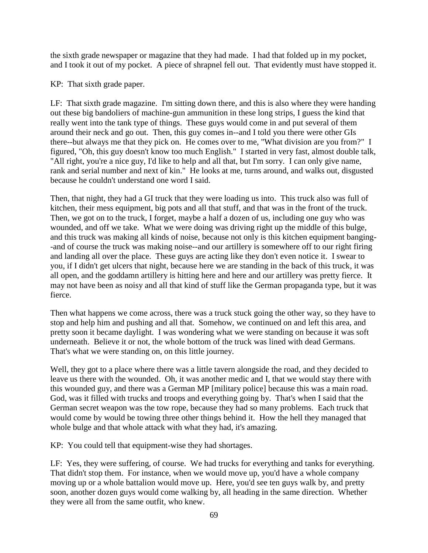the sixth grade newspaper or magazine that they had made. I had that folded up in my pocket, and I took it out of my pocket. A piece of shrapnel fell out. That evidently must have stopped it.

KP: That sixth grade paper.

LF: That sixth grade magazine. I'm sitting down there, and this is also where they were handing out these big bandoliers of machine-gun ammunition in these long strips, I guess the kind that really went into the tank type of things. These guys would come in and put several of them around their neck and go out. Then, this guy comes in--and I told you there were other GIs there--but always me that they pick on. He comes over to me, "What division are you from?" I figured, "Oh, this guy doesn't know too much English." I started in very fast, almost double talk, "All right, you're a nice guy, I'd like to help and all that, but I'm sorry. I can only give name, rank and serial number and next of kin." He looks at me, turns around, and walks out, disgusted because he couldn't understand one word I said.

Then, that night, they had a GI truck that they were loading us into. This truck also was full of kitchen, their mess equipment, big pots and all that stuff, and that was in the front of the truck. Then, we got on to the truck, I forget, maybe a half a dozen of us, including one guy who was wounded, and off we take. What we were doing was driving right up the middle of this bulge, and this truck was making all kinds of noise, because not only is this kitchen equipment banging- -and of course the truck was making noise--and our artillery is somewhere off to our right firing and landing all over the place. These guys are acting like they don't even notice it. I swear to you, if I didn't get ulcers that night, because here we are standing in the back of this truck, it was all open, and the goddamn artillery is hitting here and here and our artillery was pretty fierce. It may not have been as noisy and all that kind of stuff like the German propaganda type, but it was fierce.

Then what happens we come across, there was a truck stuck going the other way, so they have to stop and help him and pushing and all that. Somehow, we continued on and left this area, and pretty soon it became daylight. I was wondering what we were standing on because it was soft underneath. Believe it or not, the whole bottom of the truck was lined with dead Germans. That's what we were standing on, on this little journey.

Well, they got to a place where there was a little tavern alongside the road, and they decided to leave us there with the wounded. Oh, it was another medic and I, that we would stay there with this wounded guy, and there was a German MP [military police] because this was a main road. God, was it filled with trucks and troops and everything going by. That's when I said that the German secret weapon was the tow rope, because they had so many problems. Each truck that would come by would be towing three other things behind it. How the hell they managed that whole bulge and that whole attack with what they had, it's amazing.

KP: You could tell that equipment-wise they had shortages.

LF: Yes, they were suffering, of course. We had trucks for everything and tanks for everything. That didn't stop them. For instance, when we would move up, you'd have a whole company moving up or a whole battalion would move up. Here, you'd see ten guys walk by, and pretty soon, another dozen guys would come walking by, all heading in the same direction. Whether they were all from the same outfit, who knew.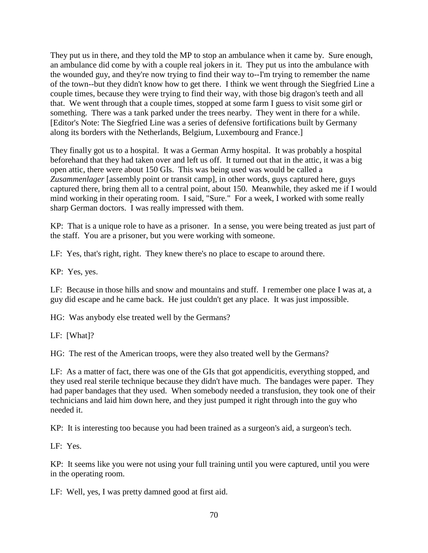They put us in there, and they told the MP to stop an ambulance when it came by. Sure enough, an ambulance did come by with a couple real jokers in it. They put us into the ambulance with the wounded guy, and they're now trying to find their way to--I'm trying to remember the name of the town--but they didn't know how to get there. I think we went through the Siegfried Line a couple times, because they were trying to find their way, with those big dragon's teeth and all that. We went through that a couple times, stopped at some farm I guess to visit some girl or something. There was a tank parked under the trees nearby. They went in there for a while. [Editor's Note: The Siegfried Line was a series of defensive fortifications built by Germany along its borders with the Netherlands, Belgium, Luxembourg and France.]

They finally got us to a hospital. It was a German Army hospital. It was probably a hospital beforehand that they had taken over and left us off. It turned out that in the attic, it was a big open attic, there were about 150 GIs. This was being used was would be called a *Zusammenlager* [assembly point or transit camp], in other words, guys captured here, guys captured there, bring them all to a central point, about 150. Meanwhile, they asked me if I would mind working in their operating room. I said, "Sure." For a week, I worked with some really sharp German doctors. I was really impressed with them.

KP: That is a unique role to have as a prisoner. In a sense, you were being treated as just part of the staff. You are a prisoner, but you were working with someone.

LF: Yes, that's right, right. They knew there's no place to escape to around there.

KP: Yes, yes.

LF: Because in those hills and snow and mountains and stuff. I remember one place I was at, a guy did escape and he came back. He just couldn't get any place. It was just impossible.

HG: Was anybody else treated well by the Germans?

LF: [What]?

HG: The rest of the American troops, were they also treated well by the Germans?

LF: As a matter of fact, there was one of the GIs that got appendicitis, everything stopped, and they used real sterile technique because they didn't have much. The bandages were paper. They had paper bandages that they used. When somebody needed a transfusion, they took one of their technicians and laid him down here, and they just pumped it right through into the guy who needed it.

KP: It is interesting too because you had been trained as a surgeon's aid, a surgeon's tech.

LF: Yes.

KP: It seems like you were not using your full training until you were captured, until you were in the operating room.

LF: Well, yes, I was pretty damned good at first aid.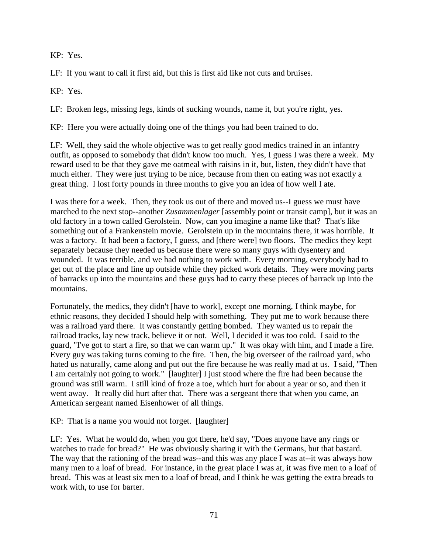KP: Yes.

LF: If you want to call it first aid, but this is first aid like not cuts and bruises.

KP: Yes.

LF: Broken legs, missing legs, kinds of sucking wounds, name it, but you're right, yes.

KP: Here you were actually doing one of the things you had been trained to do.

LF: Well, they said the whole objective was to get really good medics trained in an infantry outfit, as opposed to somebody that didn't know too much. Yes, I guess I was there a week. My reward used to be that they gave me oatmeal with raisins in it, but, listen, they didn't have that much either. They were just trying to be nice, because from then on eating was not exactly a great thing. I lost forty pounds in three months to give you an idea of how well I ate.

I was there for a week. Then, they took us out of there and moved us--I guess we must have marched to the next stop--another *Zusammenlager* [assembly point or transit camp], but it was an old factory in a town called Gerolstein. Now, can you imagine a name like that? That's like something out of a Frankenstein movie. Gerolstein up in the mountains there, it was horrible. It was a factory. It had been a factory, I guess, and [there were] two floors. The medics they kept separately because they needed us because there were so many guys with dysentery and wounded. It was terrible, and we had nothing to work with. Every morning, everybody had to get out of the place and line up outside while they picked work details. They were moving parts of barracks up into the mountains and these guys had to carry these pieces of barrack up into the mountains.

Fortunately, the medics, they didn't [have to work], except one morning, I think maybe, for ethnic reasons, they decided I should help with something. They put me to work because there was a railroad yard there. It was constantly getting bombed. They wanted us to repair the railroad tracks, lay new track, believe it or not. Well, I decided it was too cold. I said to the guard, "I've got to start a fire, so that we can warm up." It was okay with him, and I made a fire. Every guy was taking turns coming to the fire. Then, the big overseer of the railroad yard, who hated us naturally, came along and put out the fire because he was really mad at us. I said, "Then I am certainly not going to work." [laughter] I just stood where the fire had been because the ground was still warm. I still kind of froze a toe, which hurt for about a year or so, and then it went away. It really did hurt after that. There was a sergeant there that when you came, an American sergeant named Eisenhower of all things.

KP: That is a name you would not forget. [laughter]

LF: Yes. What he would do, when you got there, he'd say, "Does anyone have any rings or watches to trade for bread?" He was obviously sharing it with the Germans, but that bastard. The way that the rationing of the bread was--and this was any place I was at--it was always how many men to a loaf of bread. For instance, in the great place I was at, it was five men to a loaf of bread. This was at least six men to a loaf of bread, and I think he was getting the extra breads to work with, to use for barter.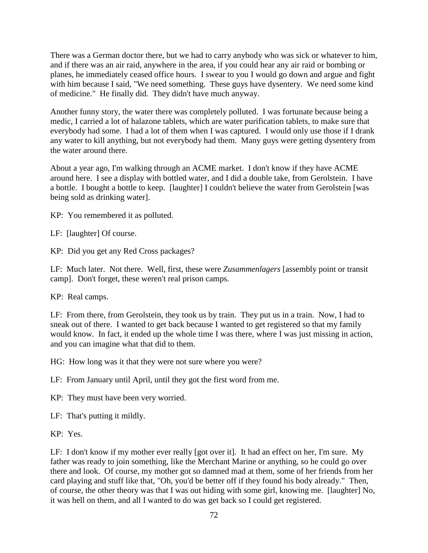There was a German doctor there, but we had to carry anybody who was sick or whatever to him, and if there was an air raid, anywhere in the area, if you could hear any air raid or bombing or planes, he immediately ceased office hours. I swear to you I would go down and argue and fight with him because I said, "We need something. These guys have dysentery. We need some kind of medicine." He finally did. They didn't have much anyway.

Another funny story, the water there was completely polluted. I was fortunate because being a medic, I carried a lot of halazone tablets, which are water purification tablets, to make sure that everybody had some. I had a lot of them when I was captured. I would only use those if I drank any water to kill anything, but not everybody had them. Many guys were getting dysentery from the water around there.

About a year ago, I'm walking through an ACME market. I don't know if they have ACME around here. I see a display with bottled water, and I did a double take, from Gerolstein. I have a bottle. I bought a bottle to keep. [laughter] I couldn't believe the water from Gerolstein [was being sold as drinking water].

KP: You remembered it as polluted.

LF: [laughter] Of course.

KP: Did you get any Red Cross packages?

LF: Much later. Not there. Well, first, these were *Zusammenlagers* [assembly point or transit camp]. Don't forget, these weren't real prison camps.

KP: Real camps.

LF: From there, from Gerolstein, they took us by train. They put us in a train. Now, I had to sneak out of there. I wanted to get back because I wanted to get registered so that my family would know. In fact, it ended up the whole time I was there, where I was just missing in action, and you can imagine what that did to them.

HG: How long was it that they were not sure where you were?

LF: From January until April, until they got the first word from me.

KP: They must have been very worried.

LF: That's putting it mildly.

KP: Yes.

LF: I don't know if my mother ever really [got over it]. It had an effect on her, I'm sure. My father was ready to join something, like the Merchant Marine or anything, so he could go over there and look. Of course, my mother got so damned mad at them, some of her friends from her card playing and stuff like that, "Oh, you'd be better off if they found his body already." Then, of course, the other theory was that I was out hiding with some girl, knowing me. [laughter] No, it was hell on them, and all I wanted to do was get back so I could get registered.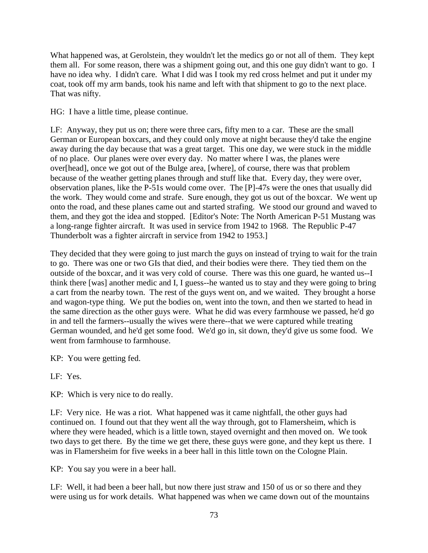What happened was, at Gerolstein, they wouldn't let the medics go or not all of them. They kept them all. For some reason, there was a shipment going out, and this one guy didn't want to go. I have no idea why. I didn't care. What I did was I took my red cross helmet and put it under my coat, took off my arm bands, took his name and left with that shipment to go to the next place. That was nifty.

HG: I have a little time, please continue.

LF: Anyway, they put us on; there were three cars, fifty men to a car. These are the small German or European boxcars, and they could only move at night because they'd take the engine away during the day because that was a great target. This one day, we were stuck in the middle of no place. Our planes were over every day. No matter where I was, the planes were over[head], once we got out of the Bulge area, [where], of course, there was that problem because of the weather getting planes through and stuff like that. Every day, they were over, observation planes, like the P-51s would come over. The [P]-47s were the ones that usually did the work. They would come and strafe. Sure enough, they got us out of the boxcar. We went up onto the road, and these planes came out and started strafing. We stood our ground and waved to them, and they got the idea and stopped. [Editor's Note: The North American P-51 Mustang was a long-range fighter aircraft. It was used in service from 1942 to 1968. The Republic P-47 Thunderbolt was a fighter aircraft in service from 1942 to 1953.]

They decided that they were going to just march the guys on instead of trying to wait for the train to go. There was one or two GIs that died, and their bodies were there. They tied them on the outside of the boxcar, and it was very cold of course. There was this one guard, he wanted us--I think there [was] another medic and I, I guess--he wanted us to stay and they were going to bring a cart from the nearby town. The rest of the guys went on, and we waited. They brought a horse and wagon-type thing. We put the bodies on, went into the town, and then we started to head in the same direction as the other guys were. What he did was every farmhouse we passed, he'd go in and tell the farmers--usually the wives were there--that we were captured while treating German wounded, and he'd get some food. We'd go in, sit down, they'd give us some food. We went from farmhouse to farmhouse.

KP: You were getting fed.

LF: Yes.

KP: Which is very nice to do really.

LF: Very nice. He was a riot. What happened was it came nightfall, the other guys had continued on. I found out that they went all the way through, got to Flamersheim, which is where they were headed, which is a little town, stayed overnight and then moved on. We took two days to get there. By the time we get there, these guys were gone, and they kept us there. I was in Flamersheim for five weeks in a beer hall in this little town on the Cologne Plain.

KP: You say you were in a beer hall.

LF: Well, it had been a beer hall, but now there just straw and 150 of us or so there and they were using us for work details. What happened was when we came down out of the mountains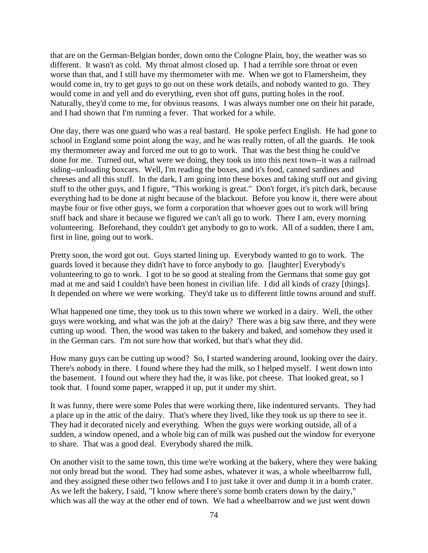that are on the German-Belgian border, down onto the Cologne Plain, boy, the weather was so different. It wasn't as cold. My throat almost closed up. I had a terrible sore throat or even worse than that, and I still have my thermometer with me. When we got to Flamersheim, they would come in, try to get guys to go out on these work details, and nobody wanted to go. They would come in and yell and do everything, even shot off guns, putting holes in the roof. Naturally, they'd come to me, for obvious reasons. I was always number one on their hit parade, and I had shown that I'm running a fever. That worked for a while.

One day, there was one guard who was a real bastard. He spoke perfect English. He had gone to school in England some point along the way, and he was really rotten, of all the guards. He took my thermometer away and forced me out to go to work. That was the best thing he could've done for me. Turned out, what were we doing, they took us into this next town--it was a railroad siding--unloading boxcars. Well, I'm reading the boxes, and it's food, canned sardines and cheeses and all this stuff. In the dark, I am going into these boxes and taking stuff out and giving stuff to the other guys, and I figure, "This working is great." Don't forget, it's pitch dark, because everything had to be done at night because of the blackout. Before you know it, there were about maybe four or five other guys, we form a corporation that whoever goes out to work will bring stuff back and share it because we figured we can't all go to work. There I am, every morning volunteering. Beforehand, they couldn't get anybody to go to work. All of a sudden, there I am, first in line, going out to work.

Pretty soon, the word got out. Guys started lining up. Everybody wanted to go to work. The guards loved it because they didn't have to force anybody to go. [laughter] Everybody's volunteering to go to work. I got to be so good at stealing from the Germans that some guy got mad at me and said I couldn't have been honest in civilian life. I did all kinds of crazy [things]. It depended on where we were working. They'd take us to different little towns around and stuff.

What happened one time, they took us to this town where we worked in a dairy. Well, the other guys were working, and what was the job at the dairy? There was a big saw there, and they were cutting up wood. Then, the wood was taken to the bakery and baked, and somehow they used it in the German cars. I'm not sure how that worked, but that's what they did.

How many guys can be cutting up wood? So, I started wandering around, looking over the dairy. There's nobody in there. I found where they had the milk, so I helped myself. I went down into the basement. I found out where they had the, it was like, pot cheese. That looked great, so I took that. I found some paper, wrapped it up, put it under my shirt.

It was funny, there were some Poles that were working there, like indentured servants. They had a place up in the attic of the dairy. That's where they lived, like they took us up there to see it. They had it decorated nicely and everything. When the guys were working outside, all of a sudden, a window opened, and a whole big can of milk was pushed out the window for everyone to share. That was a good deal. Everybody shared the milk.

On another visit to the same town, this time we're working at the bakery, where they were baking not only bread but the wood. They had some ashes, whatever it was, a whole wheelbarrow full, and they assigned these other two fellows and I to just take it over and dump it in a bomb crater. As we left the bakery, I said, "I know where there's some bomb craters down by the dairy," which was all the way at the other end of town. We had a wheelbarrow and we just went down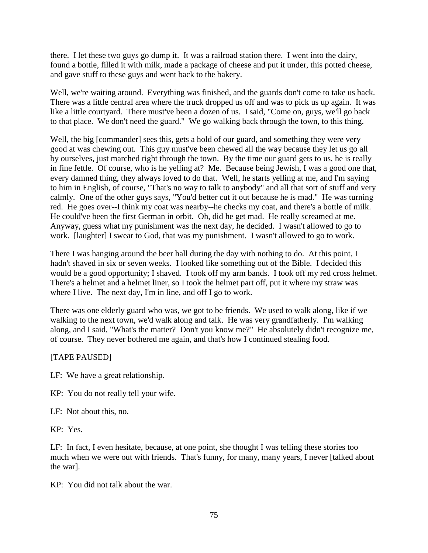there. I let these two guys go dump it. It was a railroad station there. I went into the dairy, found a bottle, filled it with milk, made a package of cheese and put it under, this potted cheese, and gave stuff to these guys and went back to the bakery.

Well, we're waiting around. Everything was finished, and the guards don't come to take us back. There was a little central area where the truck dropped us off and was to pick us up again. It was like a little courtyard. There must've been a dozen of us. I said, "Come on, guys, we'll go back to that place. We don't need the guard." We go walking back through the town, to this thing.

Well, the big [commander] sees this, gets a hold of our guard, and something they were very good at was chewing out. This guy must've been chewed all the way because they let us go all by ourselves, just marched right through the town. By the time our guard gets to us, he is really in fine fettle. Of course, who is he yelling at? Me. Because being Jewish, I was a good one that, every damned thing, they always loved to do that. Well, he starts yelling at me, and I'm saying to him in English, of course, "That's no way to talk to anybody" and all that sort of stuff and very calmly. One of the other guys says, "You'd better cut it out because he is mad." He was turning red. He goes over--I think my coat was nearby--he checks my coat, and there's a bottle of milk. He could've been the first German in orbit. Oh, did he get mad. He really screamed at me. Anyway, guess what my punishment was the next day, he decided. I wasn't allowed to go to work. [laughter] I swear to God, that was my punishment. I wasn't allowed to go to work.

There I was hanging around the beer hall during the day with nothing to do. At this point, I hadn't shaved in six or seven weeks. I looked like something out of the Bible. I decided this would be a good opportunity; I shaved. I took off my arm bands. I took off my red cross helmet. There's a helmet and a helmet liner, so I took the helmet part off, put it where my straw was where I live. The next day, I'm in line, and off I go to work.

There was one elderly guard who was, we got to be friends. We used to walk along, like if we walking to the next town, we'd walk along and talk. He was very grandfatherly. I'm walking along, and I said, "What's the matter? Don't you know me?" He absolutely didn't recognize me, of course. They never bothered me again, and that's how I continued stealing food.

## [TAPE PAUSED]

- LF: We have a great relationship.
- KP: You do not really tell your wife.

LF: Not about this, no.

KP: Yes.

LF: In fact, I even hesitate, because, at one point, she thought I was telling these stories too much when we were out with friends. That's funny, for many, many years, I never [talked about the war].

KP: You did not talk about the war.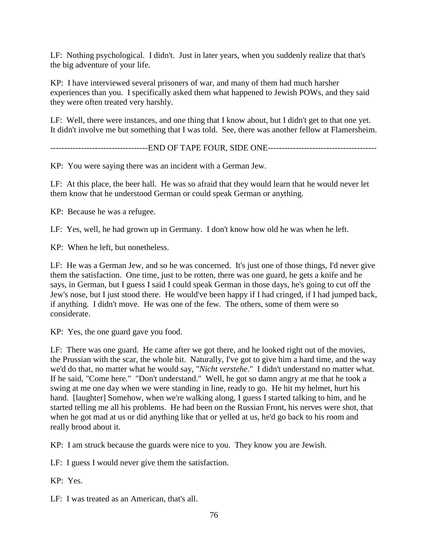LF: Nothing psychological. I didn't. Just in later years, when you suddenly realize that that's the big adventure of your life.

KP: I have interviewed several prisoners of war, and many of them had much harsher experiences than you. I specifically asked them what happened to Jewish POWs, and they said they were often treated very harshly.

LF: Well, there were instances, and one thing that I know about, but I didn't get to that one yet. It didn't involve me but something that I was told. See, there was another fellow at Flamersheim.

-----------------------------------END OF TAPE FOUR, SIDE ONE---------------------------------------

KP: You were saying there was an incident with a German Jew.

LF: At this place, the beer hall. He was so afraid that they would learn that he would never let them know that he understood German or could speak German or anything.

KP: Because he was a refugee.

LF: Yes, well, he had grown up in Germany. I don't know how old he was when he left.

KP: When he left, but nonetheless.

LF: He was a German Jew, and so he was concerned. It's just one of those things, I'd never give them the satisfaction. One time, just to be rotten, there was one guard, he gets a knife and he says, in German, but I guess I said I could speak German in those days, he's going to cut off the Jew's nose, but I just stood there. He would've been happy if I had cringed, if I had jumped back, if anything. I didn't move. He was one of the few. The others, some of them were so considerate.

KP: Yes, the one guard gave you food.

LF: There was one guard. He came after we got there, and he looked right out of the movies, the Prussian with the scar, the whole bit. Naturally, I've got to give him a hard time, and the way we'd do that, no matter what he would say, "*Nicht verstehe*." I didn't understand no matter what. If he said, "Come here." "Don't understand." Well, he got so damn angry at me that he took a swing at me one day when we were standing in line, ready to go. He hit my helmet, hurt his hand. [laughter] Somehow, when we're walking along, I guess I started talking to him, and he started telling me all his problems. He had been on the Russian Front, his nerves were shot, that when he got mad at us or did anything like that or yelled at us, he'd go back to his room and really brood about it.

KP: I am struck because the guards were nice to you. They know you are Jewish.

LF: I guess I would never give them the satisfaction.

KP: Yes.

LF: I was treated as an American, that's all.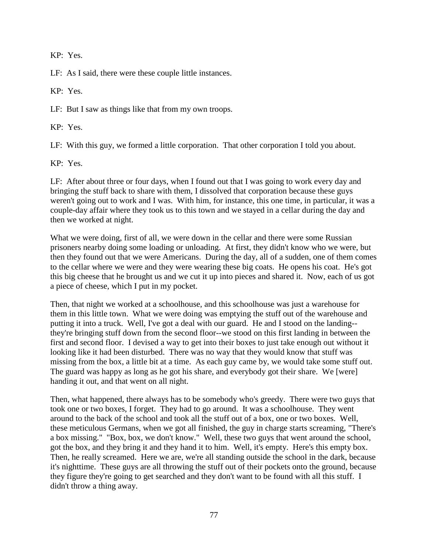KP: Yes.

LF: As I said, there were these couple little instances.

KP: Yes.

LF: But I saw as things like that from my own troops.

KP: Yes.

LF: With this guy, we formed a little corporation. That other corporation I told you about.

KP: Yes.

LF: After about three or four days, when I found out that I was going to work every day and bringing the stuff back to share with them, I dissolved that corporation because these guys weren't going out to work and I was. With him, for instance, this one time, in particular, it was a couple-day affair where they took us to this town and we stayed in a cellar during the day and then we worked at night.

What we were doing, first of all, we were down in the cellar and there were some Russian prisoners nearby doing some loading or unloading. At first, they didn't know who we were, but then they found out that we were Americans. During the day, all of a sudden, one of them comes to the cellar where we were and they were wearing these big coats. He opens his coat. He's got this big cheese that he brought us and we cut it up into pieces and shared it. Now, each of us got a piece of cheese, which I put in my pocket.

Then, that night we worked at a schoolhouse, and this schoolhouse was just a warehouse for them in this little town. What we were doing was emptying the stuff out of the warehouse and putting it into a truck. Well, I've got a deal with our guard. He and I stood on the landing- they're bringing stuff down from the second floor--we stood on this first landing in between the first and second floor. I devised a way to get into their boxes to just take enough out without it looking like it had been disturbed. There was no way that they would know that stuff was missing from the box, a little bit at a time. As each guy came by, we would take some stuff out. The guard was happy as long as he got his share, and everybody got their share. We [were] handing it out, and that went on all night.

Then, what happened, there always has to be somebody who's greedy. There were two guys that took one or two boxes, I forget. They had to go around. It was a schoolhouse. They went around to the back of the school and took all the stuff out of a box, one or two boxes. Well, these meticulous Germans, when we got all finished, the guy in charge starts screaming, "There's a box missing." "Box, box, we don't know." Well, these two guys that went around the school, got the box, and they bring it and they hand it to him. Well, it's empty. Here's this empty box. Then, he really screamed. Here we are, we're all standing outside the school in the dark, because it's nighttime. These guys are all throwing the stuff out of their pockets onto the ground, because they figure they're going to get searched and they don't want to be found with all this stuff. I didn't throw a thing away.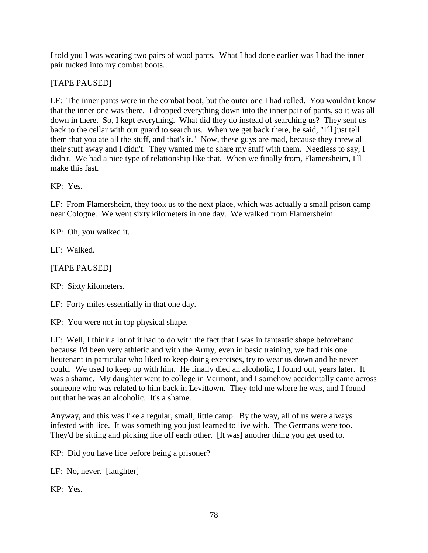I told you I was wearing two pairs of wool pants. What I had done earlier was I had the inner pair tucked into my combat boots.

## [TAPE PAUSED]

LF: The inner pants were in the combat boot, but the outer one I had rolled. You wouldn't know that the inner one was there. I dropped everything down into the inner pair of pants, so it was all down in there. So, I kept everything. What did they do instead of searching us? They sent us back to the cellar with our guard to search us. When we get back there, he said, "I'll just tell them that you ate all the stuff, and that's it." Now, these guys are mad, because they threw all their stuff away and I didn't. They wanted me to share my stuff with them. Needless to say, I didn't. We had a nice type of relationship like that. When we finally from, Flamersheim, I'll make this fast.

KP: Yes.

LF: From Flamersheim, they took us to the next place, which was actually a small prison camp near Cologne. We went sixty kilometers in one day. We walked from Flamersheim.

KP: Oh, you walked it.

LF: Walked.

[TAPE PAUSED]

KP: Sixty kilometers.

LF: Forty miles essentially in that one day.

KP: You were not in top physical shape.

LF: Well, I think a lot of it had to do with the fact that I was in fantastic shape beforehand because I'd been very athletic and with the Army, even in basic training, we had this one lieutenant in particular who liked to keep doing exercises, try to wear us down and he never could. We used to keep up with him. He finally died an alcoholic, I found out, years later. It was a shame. My daughter went to college in Vermont, and I somehow accidentally came across someone who was related to him back in Levittown. They told me where he was, and I found out that he was an alcoholic. It's a shame.

Anyway, and this was like a regular, small, little camp. By the way, all of us were always infested with lice. It was something you just learned to live with. The Germans were too. They'd be sitting and picking lice off each other. [It was] another thing you get used to.

KP: Did you have lice before being a prisoner?

LF: No, never. [laughter]

KP: Yes.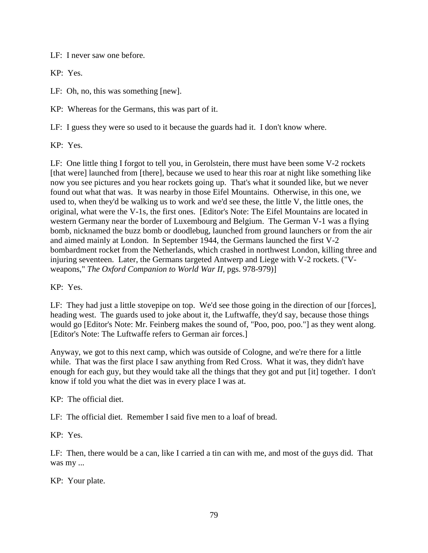LF: I never saw one before.

KP: Yes.

LF: Oh, no, this was something [new].

KP: Whereas for the Germans, this was part of it.

LF: I guess they were so used to it because the guards had it. I don't know where.

KP: Yes.

LF: One little thing I forgot to tell you, in Gerolstein, there must have been some V-2 rockets [that were] launched from [there], because we used to hear this roar at night like something like now you see pictures and you hear rockets going up. That's what it sounded like, but we never found out what that was. It was nearby in those Eifel Mountains. Otherwise, in this one, we used to, when they'd be walking us to work and we'd see these, the little V, the little ones, the original, what were the V-1s, the first ones. [Editor's Note: The Eifel Mountains are located in western Germany near the border of Luxembourg and Belgium. The German V-1 was a flying bomb, nicknamed the buzz bomb or doodlebug, launched from ground launchers or from the air and aimed mainly at London. In September 1944, the Germans launched the first V-2 bombardment rocket from the Netherlands, which crashed in northwest London, killing three and injuring seventeen. Later, the Germans targeted Antwerp and Liege with V-2 rockets. ("Vweapons," *The Oxford Companion to World War II*, pgs. 978-979)]

KP: Yes.

LF: They had just a little stovepipe on top. We'd see those going in the direction of our [forces], heading west. The guards used to joke about it, the Luftwaffe, they'd say, because those things would go [Editor's Note: Mr. Feinberg makes the sound of, "Poo, poo, poo."] as they went along. [Editor's Note: The Luftwaffe refers to German air forces.]

Anyway, we got to this next camp, which was outside of Cologne, and we're there for a little while. That was the first place I saw anything from Red Cross. What it was, they didn't have enough for each guy, but they would take all the things that they got and put [it] together. I don't know if told you what the diet was in every place I was at.

KP: The official diet.

LF: The official diet. Remember I said five men to a loaf of bread.

KP: Yes.

LF: Then, there would be a can, like I carried a tin can with me, and most of the guys did. That was my ...

KP: Your plate.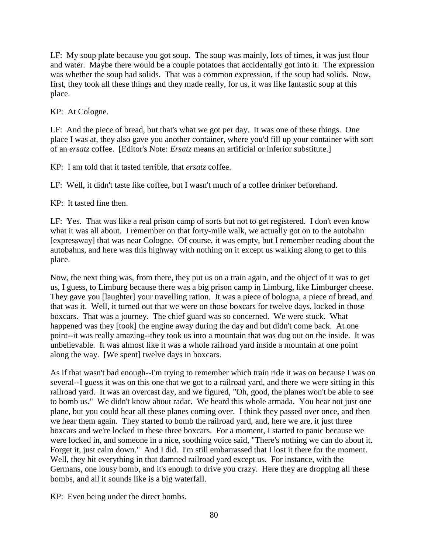LF: My soup plate because you got soup. The soup was mainly, lots of times, it was just flour and water. Maybe there would be a couple potatoes that accidentally got into it. The expression was whether the soup had solids. That was a common expression, if the soup had solids. Now, first, they took all these things and they made really, for us, it was like fantastic soup at this place.

KP: At Cologne.

LF: And the piece of bread, but that's what we got per day. It was one of these things. One place I was at, they also gave you another container, where you'd fill up your container with sort of an *ersatz* coffee. [Editor's Note: *Ersatz* means an artificial or inferior substitute.]

KP: I am told that it tasted terrible, that *ersatz* coffee.

LF: Well, it didn't taste like coffee, but I wasn't much of a coffee drinker beforehand.

KP: It tasted fine then.

LF: Yes. That was like a real prison camp of sorts but not to get registered. I don't even know what it was all about. I remember on that forty-mile walk, we actually got on to the autobahn [expressway] that was near Cologne. Of course, it was empty, but I remember reading about the autobahns, and here was this highway with nothing on it except us walking along to get to this place.

Now, the next thing was, from there, they put us on a train again, and the object of it was to get us, I guess, to Limburg because there was a big prison camp in Limburg, like Limburger cheese. They gave you [laughter] your travelling ration. It was a piece of bologna, a piece of bread, and that was it. Well, it turned out that we were on those boxcars for twelve days, locked in those boxcars. That was a journey. The chief guard was so concerned. We were stuck. What happened was they [took] the engine away during the day and but didn't come back. At one point--it was really amazing--they took us into a mountain that was dug out on the inside. It was unbelievable. It was almost like it was a whole railroad yard inside a mountain at one point along the way. [We spent] twelve days in boxcars.

As if that wasn't bad enough--I'm trying to remember which train ride it was on because I was on several--I guess it was on this one that we got to a railroad yard, and there we were sitting in this railroad yard. It was an overcast day, and we figured, "Oh, good, the planes won't be able to see to bomb us." We didn't know about radar. We heard this whole armada. You hear not just one plane, but you could hear all these planes coming over. I think they passed over once, and then we hear them again. They started to bomb the railroad yard, and, here we are, it just three boxcars and we're locked in these three boxcars. For a moment, I started to panic because we were locked in, and someone in a nice, soothing voice said, "There's nothing we can do about it. Forget it, just calm down." And I did. I'm still embarrassed that I lost it there for the moment. Well, they hit everything in that damned railroad yard except us. For instance, with the Germans, one lousy bomb, and it's enough to drive you crazy. Here they are dropping all these bombs, and all it sounds like is a big waterfall.

KP: Even being under the direct bombs.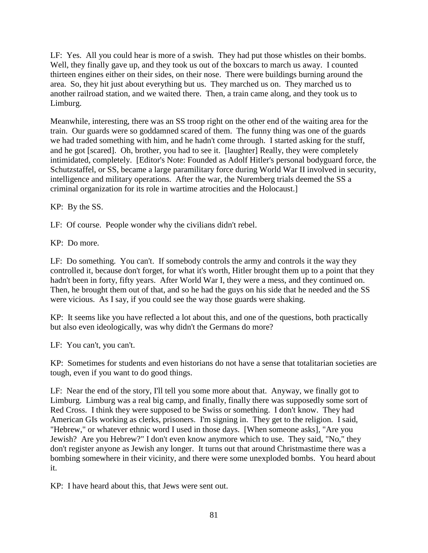LF: Yes. All you could hear is more of a swish. They had put those whistles on their bombs. Well, they finally gave up, and they took us out of the boxcars to march us away. I counted thirteen engines either on their sides, on their nose. There were buildings burning around the area. So, they hit just about everything but us. They marched us on. They marched us to another railroad station, and we waited there. Then, a train came along, and they took us to Limburg.

Meanwhile, interesting, there was an SS troop right on the other end of the waiting area for the train. Our guards were so goddamned scared of them. The funny thing was one of the guards we had traded something with him, and he hadn't come through. I started asking for the stuff, and he got [scared]. Oh, brother, you had to see it. [laughter] Really, they were completely intimidated, completely. [Editor's Note: Founded as Adolf Hitler's personal bodyguard force, the Schutzstaffel, or SS, became a large paramilitary force during World War II involved in security, intelligence and military operations. After the war, the Nuremberg trials deemed the SS a criminal organization for its role in wartime atrocities and the Holocaust.]

KP: By the SS.

LF: Of course. People wonder why the civilians didn't rebel.

KP: Do more.

LF: Do something. You can't. If somebody controls the army and controls it the way they controlled it, because don't forget, for what it's worth, Hitler brought them up to a point that they hadn't been in forty, fifty years. After World War I, they were a mess, and they continued on. Then, he brought them out of that, and so he had the guys on his side that he needed and the SS were vicious. As I say, if you could see the way those guards were shaking.

KP: It seems like you have reflected a lot about this, and one of the questions, both practically but also even ideologically, was why didn't the Germans do more?

LF: You can't, you can't.

KP: Sometimes for students and even historians do not have a sense that totalitarian societies are tough, even if you want to do good things.

LF: Near the end of the story, I'll tell you some more about that. Anyway, we finally got to Limburg. Limburg was a real big camp, and finally, finally there was supposedly some sort of Red Cross. I think they were supposed to be Swiss or something. I don't know. They had American GIs working as clerks, prisoners. I'm signing in. They get to the religion. I said, "Hebrew," or whatever ethnic word I used in those days. [When someone asks], "Are you Jewish? Are you Hebrew?" I don't even know anymore which to use. They said, "No," they don't register anyone as Jewish any longer. It turns out that around Christmastime there was a bombing somewhere in their vicinity, and there were some unexploded bombs. You heard about it.

KP: I have heard about this, that Jews were sent out.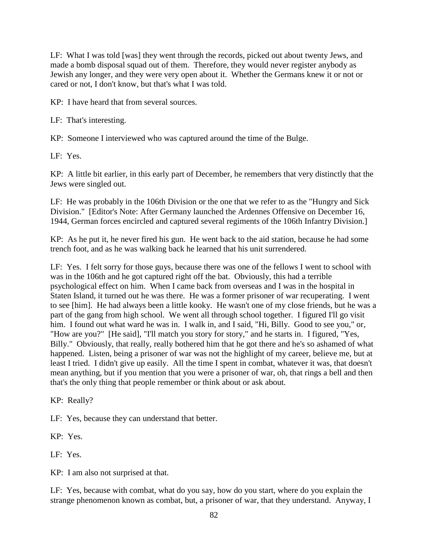LF: What I was told [was] they went through the records, picked out about twenty Jews, and made a bomb disposal squad out of them. Therefore, they would never register anybody as Jewish any longer, and they were very open about it. Whether the Germans knew it or not or cared or not, I don't know, but that's what I was told.

KP: I have heard that from several sources.

LF: That's interesting.

KP: Someone I interviewed who was captured around the time of the Bulge.

LF: Yes.

KP: A little bit earlier, in this early part of December, he remembers that very distinctly that the Jews were singled out.

LF: He was probably in the 106th Division or the one that we refer to as the "Hungry and Sick Division." [Editor's Note: After Germany launched the Ardennes Offensive on December 16, 1944, German forces encircled and captured several regiments of the 106th Infantry Division.]

KP: As he put it, he never fired his gun. He went back to the aid station, because he had some trench foot, and as he was walking back he learned that his unit surrendered.

LF: Yes. I felt sorry for those guys, because there was one of the fellows I went to school with was in the 106th and he got captured right off the bat. Obviously, this had a terrible psychological effect on him. When I came back from overseas and I was in the hospital in Staten Island, it turned out he was there. He was a former prisoner of war recuperating. I went to see [him]. He had always been a little kooky. He wasn't one of my close friends, but he was a part of the gang from high school. We went all through school together. I figured I'll go visit him. I found out what ward he was in. I walk in, and I said, "Hi, Billy. Good to see you," or, "How are you?" [He said], "I'll match you story for story," and he starts in. I figured, "Yes, Billy." Obviously, that really, really bothered him that he got there and he's so ashamed of what happened. Listen, being a prisoner of war was not the highlight of my career, believe me, but at least I tried. I didn't give up easily. All the time I spent in combat, whatever it was, that doesn't mean anything, but if you mention that you were a prisoner of war, oh, that rings a bell and then that's the only thing that people remember or think about or ask about.

KP: Really?

LF: Yes, because they can understand that better.

KP: Yes.

LF: Yes.

KP: I am also not surprised at that.

LF: Yes, because with combat, what do you say, how do you start, where do you explain the strange phenomenon known as combat, but, a prisoner of war, that they understand. Anyway, I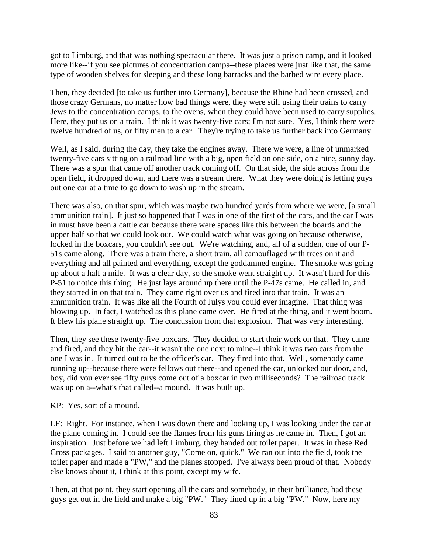got to Limburg, and that was nothing spectacular there. It was just a prison camp, and it looked more like--if you see pictures of concentration camps--these places were just like that, the same type of wooden shelves for sleeping and these long barracks and the barbed wire every place.

Then, they decided [to take us further into Germany], because the Rhine had been crossed, and those crazy Germans, no matter how bad things were, they were still using their trains to carry Jews to the concentration camps, to the ovens, when they could have been used to carry supplies. Here, they put us on a train. I think it was twenty-five cars; I'm not sure. Yes, I think there were twelve hundred of us, or fifty men to a car. They're trying to take us further back into Germany.

Well, as I said, during the day, they take the engines away. There we were, a line of unmarked twenty-five cars sitting on a railroad line with a big, open field on one side, on a nice, sunny day. There was a spur that came off another track coming off. On that side, the side across from the open field, it dropped down, and there was a stream there. What they were doing is letting guys out one car at a time to go down to wash up in the stream.

There was also, on that spur, which was maybe two hundred yards from where we were, [a small ammunition train]. It just so happened that I was in one of the first of the cars, and the car I was in must have been a cattle car because there were spaces like this between the boards and the upper half so that we could look out. We could watch what was going on because otherwise, locked in the boxcars, you couldn't see out. We're watching, and, all of a sudden, one of our P-51s came along. There was a train there, a short train, all camouflaged with trees on it and everything and all painted and everything, except the goddamned engine. The smoke was going up about a half a mile. It was a clear day, so the smoke went straight up. It wasn't hard for this P-51 to notice this thing. He just lays around up there until the P-47s came. He called in, and they started in on that train. They came right over us and fired into that train. It was an ammunition train. It was like all the Fourth of Julys you could ever imagine. That thing was blowing up. In fact, I watched as this plane came over. He fired at the thing, and it went boom. It blew his plane straight up. The concussion from that explosion. That was very interesting.

Then, they see these twenty-five boxcars. They decided to start their work on that. They came and fired, and they hit the car--it wasn't the one next to mine--I think it was two cars from the one I was in. It turned out to be the officer's car. They fired into that. Well, somebody came running up--because there were fellows out there--and opened the car, unlocked our door, and, boy, did you ever see fifty guys come out of a boxcar in two milliseconds? The railroad track was up on a--what's that called--a mound. It was built up.

KP: Yes, sort of a mound.

LF: Right. For instance, when I was down there and looking up, I was looking under the car at the plane coming in. I could see the flames from his guns firing as he came in. Then, I got an inspiration. Just before we had left Limburg, they handed out toilet paper. It was in these Red Cross packages. I said to another guy, "Come on, quick." We ran out into the field, took the toilet paper and made a "PW," and the planes stopped. I've always been proud of that. Nobody else knows about it, I think at this point, except my wife.

Then, at that point, they start opening all the cars and somebody, in their brilliance, had these guys get out in the field and make a big "PW." They lined up in a big "PW." Now, here my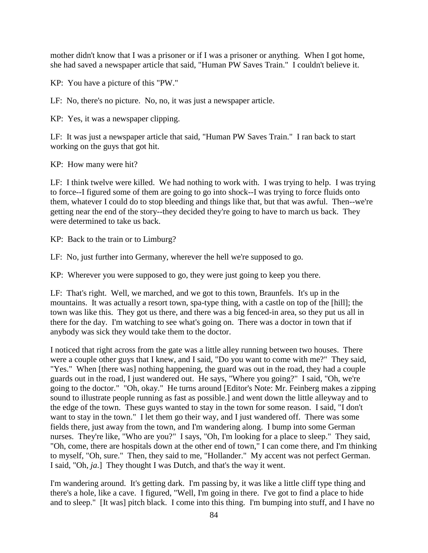mother didn't know that I was a prisoner or if I was a prisoner or anything. When I got home, she had saved a newspaper article that said, "Human PW Saves Train." I couldn't believe it.

KP: You have a picture of this "PW."

LF: No, there's no picture. No, no, it was just a newspaper article.

KP: Yes, it was a newspaper clipping.

LF: It was just a newspaper article that said, "Human PW Saves Train." I ran back to start working on the guys that got hit.

KP: How many were hit?

LF: I think twelve were killed. We had nothing to work with. I was trying to help. I was trying to force--I figured some of them are going to go into shock--I was trying to force fluids onto them, whatever I could do to stop bleeding and things like that, but that was awful. Then--we're getting near the end of the story--they decided they're going to have to march us back. They were determined to take us back.

KP: Back to the train or to Limburg?

LF: No, just further into Germany, wherever the hell we're supposed to go.

KP: Wherever you were supposed to go, they were just going to keep you there.

LF: That's right. Well, we marched, and we got to this town, Braunfels. It's up in the mountains. It was actually a resort town, spa-type thing, with a castle on top of the [hill]; the town was like this. They got us there, and there was a big fenced-in area, so they put us all in there for the day. I'm watching to see what's going on. There was a doctor in town that if anybody was sick they would take them to the doctor.

I noticed that right across from the gate was a little alley running between two houses. There were a couple other guys that I knew, and I said, "Do you want to come with me?" They said, "Yes." When [there was] nothing happening, the guard was out in the road, they had a couple guards out in the road, I just wandered out. He says, "Where you going?" I said, "Oh, we're going to the doctor." "Oh, okay." He turns around [Editor's Note: Mr. Feinberg makes a zipping sound to illustrate people running as fast as possible.] and went down the little alleyway and to the edge of the town. These guys wanted to stay in the town for some reason. I said, "I don't want to stay in the town." I let them go their way, and I just wandered off. There was some fields there, just away from the town, and I'm wandering along. I bump into some German nurses. They're like, "Who are you?" I says, "Oh, I'm looking for a place to sleep." They said, "Oh, come, there are hospitals down at the other end of town," I can come there, and I'm thinking to myself, "Oh, sure." Then, they said to me, "Hollander." My accent was not perfect German. I said, "Oh, *ja*.] They thought I was Dutch, and that's the way it went.

I'm wandering around. It's getting dark. I'm passing by, it was like a little cliff type thing and there's a hole, like a cave. I figured, "Well, I'm going in there. I've got to find a place to hide and to sleep." [It was] pitch black. I come into this thing. I'm bumping into stuff, and I have no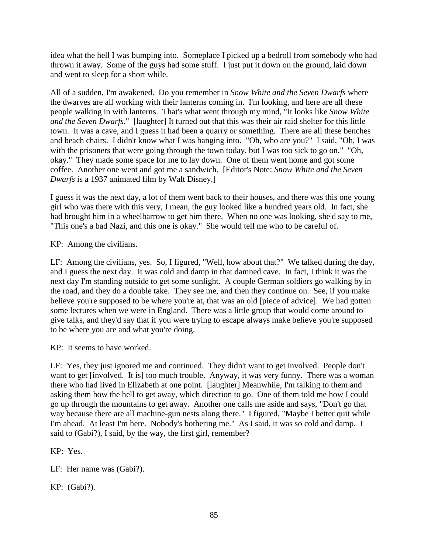idea what the hell I was bumping into. Someplace I picked up a bedroll from somebody who had thrown it away. Some of the guys had some stuff. I just put it down on the ground, laid down and went to sleep for a short while.

All of a sudden, I'm awakened. Do you remember in *Snow White and the Seven Dwarfs* where the dwarves are all working with their lanterns coming in. I'm looking, and here are all these people walking in with lanterns. That's what went through my mind, "It looks like *Snow White and the Seven Dwarfs*." [laughter] It turned out that this was their air raid shelter for this little town. It was a cave, and I guess it had been a quarry or something. There are all these benches and beach chairs. I didn't know what I was banging into. "Oh, who are you?" I said, "Oh, I was with the prisoners that were going through the town today, but I was too sick to go on." "Oh, okay." They made some space for me to lay down. One of them went home and got some coffee. Another one went and got me a sandwich. [Editor's Note: *Snow White and the Seven Dwarfs* is a 1937 animated film by Walt Disney.]

I guess it was the next day, a lot of them went back to their houses, and there was this one young girl who was there with this very, I mean, the guy looked like a hundred years old. In fact, she had brought him in a wheelbarrow to get him there. When no one was looking, she'd say to me, "This one's a bad Nazi, and this one is okay." She would tell me who to be careful of.

KP: Among the civilians.

LF: Among the civilians, yes. So, I figured, "Well, how about that?" We talked during the day, and I guess the next day. It was cold and damp in that damned cave. In fact, I think it was the next day I'm standing outside to get some sunlight. A couple German soldiers go walking by in the road, and they do a double take. They see me, and then they continue on. See, if you make believe you're supposed to be where you're at, that was an old [piece of advice]. We had gotten some lectures when we were in England. There was a little group that would come around to give talks, and they'd say that if you were trying to escape always make believe you're supposed to be where you are and what you're doing.

KP: It seems to have worked.

LF: Yes, they just ignored me and continued. They didn't want to get involved. People don't want to get [involved. It is] too much trouble. Anyway, it was very funny. There was a woman there who had lived in Elizabeth at one point. [laughter] Meanwhile, I'm talking to them and asking them how the hell to get away, which direction to go. One of them told me how I could go up through the mountains to get away. Another one calls me aside and says, "Don't go that way because there are all machine-gun nests along there." I figured, "Maybe I better quit while I'm ahead. At least I'm here. Nobody's bothering me." As I said, it was so cold and damp. I said to (Gabi?), I said, by the way, the first girl, remember?

KP: Yes.

LF: Her name was (Gabi?).

KP: (Gabi?).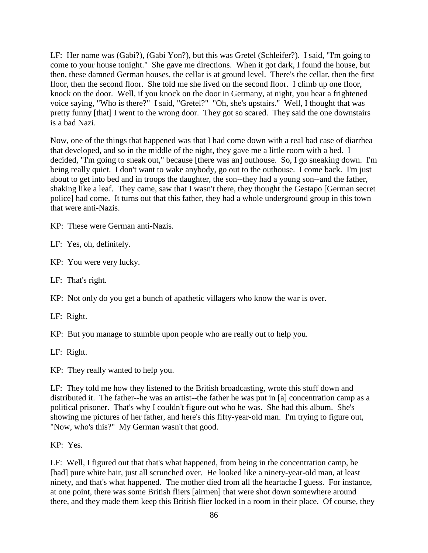LF: Her name was (Gabi?), (Gabi Yon?), but this was Gretel (Schleifer?). I said, "I'm going to come to your house tonight." She gave me directions. When it got dark, I found the house, but then, these damned German houses, the cellar is at ground level. There's the cellar, then the first floor, then the second floor. She told me she lived on the second floor. I climb up one floor, knock on the door. Well, if you knock on the door in Germany, at night, you hear a frightened voice saying, "Who is there?" I said, "Gretel?" "Oh, she's upstairs." Well, I thought that was pretty funny [that] I went to the wrong door. They got so scared. They said the one downstairs is a bad Nazi.

Now, one of the things that happened was that I had come down with a real bad case of diarrhea that developed, and so in the middle of the night, they gave me a little room with a bed. I decided, "I'm going to sneak out," because [there was an] outhouse. So, I go sneaking down. I'm being really quiet. I don't want to wake anybody, go out to the outhouse. I come back. I'm just about to get into bed and in troops the daughter, the son--they had a young son--and the father, shaking like a leaf. They came, saw that I wasn't there, they thought the Gestapo [German secret police] had come. It turns out that this father, they had a whole underground group in this town that were anti-Nazis.

KP: These were German anti-Nazis.

LF: Yes, oh, definitely.

KP: You were very lucky.

LF: That's right.

KP: Not only do you get a bunch of apathetic villagers who know the war is over.

LF: Right.

KP: But you manage to stumble upon people who are really out to help you.

LF: Right.

KP: They really wanted to help you.

LF: They told me how they listened to the British broadcasting, wrote this stuff down and distributed it. The father--he was an artist--the father he was put in [a] concentration camp as a political prisoner. That's why I couldn't figure out who he was. She had this album. She's showing me pictures of her father, and here's this fifty-year-old man. I'm trying to figure out, "Now, who's this?" My German wasn't that good.

## KP: Yes.

LF: Well, I figured out that that's what happened, from being in the concentration camp, he [had] pure white hair, just all scrunched over. He looked like a ninety-year-old man, at least ninety, and that's what happened. The mother died from all the heartache I guess. For instance, at one point, there was some British fliers [airmen] that were shot down somewhere around there, and they made them keep this British flier locked in a room in their place. Of course, they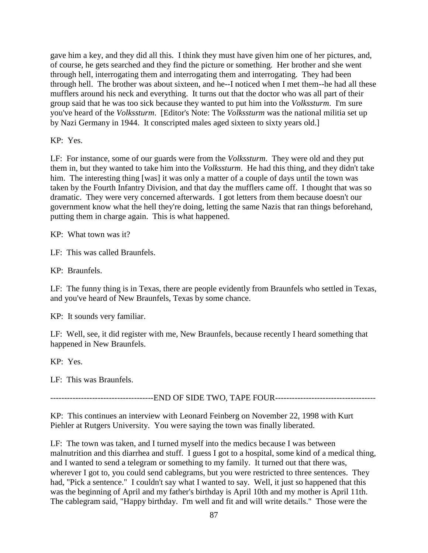gave him a key, and they did all this. I think they must have given him one of her pictures, and, of course, he gets searched and they find the picture or something. Her brother and she went through hell, interrogating them and interrogating them and interrogating. They had been through hell. The brother was about sixteen, and he--I noticed when I met them--he had all these mufflers around his neck and everything. It turns out that the doctor who was all part of their group said that he was too sick because they wanted to put him into the *Volkssturm*. I'm sure you've heard of the *Volkssturm*. [Editor's Note: The *Volkssturm* was the national militia set up by Nazi Germany in 1944. It conscripted males aged sixteen to sixty years old.]

KP: Yes.

LF: For instance, some of our guards were from the *Volkssturm*. They were old and they put them in, but they wanted to take him into the *Volkssturm*. He had this thing, and they didn't take him. The interesting thing [was] it was only a matter of a couple of days until the town was taken by the Fourth Infantry Division, and that day the mufflers came off. I thought that was so dramatic. They were very concerned afterwards. I got letters from them because doesn't our government know what the hell they're doing, letting the same Nazis that ran things beforehand, putting them in charge again. This is what happened.

KP: What town was it?

LF: This was called Braunfels.

KP: Braunfels.

LF: The funny thing is in Texas, there are people evidently from Braunfels who settled in Texas, and you've heard of New Braunfels, Texas by some chance.

KP: It sounds very familiar.

LF: Well, see, it did register with me, New Braunfels, because recently I heard something that happened in New Braunfels.

KP: Yes.

LF: This was Braunfels.

-------------------------------------END OF SIDE TWO, TAPE FOUR------------------------------------

KP: This continues an interview with Leonard Feinberg on November 22, 1998 with Kurt Piehler at Rutgers University. You were saying the town was finally liberated.

LF: The town was taken, and I turned myself into the medics because I was between malnutrition and this diarrhea and stuff. I guess I got to a hospital, some kind of a medical thing, and I wanted to send a telegram or something to my family. It turned out that there was, wherever I got to, you could send cablegrams, but you were restricted to three sentences. They had, "Pick a sentence." I couldn't say what I wanted to say. Well, it just so happened that this was the beginning of April and my father's birthday is April 10th and my mother is April 11th. The cablegram said, "Happy birthday. I'm well and fit and will write details." Those were the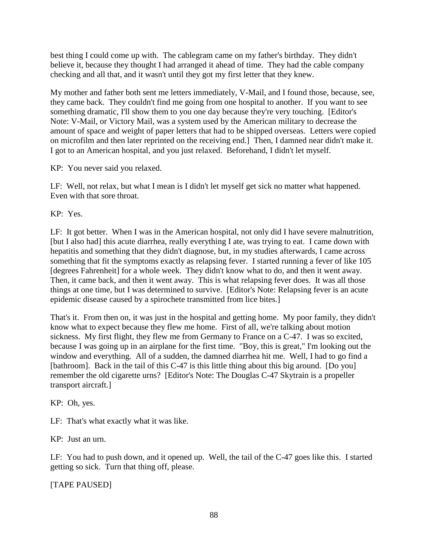best thing I could come up with. The cablegram came on my father's birthday. They didn't believe it, because they thought I had arranged it ahead of time. They had the cable company checking and all that, and it wasn't until they got my first letter that they knew.

My mother and father both sent me letters immediately, V-Mail, and I found those, because, see, they came back. They couldn't find me going from one hospital to another. If you want to see something dramatic, I'll show them to you one day because they're very touching. [Editor's Note: V-Mail, or Victory Mail, was a system used by the American military to decrease the amount of space and weight of paper letters that had to be shipped overseas. Letters were copied on microfilm and then later reprinted on the receiving end.] Then, I damned near didn't make it. I got to an American hospital, and you just relaxed. Beforehand, I didn't let myself.

KP: You never said you relaxed.

LF: Well, not relax, but what I mean is I didn't let myself get sick no matter what happened. Even with that sore throat.

KP: Yes.

LF: It got better. When I was in the American hospital, not only did I have severe malnutrition, [but I also had] this acute diarrhea, really everything I ate, was trying to eat. I came down with hepatitis and something that they didn't diagnose, but, in my studies afterwards, I came across something that fit the symptoms exactly as relapsing fever. I started running a fever of like 105 [degrees Fahrenheit] for a whole week. They didn't know what to do, and then it went away. Then, it came back, and then it went away. This is what relapsing fever does. It was all those things at one time, but I was determined to survive. [Editor's Note: Relapsing fever is an acute epidemic disease caused by a spirochete transmitted from lice bites.]

That's it. From then on, it was just in the hospital and getting home. My poor family, they didn't know what to expect because they flew me home. First of all, we're talking about motion sickness. My first flight, they flew me from Germany to France on a C-47. I was so excited, because I was going up in an airplane for the first time. "Boy, this is great," I'm looking out the window and everything. All of a sudden, the damned diarrhea hit me. Well, I had to go find a [bathroom]. Back in the tail of this C-47 is this little thing about this big around. [Do you] remember the old cigarette urns? [Editor's Note: The Douglas C-47 Skytrain is a propeller transport aircraft.]

KP: Oh, yes.

LF: That's what exactly what it was like.

KP: Just an urn.

LF: You had to push down, and it opened up. Well, the tail of the C-47 goes like this. I started getting so sick. Turn that thing off, please.

[TAPE PAUSED]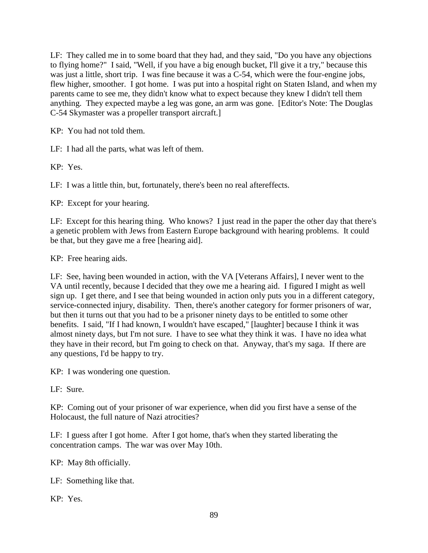LF: They called me in to some board that they had, and they said, "Do you have any objections to flying home?" I said, "Well, if you have a big enough bucket, I'll give it a try," because this was just a little, short trip. I was fine because it was a  $C$ -54, which were the four-engine jobs, flew higher, smoother. I got home. I was put into a hospital right on Staten Island, and when my parents came to see me, they didn't know what to expect because they knew I didn't tell them anything. They expected maybe a leg was gone, an arm was gone. [Editor's Note: The Douglas C-54 Skymaster was a propeller transport aircraft.]

KP: You had not told them.

LF: I had all the parts, what was left of them.

KP: Yes.

LF: I was a little thin, but, fortunately, there's been no real aftereffects.

KP: Except for your hearing.

LF: Except for this hearing thing. Who knows? I just read in the paper the other day that there's a genetic problem with Jews from Eastern Europe background with hearing problems. It could be that, but they gave me a free [hearing aid].

KP: Free hearing aids.

LF: See, having been wounded in action, with the VA [Veterans Affairs], I never went to the VA until recently, because I decided that they owe me a hearing aid. I figured I might as well sign up. I get there, and I see that being wounded in action only puts you in a different category, service-connected injury, disability. Then, there's another category for former prisoners of war, but then it turns out that you had to be a prisoner ninety days to be entitled to some other benefits. I said, "If I had known, I wouldn't have escaped," [laughter] because I think it was almost ninety days, but I'm not sure. I have to see what they think it was. I have no idea what they have in their record, but I'm going to check on that. Anyway, that's my saga. If there are any questions, I'd be happy to try.

KP: I was wondering one question.

LF: Sure.

KP: Coming out of your prisoner of war experience, when did you first have a sense of the Holocaust, the full nature of Nazi atrocities?

LF: I guess after I got home. After I got home, that's when they started liberating the concentration camps. The war was over May 10th.

KP: May 8th officially.

LF: Something like that.

KP: Yes.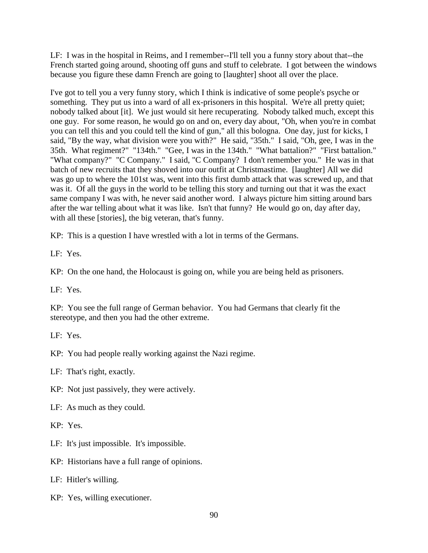LF: I was in the hospital in Reims, and I remember--I'll tell you a funny story about that--the French started going around, shooting off guns and stuff to celebrate. I got between the windows because you figure these damn French are going to [laughter] shoot all over the place.

I've got to tell you a very funny story, which I think is indicative of some people's psyche or something. They put us into a ward of all ex-prisoners in this hospital. We're all pretty quiet; nobody talked about [it]. We just would sit here recuperating. Nobody talked much, except this one guy. For some reason, he would go on and on, every day about, "Oh, when you're in combat you can tell this and you could tell the kind of gun," all this bologna. One day, just for kicks, I said, "By the way, what division were you with?" He said, "35th." I said, "Oh, gee, I was in the 35th. What regiment?" "134th." "Gee, I was in the 134th." "What battalion?" "First battalion." "What company?" "C Company." I said, "C Company? I don't remember you." He was in that batch of new recruits that they shoved into our outfit at Christmastime. [laughter] All we did was go up to where the 101st was, went into this first dumb attack that was screwed up, and that was it. Of all the guys in the world to be telling this story and turning out that it was the exact same company I was with, he never said another word. I always picture him sitting around bars after the war telling about what it was like. Isn't that funny? He would go on, day after day, with all these [stories], the big veteran, that's funny.

KP: This is a question I have wrestled with a lot in terms of the Germans.

LF: Yes.

KP: On the one hand, the Holocaust is going on, while you are being held as prisoners.

LF: Yes.

KP: You see the full range of German behavior. You had Germans that clearly fit the stereotype, and then you had the other extreme.

LF: Yes.

KP: You had people really working against the Nazi regime.

LF: That's right, exactly.

KP: Not just passively, they were actively.

LF: As much as they could.

KP: Yes.

LF: It's just impossible. It's impossible.

KP: Historians have a full range of opinions.

LF: Hitler's willing.

KP: Yes, willing executioner.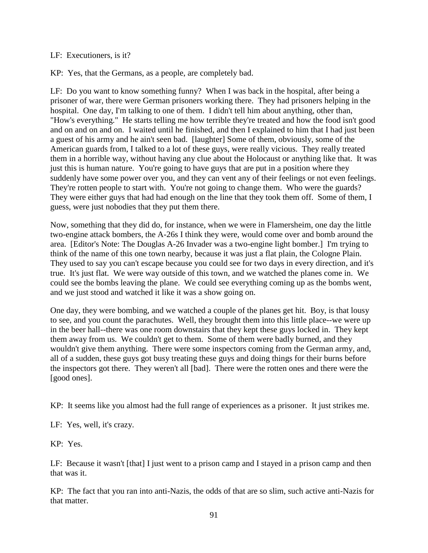## LF: Executioners, is it?

KP: Yes, that the Germans, as a people, are completely bad.

LF: Do you want to know something funny? When I was back in the hospital, after being a prisoner of war, there were German prisoners working there. They had prisoners helping in the hospital. One day, I'm talking to one of them. I didn't tell him about anything, other than, "How's everything." He starts telling me how terrible they're treated and how the food isn't good and on and on and on. I waited until he finished, and then I explained to him that I had just been a guest of his army and he ain't seen bad. [laughter] Some of them, obviously, some of the American guards from, I talked to a lot of these guys, were really vicious. They really treated them in a horrible way, without having any clue about the Holocaust or anything like that. It was just this is human nature. You're going to have guys that are put in a position where they suddenly have some power over you, and they can vent any of their feelings or not even feelings. They're rotten people to start with. You're not going to change them. Who were the guards? They were either guys that had had enough on the line that they took them off. Some of them, I guess, were just nobodies that they put them there.

Now, something that they did do, for instance, when we were in Flamersheim, one day the little two-engine attack bombers, the A-26s I think they were, would come over and bomb around the area. [Editor's Note: The Douglas A-26 Invader was a two-engine light bomber.] I'm trying to think of the name of this one town nearby, because it was just a flat plain, the Cologne Plain. They used to say you can't escape because you could see for two days in every direction, and it's true. It's just flat. We were way outside of this town, and we watched the planes come in. We could see the bombs leaving the plane. We could see everything coming up as the bombs went, and we just stood and watched it like it was a show going on.

One day, they were bombing, and we watched a couple of the planes get hit. Boy, is that lousy to see, and you count the parachutes. Well, they brought them into this little place--we were up in the beer hall--there was one room downstairs that they kept these guys locked in. They kept them away from us. We couldn't get to them. Some of them were badly burned, and they wouldn't give them anything. There were some inspectors coming from the German army, and, all of a sudden, these guys got busy treating these guys and doing things for their burns before the inspectors got there. They weren't all [bad]. There were the rotten ones and there were the [good ones].

KP: It seems like you almost had the full range of experiences as a prisoner. It just strikes me.

LF: Yes, well, it's crazy.

KP: Yes.

LF: Because it wasn't [that] I just went to a prison camp and I stayed in a prison camp and then that was it.

KP: The fact that you ran into anti-Nazis, the odds of that are so slim, such active anti-Nazis for that matter.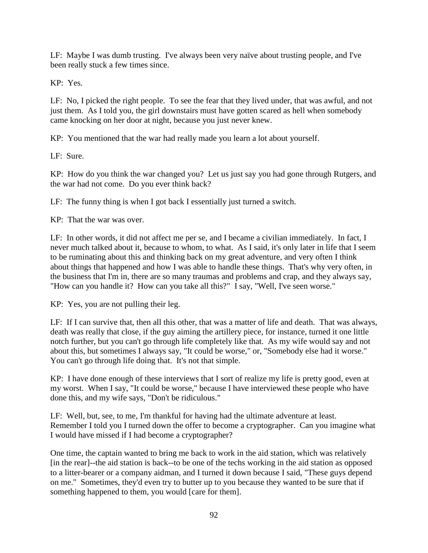LF: Maybe I was dumb trusting. I've always been very naïve about trusting people, and I've been really stuck a few times since.

KP: Yes.

LF: No, I picked the right people. To see the fear that they lived under, that was awful, and not just them. As I told you, the girl downstairs must have gotten scared as hell when somebody came knocking on her door at night, because you just never knew.

KP: You mentioned that the war had really made you learn a lot about yourself.

LF: Sure.

KP: How do you think the war changed you? Let us just say you had gone through Rutgers, and the war had not come. Do you ever think back?

LF: The funny thing is when I got back I essentially just turned a switch.

KP: That the war was over.

LF: In other words, it did not affect me per se, and I became a civilian immediately. In fact, I never much talked about it, because to whom, to what. As I said, it's only later in life that I seem to be ruminating about this and thinking back on my great adventure, and very often I think about things that happened and how I was able to handle these things. That's why very often, in the business that I'm in, there are so many traumas and problems and crap, and they always say, "How can you handle it? How can you take all this?" I say, "Well, I've seen worse."

KP: Yes, you are not pulling their leg.

LF: If I can survive that, then all this other, that was a matter of life and death. That was always, death was really that close, if the guy aiming the artillery piece, for instance, turned it one little notch further, but you can't go through life completely like that. As my wife would say and not about this, but sometimes I always say, "It could be worse," or, "Somebody else had it worse." You can't go through life doing that. It's not that simple.

KP: I have done enough of these interviews that I sort of realize my life is pretty good, even at my worst. When I say, "It could be worse," because I have interviewed these people who have done this, and my wife says, "Don't be ridiculous."

LF: Well, but, see, to me, I'm thankful for having had the ultimate adventure at least. Remember I told you I turned down the offer to become a cryptographer. Can you imagine what I would have missed if I had become a cryptographer?

One time, the captain wanted to bring me back to work in the aid station, which was relatively [in the rear]--the aid station is back--to be one of the techs working in the aid station as opposed to a litter-bearer or a company aidman, and I turned it down because I said, "These guys depend on me." Sometimes, they'd even try to butter up to you because they wanted to be sure that if something happened to them, you would [care for them].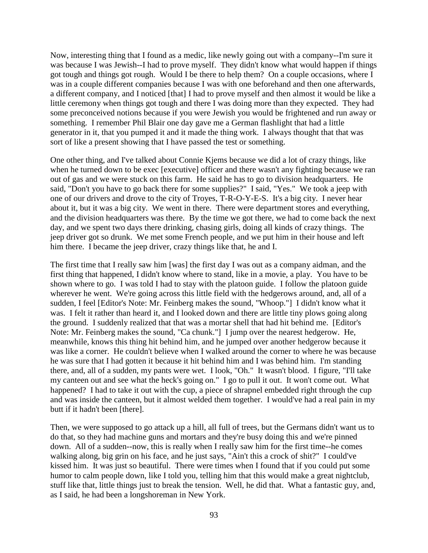Now, interesting thing that I found as a medic, like newly going out with a company--I'm sure it was because I was Jewish--I had to prove myself. They didn't know what would happen if things got tough and things got rough. Would I be there to help them? On a couple occasions, where I was in a couple different companies because I was with one beforehand and then one afterwards, a different company, and I noticed [that] I had to prove myself and then almost it would be like a little ceremony when things got tough and there I was doing more than they expected. They had some preconceived notions because if you were Jewish you would be frightened and run away or something. I remember Phil Blair one day gave me a German flashlight that had a little generator in it, that you pumped it and it made the thing work. I always thought that that was sort of like a present showing that I have passed the test or something.

One other thing, and I've talked about Connie Kjems because we did a lot of crazy things, like when he turned down to be exec [executive] officer and there wasn't any fighting because we ran out of gas and we were stuck on this farm. He said he has to go to division headquarters. He said, "Don't you have to go back there for some supplies?" I said, "Yes." We took a jeep with one of our drivers and drove to the city of Troyes, T-R-O-Y-E-S. It's a big city. I never hear about it, but it was a big city. We went in there. There were department stores and everything, and the division headquarters was there. By the time we got there, we had to come back the next day, and we spent two days there drinking, chasing girls, doing all kinds of crazy things. The jeep driver got so drunk. We met some French people, and we put him in their house and left him there. I became the jeep driver, crazy things like that, he and I.

The first time that I really saw him [was] the first day I was out as a company aidman, and the first thing that happened, I didn't know where to stand, like in a movie, a play. You have to be shown where to go. I was told I had to stay with the platoon guide. I follow the platoon guide wherever he went. We're going across this little field with the hedgerows around, and, all of a sudden, I feel [Editor's Note: Mr. Feinberg makes the sound, "Whoop."] I didn't know what it was. I felt it rather than heard it, and I looked down and there are little tiny plows going along the ground. I suddenly realized that that was a mortar shell that had hit behind me. [Editor's Note: Mr. Feinberg makes the sound, "Ca chunk."] I jump over the nearest hedgerow. He, meanwhile, knows this thing hit behind him, and he jumped over another hedgerow because it was like a corner. He couldn't believe when I walked around the corner to where he was because he was sure that I had gotten it because it hit behind him and I was behind him. I'm standing there, and, all of a sudden, my pants were wet. I look, "Oh." It wasn't blood. I figure, "I'll take my canteen out and see what the heck's going on." I go to pull it out. It won't come out. What happened? I had to take it out with the cup, a piece of shrapnel embedded right through the cup and was inside the canteen, but it almost welded them together. I would've had a real pain in my butt if it hadn't been [there].

Then, we were supposed to go attack up a hill, all full of trees, but the Germans didn't want us to do that, so they had machine guns and mortars and they're busy doing this and we're pinned down. All of a sudden--now, this is really when I really saw him for the first time--he comes walking along, big grin on his face, and he just says, "Ain't this a crock of shit?" I could've kissed him. It was just so beautiful. There were times when I found that if you could put some humor to calm people down, like I told you, telling him that this would make a great nightclub, stuff like that, little things just to break the tension. Well, he did that. What a fantastic guy, and, as I said, he had been a longshoreman in New York.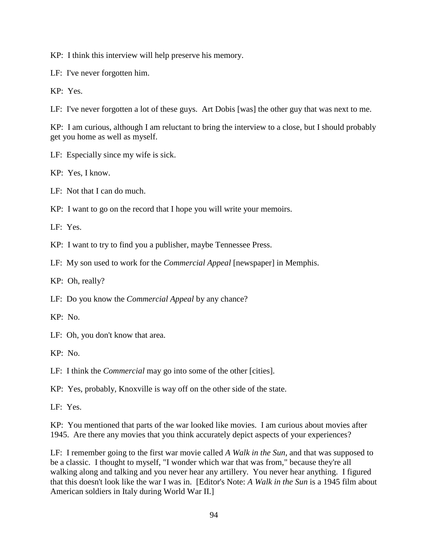KP: I think this interview will help preserve his memory.

LF: I've never forgotten him.

KP: Yes.

LF: I've never forgotten a lot of these guys. Art Dobis [was] the other guy that was next to me.

KP: I am curious, although I am reluctant to bring the interview to a close, but I should probably get you home as well as myself.

LF: Especially since my wife is sick.

KP: Yes, I know.

LF: Not that I can do much.

KP: I want to go on the record that I hope you will write your memoirs.

LF: Yes.

KP: I want to try to find you a publisher, maybe Tennessee Press.

LF: My son used to work for the *Commercial Appeal* [newspaper] in Memphis.

KP: Oh, really?

LF: Do you know the *Commercial Appeal* by any chance?

KP: No.

LF: Oh, you don't know that area.

KP: No.

LF: I think the *Commercial* may go into some of the other [cities].

KP: Yes, probably, Knoxville is way off on the other side of the state.

LF: Yes.

KP: You mentioned that parts of the war looked like movies. I am curious about movies after 1945. Are there any movies that you think accurately depict aspects of your experiences?

LF: I remember going to the first war movie called *A Walk in the Sun*, and that was supposed to be a classic. I thought to myself, "I wonder which war that was from," because they're all walking along and talking and you never hear any artillery. You never hear anything. I figured that this doesn't look like the war I was in. [Editor's Note: *A Walk in the Sun* is a 1945 film about American soldiers in Italy during World War II.]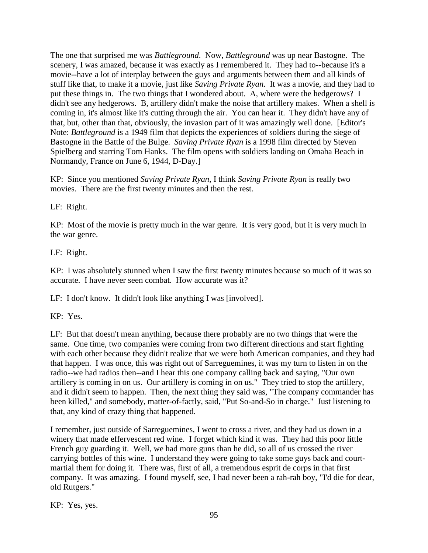The one that surprised me was *Battleground*. Now, *Battleground* was up near Bastogne. The scenery, I was amazed, because it was exactly as I remembered it. They had to--because it's a movie--have a lot of interplay between the guys and arguments between them and all kinds of stuff like that, to make it a movie, just like *Saving Private Ryan*. It was a movie, and they had to put these things in. The two things that I wondered about. A, where were the hedgerows? I didn't see any hedgerows. B, artillery didn't make the noise that artillery makes. When a shell is coming in, it's almost like it's cutting through the air. You can hear it. They didn't have any of that, but, other than that, obviously, the invasion part of it was amazingly well done. [Editor's Note: *Battleground* is a 1949 film that depicts the experiences of soldiers during the siege of Bastogne in the Battle of the Bulge. *Saving Private Ryan* is a 1998 film directed by Steven Spielberg and starring Tom Hanks. The film opens with soldiers landing on Omaha Beach in Normandy, France on June 6, 1944, D-Day.]

KP: Since you mentioned *Saving Private Ryan*, I think *Saving Private Ryan* is really two movies. There are the first twenty minutes and then the rest.

LF: Right.

KP: Most of the movie is pretty much in the war genre. It is very good, but it is very much in the war genre.

LF: Right.

KP: I was absolutely stunned when I saw the first twenty minutes because so much of it was so accurate. I have never seen combat. How accurate was it?

LF: I don't know. It didn't look like anything I was [involved].

KP: Yes.

LF: But that doesn't mean anything, because there probably are no two things that were the same. One time, two companies were coming from two different directions and start fighting with each other because they didn't realize that we were both American companies, and they had that happen. I was once, this was right out of Sarreguemines, it was my turn to listen in on the radio--we had radios then--and I hear this one company calling back and saying, "Our own artillery is coming in on us. Our artillery is coming in on us." They tried to stop the artillery, and it didn't seem to happen. Then, the next thing they said was, "The company commander has been killed," and somebody, matter-of-factly, said, "Put So-and-So in charge." Just listening to that, any kind of crazy thing that happened.

I remember, just outside of Sarreguemines, I went to cross a river, and they had us down in a winery that made effervescent red wine. I forget which kind it was. They had this poor little French guy guarding it. Well, we had more guns than he did, so all of us crossed the river carrying bottles of this wine. I understand they were going to take some guys back and courtmartial them for doing it. There was, first of all, a tremendous esprit de corps in that first company. It was amazing. I found myself, see, I had never been a rah-rah boy, "I'd die for dear, old Rutgers."

KP: Yes, yes.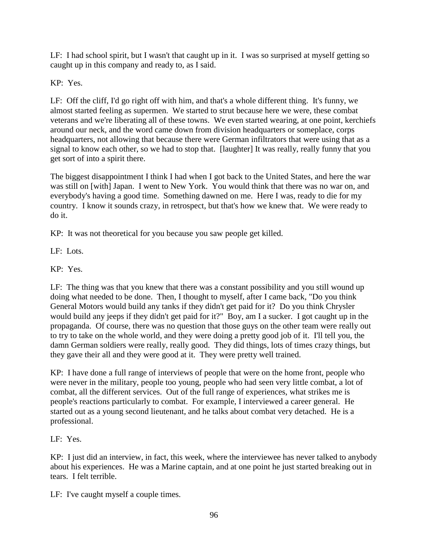LF: I had school spirit, but I wasn't that caught up in it. I was so surprised at myself getting so caught up in this company and ready to, as I said.

KP: Yes.

LF: Off the cliff, I'd go right off with him, and that's a whole different thing. It's funny, we almost started feeling as supermen. We started to strut because here we were, these combat veterans and we're liberating all of these towns. We even started wearing, at one point, kerchiefs around our neck, and the word came down from division headquarters or someplace, corps headquarters, not allowing that because there were German infiltrators that were using that as a signal to know each other, so we had to stop that. [laughter] It was really, really funny that you get sort of into a spirit there.

The biggest disappointment I think I had when I got back to the United States, and here the war was still on [with] Japan. I went to New York. You would think that there was no war on, and everybody's having a good time. Something dawned on me. Here I was, ready to die for my country. I know it sounds crazy, in retrospect, but that's how we knew that. We were ready to do it.

KP: It was not theoretical for you because you saw people get killed.

LF: Lots.

KP: Yes.

LF: The thing was that you knew that there was a constant possibility and you still wound up doing what needed to be done. Then, I thought to myself, after I came back, "Do you think General Motors would build any tanks if they didn't get paid for it? Do you think Chrysler would build any jeeps if they didn't get paid for it?" Boy, am I a sucker. I got caught up in the propaganda. Of course, there was no question that those guys on the other team were really out to try to take on the whole world, and they were doing a pretty good job of it. I'll tell you, the damn German soldiers were really, really good. They did things, lots of times crazy things, but they gave their all and they were good at it. They were pretty well trained.

KP: I have done a full range of interviews of people that were on the home front, people who were never in the military, people too young, people who had seen very little combat, a lot of combat, all the different services. Out of the full range of experiences, what strikes me is people's reactions particularly to combat. For example, I interviewed a career general. He started out as a young second lieutenant, and he talks about combat very detached. He is a professional.

LF: Yes.

KP: I just did an interview, in fact, this week, where the interviewee has never talked to anybody about his experiences. He was a Marine captain, and at one point he just started breaking out in tears. I felt terrible.

LF: I've caught myself a couple times.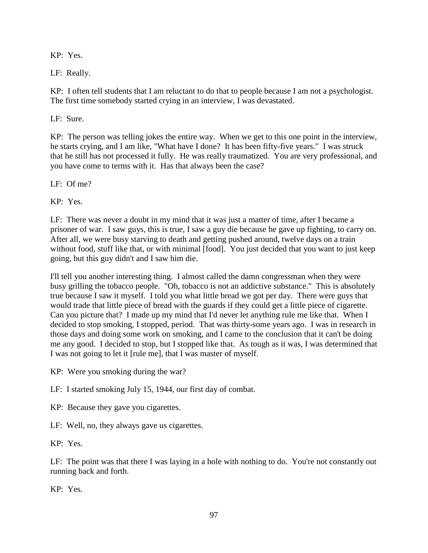KP: Yes.

LF: Really.

KP: I often tell students that I am reluctant to do that to people because I am not a psychologist. The first time somebody started crying in an interview, I was devastated.

LF: Sure.

KP: The person was telling jokes the entire way. When we get to this one point in the interview, he starts crying, and I am like, "What have I done? It has been fifty-five years." I was struck that he still has not processed it fully. He was really traumatized. You are very professional, and you have come to terms with it. Has that always been the case?

LF: Of me?

KP: Yes.

LF: There was never a doubt in my mind that it was just a matter of time, after I became a prisoner of war. I saw guys, this is true, I saw a guy die because he gave up fighting, to carry on. After all, we were busy starving to death and getting pushed around, twelve days on a train without food, stuff like that, or with minimal [food]. You just decided that you want to just keep going, but this guy didn't and I saw him die.

I'll tell you another interesting thing. I almost called the damn congressman when they were busy grilling the tobacco people. "Oh, tobacco is not an addictive substance." This is absolutely true because I saw it myself. I told you what little bread we got per day. There were guys that would trade that little piece of bread with the guards if they could get a little piece of cigarette. Can you picture that? I made up my mind that I'd never let anything rule me like that. When I decided to stop smoking, I stopped, period. That was thirty-some years ago. I was in research in those days and doing some work on smoking, and I came to the conclusion that it can't be doing me any good. I decided to stop, but I stopped like that. As tough as it was, I was determined that I was not going to let it [rule me], that I was master of myself.

KP: Were you smoking during the war?

LF: I started smoking July 15, 1944, our first day of combat.

KP: Because they gave you cigarettes.

LF: Well, no, they always gave us cigarettes.

KP: Yes.

LF: The point was that there I was laying in a hole with nothing to do. You're not constantly out running back and forth.

KP: Yes.